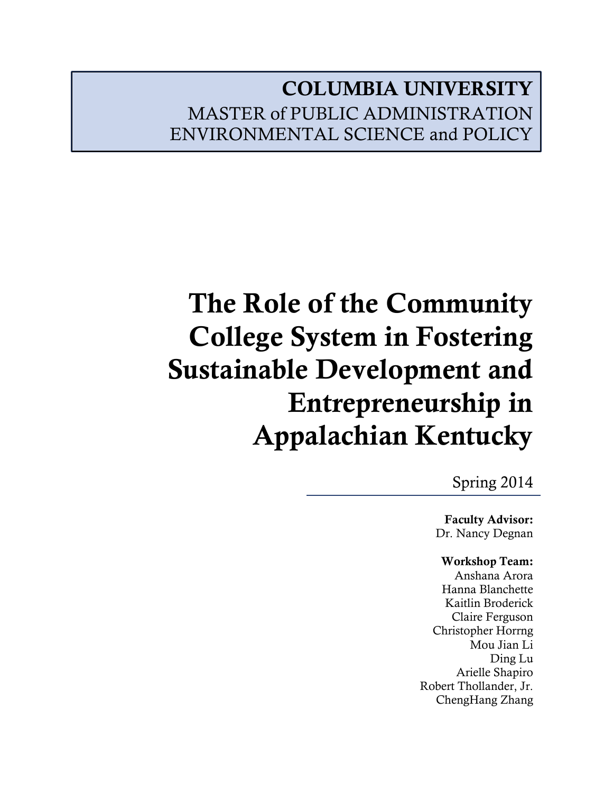# **COLUMBIA UNIVERSITY** MASTER of PUBLIC ADMINISTRATION ENVIRONMENTAL SCIENCE and POLICY

# **The Role of the Community College System in Fostering Sustainable Development and Entrepreneurship in Appalachian Kentucky**

Spring 2014

**Faculty Advisor:** Dr. Nancy Degnan

# **Workshop Team:**

Anshana Arora Hanna Blanchette Kaitlin Broderick Claire Ferguson Christopher Horrng Mou Jian Li Ding Lu Arielle Shapiro Robert Thollander, Jr. ChengHang Zhang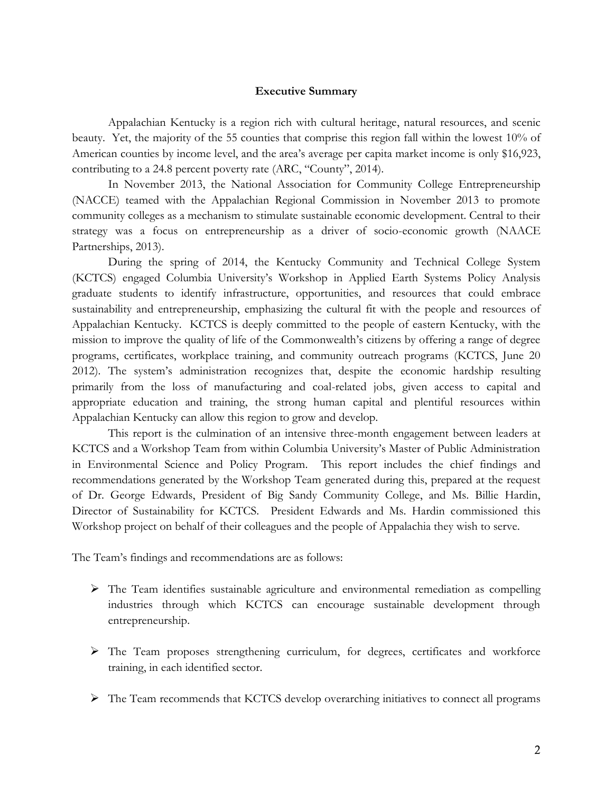#### **Executive Summary**

Appalachian Kentucky is a region rich with cultural heritage, natural resources, and scenic beauty. Yet, the majority of the 55 counties that comprise this region fall within the lowest 10% of American counties by income level, and the area's average per capita market income is only \$16,923, contributing to a 24.8 percent poverty rate (ARC, "County", 2014).

In November 2013, the National Association for Community College Entrepreneurship (NACCE) teamed with the Appalachian Regional Commission in November 2013 to promote community colleges as a mechanism to stimulate sustainable economic development. Central to their strategy was a focus on entrepreneurship as a driver of socio-economic growth (NAACE Partnerships, 2013).

During the spring of 2014, the Kentucky Community and Technical College System (KCTCS) engaged Columbia University's Workshop in Applied Earth Systems Policy Analysis graduate students to identify infrastructure, opportunities, and resources that could embrace sustainability and entrepreneurship, emphasizing the cultural fit with the people and resources of Appalachian Kentucky. KCTCS is deeply committed to the people of eastern Kentucky, with the mission to improve the quality of life of the Commonwealth's citizens by offering a range of degree programs, certificates, workplace training, and community outreach programs (KCTCS, June 20 2012). The system's administration recognizes that, despite the economic hardship resulting primarily from the loss of manufacturing and coal-related jobs, given access to capital and appropriate education and training, the strong human capital and plentiful resources within Appalachian Kentucky can allow this region to grow and develop.

This report is the culmination of an intensive three-month engagement between leaders at KCTCS and a Workshop Team from within Columbia University's Master of Public Administration in Environmental Science and Policy Program. This report includes the chief findings and recommendations generated by the Workshop Team generated during this, prepared at the request of Dr. George Edwards, President of Big Sandy Community College, and Ms. Billie Hardin, Director of Sustainability for KCTCS. President Edwards and Ms. Hardin commissioned this Workshop project on behalf of their colleagues and the people of Appalachia they wish to serve.

The Team's findings and recommendations are as follows:

- The Team identifies sustainable agriculture and environmental remediation as compelling industries through which KCTCS can encourage sustainable development through entrepreneurship.
- The Team proposes strengthening curriculum, for degrees, certificates and workforce training, in each identified sector.
- $\triangleright$  The Team recommends that KCTCS develop overarching initiatives to connect all programs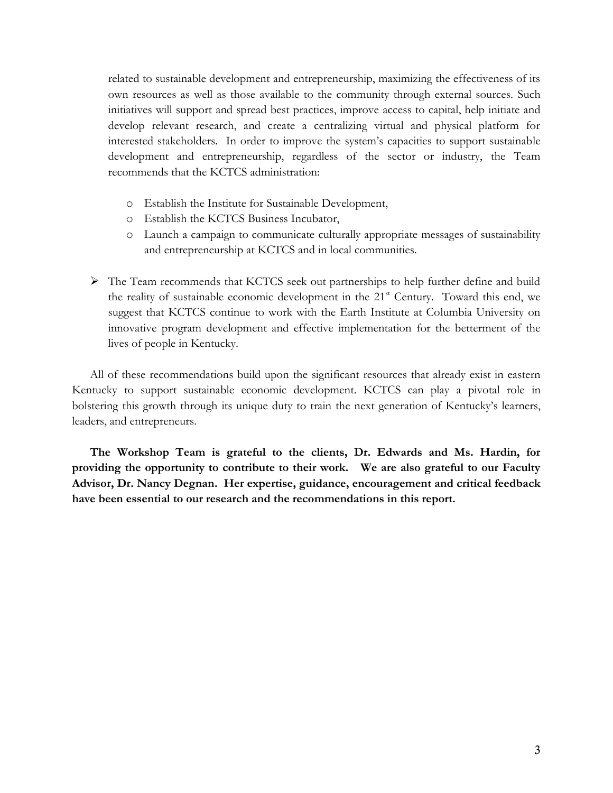related to sustainable development and entrepreneurship, maximizing the effectiveness of its own resources as well as those available to the community through external sources. Such initiatives will support and spread best practices, improve access to capital, help initiate and develop relevant research, and create a centralizing virtual and physical platform for interested stakeholders. In order to improve the system's capacities to support sustainable development and entrepreneurship, regardless of the sector or industry, the Team recommends that the KCTCS administration:

- o Establish the Institute for Sustainable Development,
- o Establish the KCTCS Business Incubator,
- o Launch a campaign to communicate culturally appropriate messages of sustainability and entrepreneurship at KCTCS and in local communities.
- $\triangleright$  The Team recommends that KCTCS seek out partnerships to help further define and build the reality of sustainable economic development in the 21<sup>st</sup> Century. Toward this end, we suggest that KCTCS continue to work with the Earth Institute at Columbia University on innovative program development and effective implementation for the betterment of the lives of people in Kentucky.

All of these recommendations build upon the significant resources that already exist in eastern Kentucky to support sustainable economic development. KCTCS can play a pivotal role in bolstering this growth through its unique duty to train the next generation of Kentucky's learners, leaders, and entrepreneurs.

**The Workshop Team is grateful to the clients, Dr. Edwards and Ms. Hardin, for providing the opportunity to contribute to their work. We are also grateful to our Faculty Advisor, Dr. Nancy Degnan. Her expertise, guidance, encouragement and critical feedback have been essential to our research and the recommendations in this report.**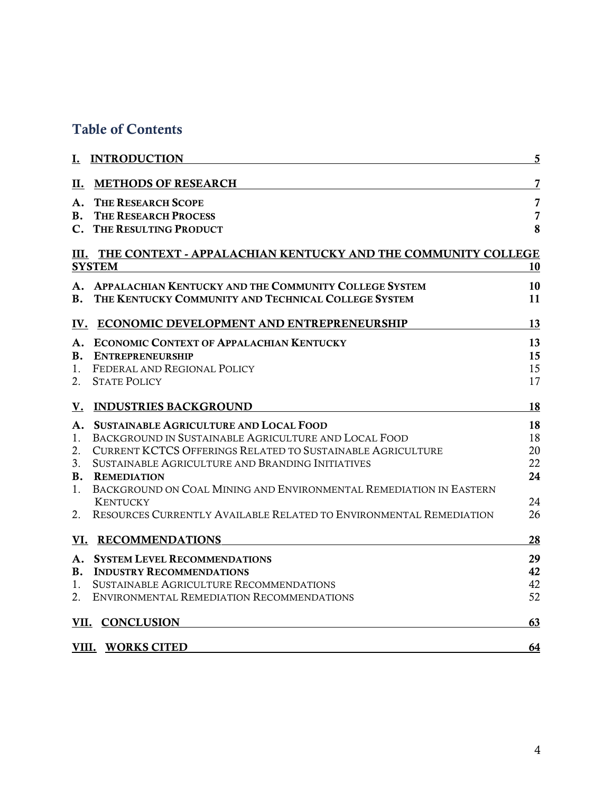# **Table of Contents**

|           | I. INTRODUCTION                                                                       | 5              |
|-----------|---------------------------------------------------------------------------------------|----------------|
| П.        | <b>METHODS OF RESEARCH</b>                                                            | 7              |
| A.        | <b>THE RESEARCH SCOPE</b>                                                             | 7              |
| В.        | <b>THE RESEARCH PROCESS</b>                                                           | $\overline{7}$ |
|           | C. THE RESULTING PRODUCT                                                              | 8              |
|           | III. THE CONTEXT - APPALACHIAN KENTUCKY AND THE COMMUNITY COLLEGE                     |                |
|           | <b>SYSTEM</b>                                                                         | 10             |
|           | A. APPALACHIAN KENTUCKY AND THE COMMUNITY COLLEGE SYSTEM                              | 10             |
| В.        | THE KENTUCKY COMMUNITY AND TECHNICAL COLLEGE SYSTEM                                   | 11             |
|           | IV. ECONOMIC DEVELOPMENT AND ENTREPRENEURSHIP                                         | 13             |
| A.        | <b>ECONOMIC CONTEXT OF APPALACHIAN KENTUCKY</b>                                       | 13             |
| В.        | <b>ENTREPRENEURSHIP</b>                                                               | 15             |
| 1.        | FEDERAL AND REGIONAL POLICY                                                           | 15             |
| 2.        | <b>STATE POLICY</b>                                                                   | 17             |
| <u>V.</u> | <b>INDUSTRIES BACKGROUND</b>                                                          | 18             |
| А.        | <b>SUSTAINABLE AGRICULTURE AND LOCAL FOOD</b>                                         | 18             |
| 1.        | BACKGROUND IN SUSTAINABLE AGRICULTURE AND LOCAL FOOD                                  | 18             |
| 2.        | <b>CURRENT KCTCS OFFERINGS RELATED TO SUSTAINABLE AGRICULTURE</b>                     | 20             |
| 3.        | SUSTAINABLE AGRICULTURE AND BRANDING INITIATIVES                                      | 22             |
| <b>B.</b> | <b>REMEDIATION</b>                                                                    | 24             |
| 1.        | BACKGROUND ON COAL MINING AND ENVIRONMENTAL REMEDIATION IN EASTERN<br><b>KENTUCKY</b> | 24             |
| 2.        | RESOURCES CURRENTLY AVAILABLE RELATED TO ENVIRONMENTAL REMEDIATION                    | 26             |
|           | VI. RECOMMENDATIONS                                                                   | 28             |
| A.        | <b>SYSTEM LEVEL RECOMMENDATIONS</b>                                                   | 29             |
| В.        | <b>INDUSTRY RECOMMENDATIONS</b>                                                       | 42             |
| 1.        | SUSTAINABLE AGRICULTURE RECOMMENDATIONS                                               | 42             |
| 2.        | ENVIRONMENTAL REMEDIATION RECOMMENDATIONS                                             | 52             |
|           | VII. CONCLUSION                                                                       | 63             |
|           |                                                                                       |                |
|           | VIII. WORKS CITED                                                                     | 64             |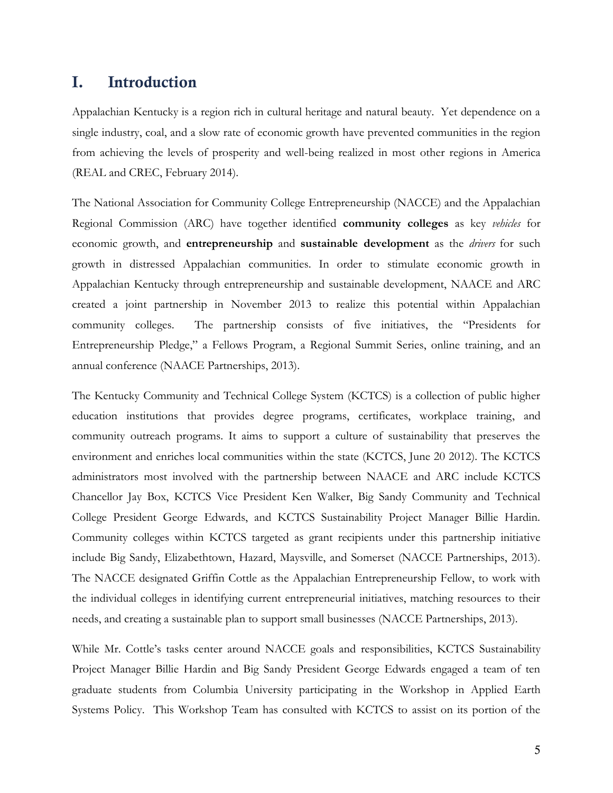# **I. Introduction**

Appalachian Kentucky is a region rich in cultural heritage and natural beauty. Yet dependence on a single industry, coal, and a slow rate of economic growth have prevented communities in the region from achieving the levels of prosperity and well-being realized in most other regions in America (REAL and CREC, February 2014).

The National Association for Community College Entrepreneurship (NACCE) and the Appalachian Regional Commission (ARC) have together identified **community colleges** as key *vehicles* for economic growth, and **entrepreneurship** and **sustainable development** as the *drivers* for such growth in distressed Appalachian communities. In order to stimulate economic growth in Appalachian Kentucky through entrepreneurship and sustainable development, NAACE and ARC created a joint partnership in November 2013 to realize this potential within Appalachian community colleges. The partnership consists of five initiatives, the "Presidents for Entrepreneurship Pledge," a Fellows Program, a Regional Summit Series, online training, and an annual conference (NAACE Partnerships, 2013).

The Kentucky Community and Technical College System (KCTCS) is a collection of public higher education institutions that provides degree programs, certificates, workplace training, and community outreach programs. It aims to support a culture of sustainability that preserves the environment and enriches local communities within the state (KCTCS, June 20 2012). The KCTCS administrators most involved with the partnership between NAACE and ARC include KCTCS Chancellor Jay Box, KCTCS Vice President Ken Walker, Big Sandy Community and Technical College President George Edwards, and KCTCS Sustainability Project Manager Billie Hardin. Community colleges within KCTCS targeted as grant recipients under this partnership initiative include Big Sandy, Elizabethtown, Hazard, Maysville, and Somerset (NACCE Partnerships, 2013). The NACCE designated Griffin Cottle as the Appalachian Entrepreneurship Fellow, to work with the individual colleges in identifying current entrepreneurial initiatives, matching resources to their needs, and creating a sustainable plan to support small businesses (NACCE Partnerships, 2013).

While Mr. Cottle's tasks center around NACCE goals and responsibilities, KCTCS Sustainability Project Manager Billie Hardin and Big Sandy President George Edwards engaged a team of ten graduate students from Columbia University participating in the Workshop in Applied Earth Systems Policy. This Workshop Team has consulted with KCTCS to assist on its portion of the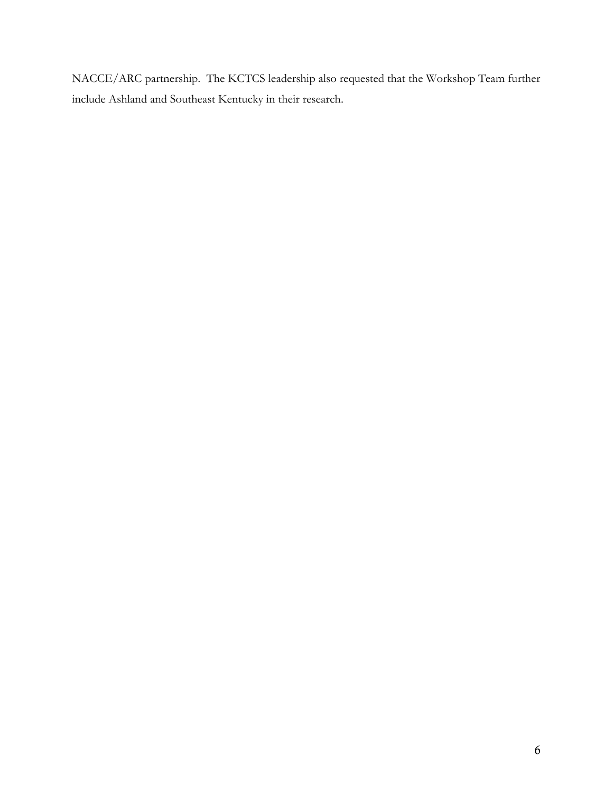NACCE/ARC partnership. The KCTCS leadership also requested that the Workshop Team further include Ashland and Southeast Kentucky in their research.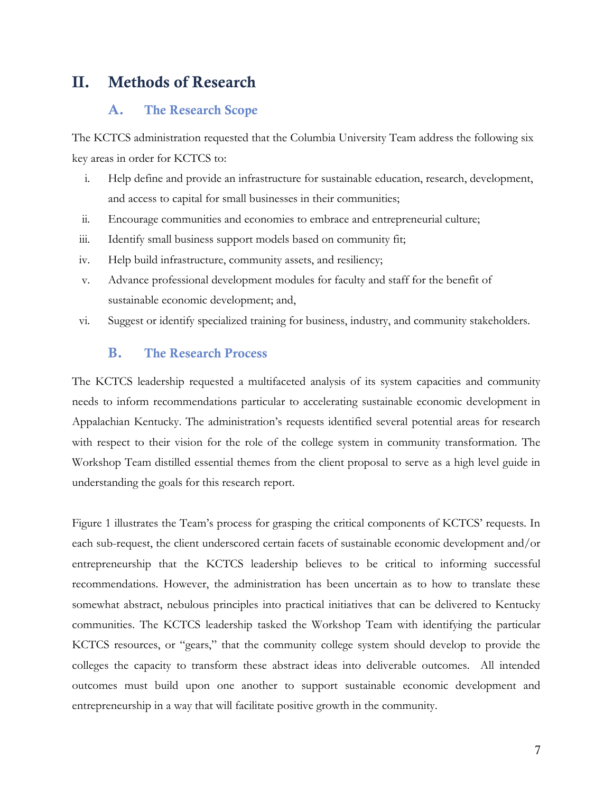# **II. Methods of Research**

# **A. The Research Scope**

The KCTCS administration requested that the Columbia University Team address the following six key areas in order for KCTCS to:

- i. Help define and provide an infrastructure for sustainable education, research, development, and access to capital for small businesses in their communities;
- ii. Encourage communities and economies to embrace and entrepreneurial culture;
- iii. Identify small business support models based on community fit;
- iv. Help build infrastructure, community assets, and resiliency;
- v. Advance professional development modules for faculty and staff for the benefit of sustainable economic development; and,
- vi. Suggest or identify specialized training for business, industry, and community stakeholders.

### **B. The Research Process**

The KCTCS leadership requested a multifaceted analysis of its system capacities and community needs to inform recommendations particular to accelerating sustainable economic development in Appalachian Kentucky. The administration's requests identified several potential areas for research with respect to their vision for the role of the college system in community transformation. The Workshop Team distilled essential themes from the client proposal to serve as a high level guide in understanding the goals for this research report.

Figure 1 illustrates the Team's process for grasping the critical components of KCTCS' requests. In each sub-request, the client underscored certain facets of sustainable economic development and/or entrepreneurship that the KCTCS leadership believes to be critical to informing successful recommendations. However, the administration has been uncertain as to how to translate these somewhat abstract, nebulous principles into practical initiatives that can be delivered to Kentucky communities. The KCTCS leadership tasked the Workshop Team with identifying the particular KCTCS resources, or "gears," that the community college system should develop to provide the colleges the capacity to transform these abstract ideas into deliverable outcomes. All intended outcomes must build upon one another to support sustainable economic development and entrepreneurship in a way that will facilitate positive growth in the community.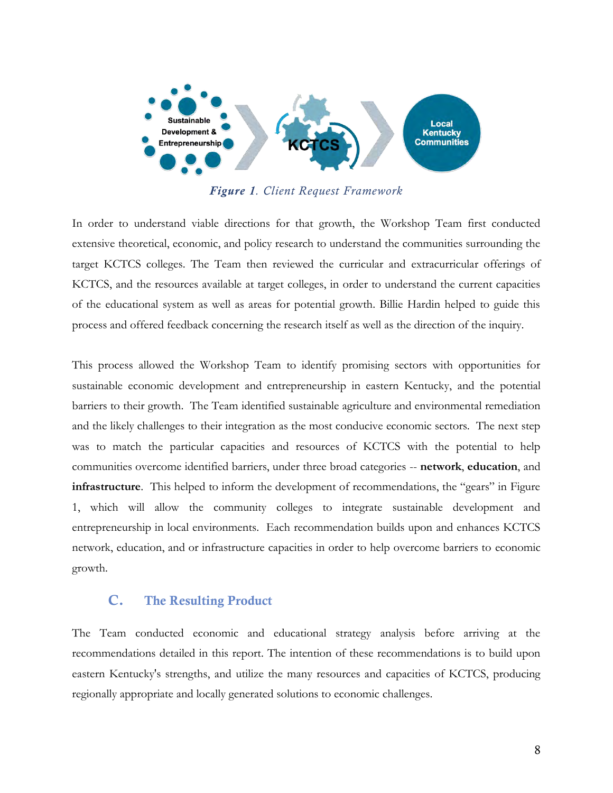

*Figure 1. Client Request Framework* 

In order to understand viable directions for that growth, the Workshop Team first conducted extensive theoretical, economic, and policy research to understand the communities surrounding the target KCTCS colleges. The Team then reviewed the curricular and extracurricular offerings of KCTCS, and the resources available at target colleges, in order to understand the current capacities of the educational system as well as areas for potential growth. Billie Hardin helped to guide this process and offered feedback concerning the research itself as well as the direction of the inquiry.

This process allowed the Workshop Team to identify promising sectors with opportunities for sustainable economic development and entrepreneurship in eastern Kentucky, and the potential barriers to their growth. The Team identified sustainable agriculture and environmental remediation and the likely challenges to their integration as the most conducive economic sectors. The next step was to match the particular capacities and resources of KCTCS with the potential to help communities overcome identified barriers, under three broad categories -- **network**, **education**, and **infrastructure**. This helped to inform the development of recommendations, the "gears" in Figure 1, which will allow the community colleges to integrate sustainable development and entrepreneurship in local environments. Each recommendation builds upon and enhances KCTCS network, education, and or infrastructure capacities in order to help overcome barriers to economic growth.

# **C. The Resulting Product**

The Team conducted economic and educational strategy analysis before arriving at the recommendations detailed in this report. The intention of these recommendations is to build upon eastern Kentucky's strengths, and utilize the many resources and capacities of KCTCS, producing regionally appropriate and locally generated solutions to economic challenges.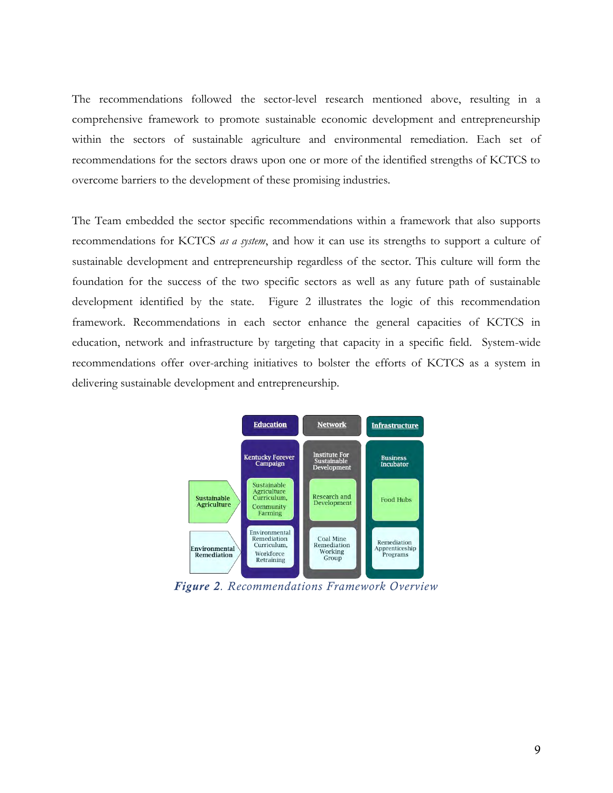The recommendations followed the sector-level research mentioned above, resulting in a comprehensive framework to promote sustainable economic development and entrepreneurship within the sectors of sustainable agriculture and environmental remediation. Each set of recommendations for the sectors draws upon one or more of the identified strengths of KCTCS to overcome barriers to the development of these promising industries.

The Team embedded the sector specific recommendations within a framework that also supports recommendations for KCTCS *as a system*, and how it can use its strengths to support a culture of sustainable development and entrepreneurship regardless of the sector. This culture will form the foundation for the success of the two specific sectors as well as any future path of sustainable development identified by the state. Figure 2 illustrates the logic of this recommendation framework. Recommendations in each sector enhance the general capacities of KCTCS in education, network and infrastructure by targeting that capacity in a specific field. System-wide recommendations offer over-arching initiatives to bolster the efforts of KCTCS as a system in delivering sustainable development and entrepreneurship.



*Figure 2. Recommendations Framework Overview*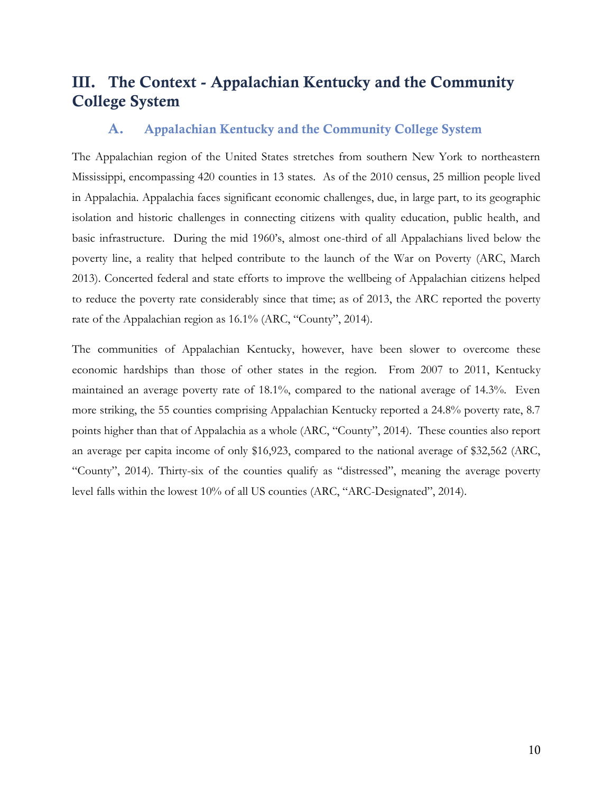# **III. The Context - Appalachian Kentucky and the Community College System**

# **A. Appalachian Kentucky and the Community College System**

The Appalachian region of the United States stretches from southern New York to northeastern Mississippi, encompassing 420 counties in 13 states. As of the 2010 census, 25 million people lived in Appalachia. Appalachia faces significant economic challenges, due, in large part, to its geographic isolation and historic challenges in connecting citizens with quality education, public health, and basic infrastructure. During the mid 1960's, almost one-third of all Appalachians lived below the poverty line, a reality that helped contribute to the launch of the War on Poverty (ARC, March 2013). Concerted federal and state efforts to improve the wellbeing of Appalachian citizens helped to reduce the poverty rate considerably since that time; as of 2013, the ARC reported the poverty rate of the Appalachian region as 16.1% (ARC, "County", 2014).

The communities of Appalachian Kentucky, however, have been slower to overcome these economic hardships than those of other states in the region. From 2007 to 2011, Kentucky maintained an average poverty rate of 18.1%, compared to the national average of 14.3%. Even more striking, the 55 counties comprising Appalachian Kentucky reported a 24.8% poverty rate, 8.7 points higher than that of Appalachia as a whole (ARC, "County", 2014). These counties also report an average per capita income of only \$16,923, compared to the national average of \$32,562 (ARC, "County", 2014). Thirty-six of the counties qualify as "distressed", meaning the average poverty level falls within the lowest 10% of all US counties (ARC, "ARC-Designated", 2014).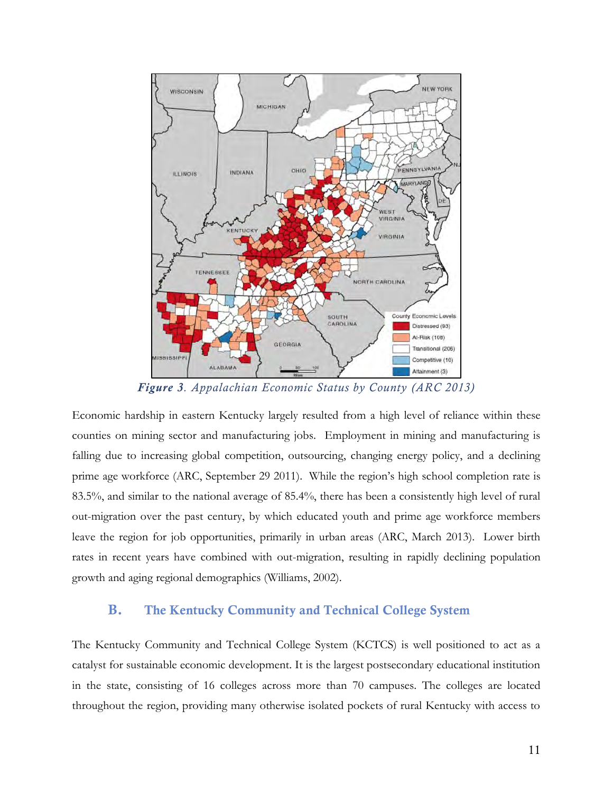

*Figure 3. Appalachian Economic Status by County (ARC 2013)* 

Economic hardship in eastern Kentucky largely resulted from a high level of reliance within these counties on mining sector and manufacturing jobs. Employment in mining and manufacturing is falling due to increasing global competition, outsourcing, changing energy policy, and a declining prime age workforce (ARC, September 29 2011). While the region's high school completion rate is 83.5%, and similar to the national average of 85.4%, there has been a consistently high level of rural out-migration over the past century, by which educated youth and prime age workforce members leave the region for job opportunities, primarily in urban areas (ARC, March 2013). Lower birth rates in recent years have combined with out-migration, resulting in rapidly declining population growth and aging regional demographics (Williams, 2002).

# **B. The Kentucky Community and Technical College System**

The Kentucky Community and Technical College System (KCTCS) is well positioned to act as a catalyst for sustainable economic development. It is the largest postsecondary educational institution in the state, consisting of 16 colleges across more than 70 campuses. The colleges are located throughout the region, providing many otherwise isolated pockets of rural Kentucky with access to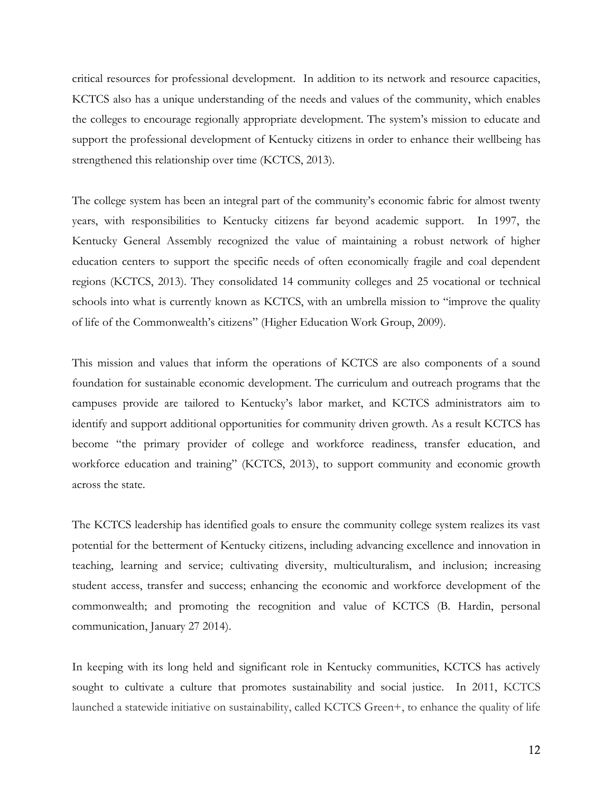critical resources for professional development. In addition to its network and resource capacities, KCTCS also has a unique understanding of the needs and values of the community, which enables the colleges to encourage regionally appropriate development. The system's mission to educate and support the professional development of Kentucky citizens in order to enhance their wellbeing has strengthened this relationship over time (KCTCS, 2013).

The college system has been an integral part of the community's economic fabric for almost twenty years, with responsibilities to Kentucky citizens far beyond academic support. In 1997, the Kentucky General Assembly recognized the value of maintaining a robust network of higher education centers to support the specific needs of often economically fragile and coal dependent regions (KCTCS, 2013). They consolidated 14 community colleges and 25 vocational or technical schools into what is currently known as KCTCS, with an umbrella mission to "improve the quality of life of the Commonwealth's citizens" (Higher Education Work Group, 2009).

This mission and values that inform the operations of KCTCS are also components of a sound foundation for sustainable economic development. The curriculum and outreach programs that the campuses provide are tailored to Kentucky's labor market, and KCTCS administrators aim to identify and support additional opportunities for community driven growth. As a result KCTCS has become "the primary provider of college and workforce readiness, transfer education, and workforce education and training" (KCTCS, 2013), to support community and economic growth across the state.

The KCTCS leadership has identified goals to ensure the community college system realizes its vast potential for the betterment of Kentucky citizens, including advancing excellence and innovation in teaching, learning and service; cultivating diversity, multiculturalism, and inclusion; increasing student access, transfer and success; enhancing the economic and workforce development of the commonwealth; and promoting the recognition and value of KCTCS (B. Hardin, personal communication, January 27 2014).

In keeping with its long held and significant role in Kentucky communities, KCTCS has actively sought to cultivate a culture that promotes sustainability and social justice. In 2011, KCTCS launched a statewide initiative on sustainability, called KCTCS Green+, to enhance the quality of life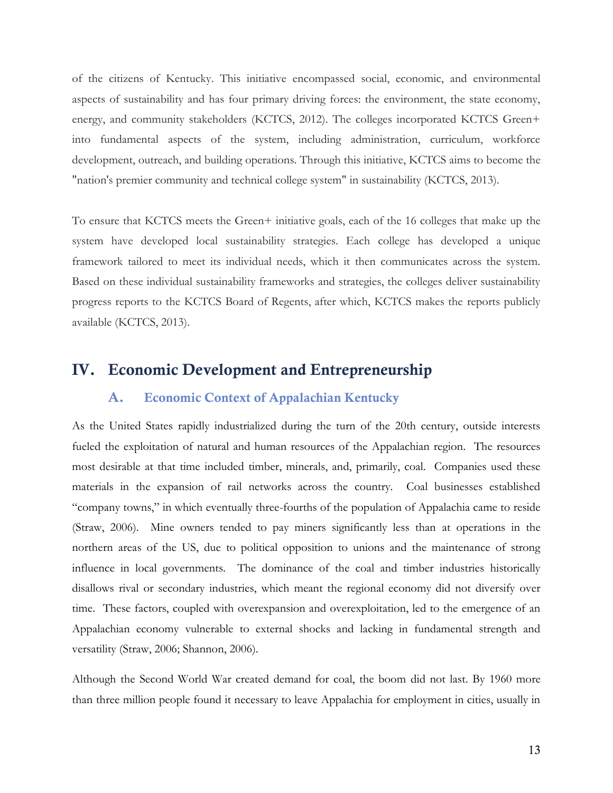of the citizens of Kentucky. This initiative encompassed social, economic, and environmental aspects of sustainability and has four primary driving forces: the environment, the state economy, energy, and community stakeholders (KCTCS, 2012). The colleges incorporated KCTCS Green+ into fundamental aspects of the system, including administration, curriculum, workforce development, outreach, and building operations. Through this initiative, KCTCS aims to become the "nation's premier community and technical college system" in sustainability (KCTCS, 2013).

To ensure that KCTCS meets the Green+ initiative goals, each of the 16 colleges that make up the system have developed local sustainability strategies. Each college has developed a unique framework tailored to meet its individual needs, which it then communicates across the system. Based on these individual sustainability frameworks and strategies, the colleges deliver sustainability progress reports to the KCTCS Board of Regents, after which, KCTCS makes the reports publicly available (KCTCS, 2013).

# **IV. Economic Development and Entrepreneurship**

# **A. Economic Context of Appalachian Kentucky**

As the United States rapidly industrialized during the turn of the 20th century, outside interests fueled the exploitation of natural and human resources of the Appalachian region. The resources most desirable at that time included timber, minerals, and, primarily, coal. Companies used these materials in the expansion of rail networks across the country. Coal businesses established "company towns," in which eventually three-fourths of the population of Appalachia came to reside (Straw, 2006). Mine owners tended to pay miners significantly less than at operations in the northern areas of the US, due to political opposition to unions and the maintenance of strong influence in local governments. The dominance of the coal and timber industries historically disallows rival or secondary industries, which meant the regional economy did not diversify over time. These factors, coupled with overexpansion and overexploitation, led to the emergence of an Appalachian economy vulnerable to external shocks and lacking in fundamental strength and versatility (Straw, 2006; Shannon, 2006).

Although the Second World War created demand for coal, the boom did not last. By 1960 more than three million people found it necessary to leave Appalachia for employment in cities, usually in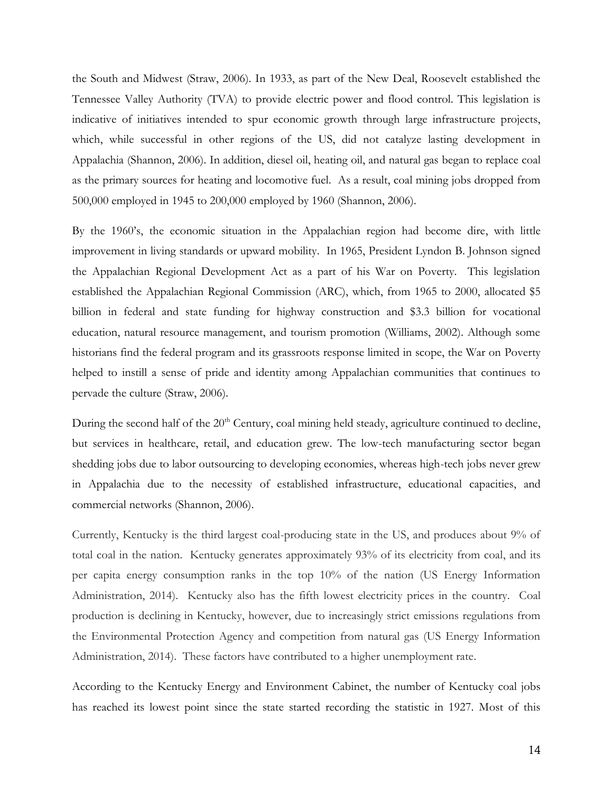the South and Midwest (Straw, 2006). In 1933, as part of the New Deal, Roosevelt established the Tennessee Valley Authority (TVA) to provide electric power and flood control. This legislation is indicative of initiatives intended to spur economic growth through large infrastructure projects, which, while successful in other regions of the US, did not catalyze lasting development in Appalachia (Shannon, 2006). In addition, diesel oil, heating oil, and natural gas began to replace coal as the primary sources for heating and locomotive fuel. As a result, coal mining jobs dropped from 500,000 employed in 1945 to 200,000 employed by 1960 (Shannon, 2006).

By the 1960's, the economic situation in the Appalachian region had become dire, with little improvement in living standards or upward mobility. In 1965, President Lyndon B. Johnson signed the Appalachian Regional Development Act as a part of his War on Poverty. This legislation established the Appalachian Regional Commission (ARC), which, from 1965 to 2000, allocated \$5 billion in federal and state funding for highway construction and \$3.3 billion for vocational education, natural resource management, and tourism promotion (Williams, 2002). Although some historians find the federal program and its grassroots response limited in scope, the War on Poverty helped to instill a sense of pride and identity among Appalachian communities that continues to pervade the culture (Straw, 2006).

During the second half of the  $20<sup>th</sup>$  Century, coal mining held steady, agriculture continued to decline, but services in healthcare, retail, and education grew. The low-tech manufacturing sector began shedding jobs due to labor outsourcing to developing economies, whereas high-tech jobs never grew in Appalachia due to the necessity of established infrastructure, educational capacities, and commercial networks (Shannon, 2006).

Currently, Kentucky is the third largest coal-producing state in the US, and produces about 9% of total coal in the nation. Kentucky generates approximately 93% of its electricity from coal, and its per capita energy consumption ranks in the top 10% of the nation (US Energy Information Administration, 2014). Kentucky also has the fifth lowest electricity prices in the country. Coal production is declining in Kentucky, however, due to increasingly strict emissions regulations from the Environmental Protection Agency and competition from natural gas (US Energy Information Administration, 2014). These factors have contributed to a higher unemployment rate.

According to the Kentucky Energy and Environment Cabinet, the number of Kentucky coal jobs has reached its lowest point since the state started recording the statistic in 1927. Most of this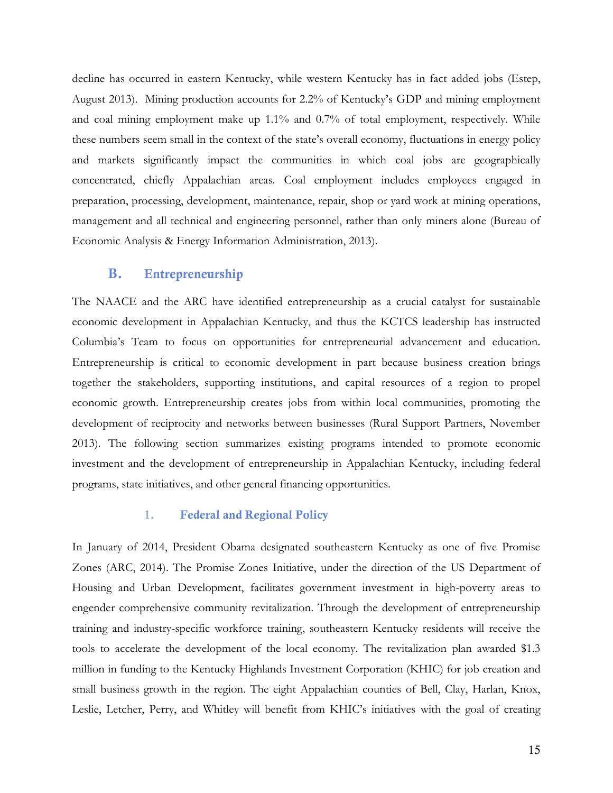decline has occurred in eastern Kentucky, while western Kentucky has in fact added jobs (Estep, August 2013). Mining production accounts for 2.2% of Kentucky's GDP and mining employment and coal mining employment make up 1.1% and 0.7% of total employment, respectively. While these numbers seem small in the context of the state's overall economy, fluctuations in energy policy and markets significantly impact the communities in which coal jobs are geographically concentrated, chiefly Appalachian areas. Coal employment includes employees engaged in preparation, processing, development, maintenance, repair, shop or yard work at mining operations, management and all technical and engineering personnel, rather than only miners alone (Bureau of Economic Analysis & Energy Information Administration, 2013).

### **B. Entrepreneurship**

The NAACE and the ARC have identified entrepreneurship as a crucial catalyst for sustainable economic development in Appalachian Kentucky, and thus the KCTCS leadership has instructed Columbia's Team to focus on opportunities for entrepreneurial advancement and education. Entrepreneurship is critical to economic development in part because business creation brings together the stakeholders, supporting institutions, and capital resources of a region to propel economic growth. Entrepreneurship creates jobs from within local communities, promoting the development of reciprocity and networks between businesses (Rural Support Partners, November 2013). The following section summarizes existing programs intended to promote economic investment and the development of entrepreneurship in Appalachian Kentucky, including federal programs, state initiatives, and other general financing opportunities.

### **1. Federal and Regional Policy**

In January of 2014, President Obama designated southeastern Kentucky as one of five Promise Zones (ARC, 2014). The Promise Zones Initiative, under the direction of the US Department of Housing and Urban Development, facilitates government investment in high-poverty areas to engender comprehensive community revitalization. Through the development of entrepreneurship training and industry-specific workforce training, southeastern Kentucky residents will receive the tools to accelerate the development of the local economy. The revitalization plan awarded \$1.3 million in funding to the Kentucky Highlands Investment Corporation (KHIC) for job creation and small business growth in the region. The eight Appalachian counties of Bell, Clay, Harlan, Knox, Leslie, Letcher, Perry, and Whitley will benefit from KHIC's initiatives with the goal of creating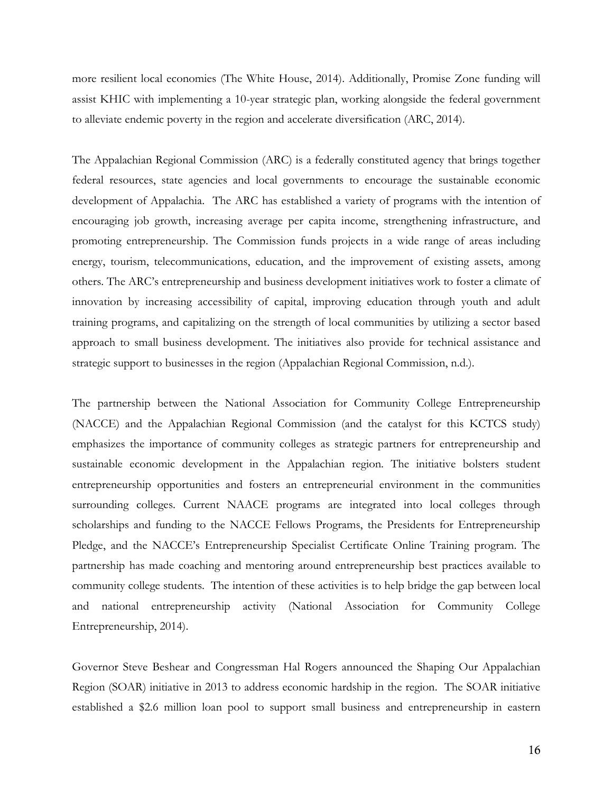more resilient local economies (The White House, 2014). Additionally, Promise Zone funding will assist KHIC with implementing a 10-year strategic plan, working alongside the federal government to alleviate endemic poverty in the region and accelerate diversification (ARC, 2014).

The Appalachian Regional Commission (ARC) is a federally constituted agency that brings together federal resources, state agencies and local governments to encourage the sustainable economic development of Appalachia. The ARC has established a variety of programs with the intention of encouraging job growth, increasing average per capita income, strengthening infrastructure, and promoting entrepreneurship. The Commission funds projects in a wide range of areas including energy, tourism, telecommunications, education, and the improvement of existing assets, among others. The ARC's entrepreneurship and business development initiatives work to foster a climate of innovation by increasing accessibility of capital, improving education through youth and adult training programs, and capitalizing on the strength of local communities by utilizing a sector based approach to small business development. The initiatives also provide for technical assistance and strategic support to businesses in the region (Appalachian Regional Commission, n.d.).

The partnership between the National Association for Community College Entrepreneurship (NACCE) and the Appalachian Regional Commission (and the catalyst for this KCTCS study) emphasizes the importance of community colleges as strategic partners for entrepreneurship and sustainable economic development in the Appalachian region. The initiative bolsters student entrepreneurship opportunities and fosters an entrepreneurial environment in the communities surrounding colleges. Current NAACE programs are integrated into local colleges through scholarships and funding to the NACCE Fellows Programs, the Presidents for Entrepreneurship Pledge, and the NACCE's Entrepreneurship Specialist Certificate Online Training program. The partnership has made coaching and mentoring around entrepreneurship best practices available to community college students. The intention of these activities is to help bridge the gap between local and national entrepreneurship activity (National Association for Community College Entrepreneurship, 2014).

Governor Steve Beshear and Congressman Hal Rogers announced the Shaping Our Appalachian Region (SOAR) initiative in 2013 to address economic hardship in the region. The SOAR initiative established a \$2.6 million loan pool to support small business and entrepreneurship in eastern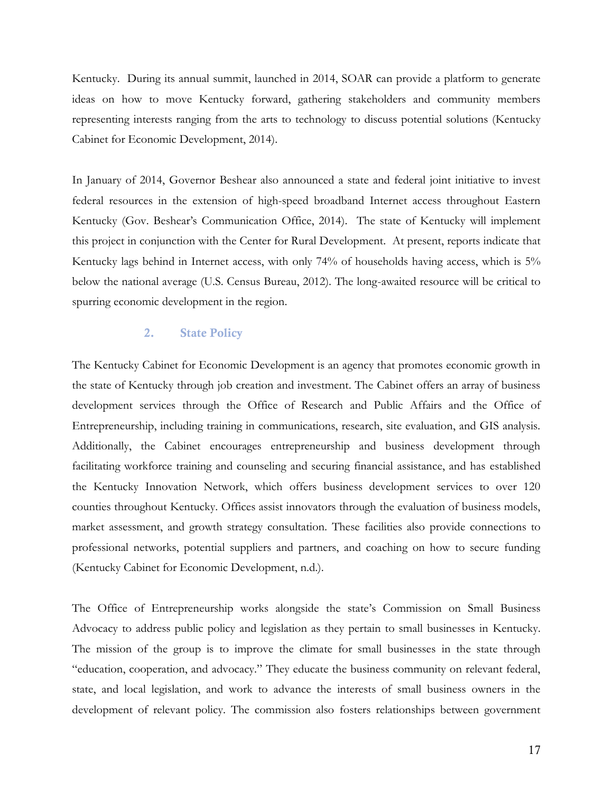Kentucky. During its annual summit, launched in 2014, SOAR can provide a platform to generate ideas on how to move Kentucky forward, gathering stakeholders and community members representing interests ranging from the arts to technology to discuss potential solutions (Kentucky Cabinet for Economic Development, 2014).

In January of 2014, Governor Beshear also announced a state and federal joint initiative to invest federal resources in the extension of high-speed broadband Internet access throughout Eastern Kentucky (Gov. Beshear's Communication Office, 2014). The state of Kentucky will implement this project in conjunction with the Center for Rural Development. At present, reports indicate that Kentucky lags behind in Internet access, with only 74% of households having access, which is 5% below the national average (U.S. Census Bureau, 2012). The long-awaited resource will be critical to spurring economic development in the region.

#### **2. State Policy**

The Kentucky Cabinet for Economic Development is an agency that promotes economic growth in the state of Kentucky through job creation and investment. The Cabinet offers an array of business development services through the Office of Research and Public Affairs and the Office of Entrepreneurship, including training in communications, research, site evaluation, and GIS analysis. Additionally, the Cabinet encourages entrepreneurship and business development through facilitating workforce training and counseling and securing financial assistance, and has established the Kentucky Innovation Network, which offers business development services to over 120 counties throughout Kentucky. Offices assist innovators through the evaluation of business models, market assessment, and growth strategy consultation. These facilities also provide connections to professional networks, potential suppliers and partners, and coaching on how to secure funding (Kentucky Cabinet for Economic Development, n.d.).

The Office of Entrepreneurship works alongside the state's Commission on Small Business Advocacy to address public policy and legislation as they pertain to small businesses in Kentucky. The mission of the group is to improve the climate for small businesses in the state through "education, cooperation, and advocacy." They educate the business community on relevant federal, state, and local legislation, and work to advance the interests of small business owners in the development of relevant policy. The commission also fosters relationships between government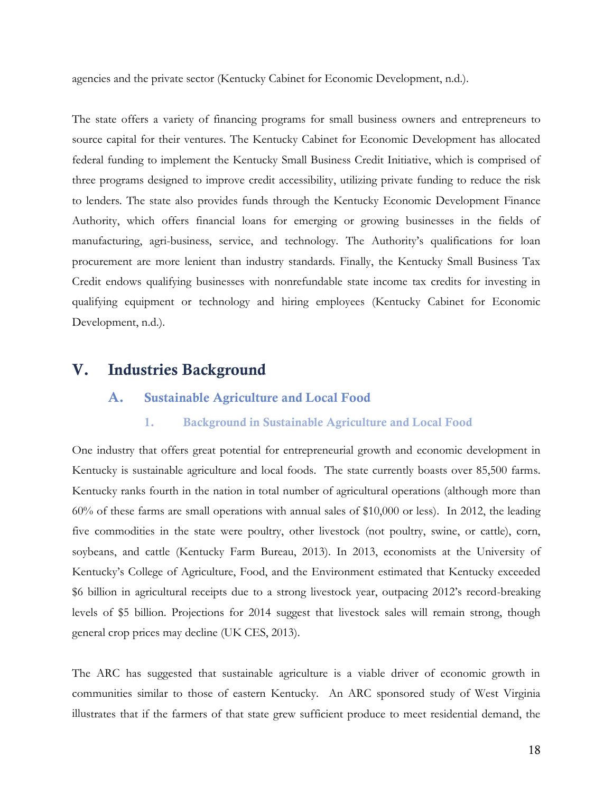agencies and the private sector (Kentucky Cabinet for Economic Development, n.d.).

The state offers a variety of financing programs for small business owners and entrepreneurs to source capital for their ventures. The Kentucky Cabinet for Economic Development has allocated federal funding to implement the Kentucky Small Business Credit Initiative, which is comprised of three programs designed to improve credit accessibility, utilizing private funding to reduce the risk to lenders. The state also provides funds through the Kentucky Economic Development Finance Authority, which offers financial loans for emerging or growing businesses in the fields of manufacturing, agri-business, service, and technology. The Authority's qualifications for loan procurement are more lenient than industry standards. Finally, the Kentucky Small Business Tax Credit endows qualifying businesses with nonrefundable state income tax credits for investing in qualifying equipment or technology and hiring employees (Kentucky Cabinet for Economic Development, n.d.).

# **V. Industries Background**

### **A. Sustainable Agriculture and Local Food**

#### **1. Background in Sustainable Agriculture and Local Food**

One industry that offers great potential for entrepreneurial growth and economic development in Kentucky is sustainable agriculture and local foods. The state currently boasts over 85,500 farms. Kentucky ranks fourth in the nation in total number of agricultural operations (although more than 60% of these farms are small operations with annual sales of \$10,000 or less). In 2012, the leading five commodities in the state were poultry, other livestock (not poultry, swine, or cattle), corn, soybeans, and cattle (Kentucky Farm Bureau, 2013). In 2013, economists at the University of Kentucky's College of Agriculture, Food, and the Environment estimated that Kentucky exceeded \$6 billion in agricultural receipts due to a strong livestock year, outpacing 2012's record-breaking levels of \$5 billion. Projections for 2014 suggest that livestock sales will remain strong, though general crop prices may decline (UK CES, 2013).

The ARC has suggested that sustainable agriculture is a viable driver of economic growth in communities similar to those of eastern Kentucky. An ARC sponsored study of West Virginia illustrates that if the farmers of that state grew sufficient produce to meet residential demand, the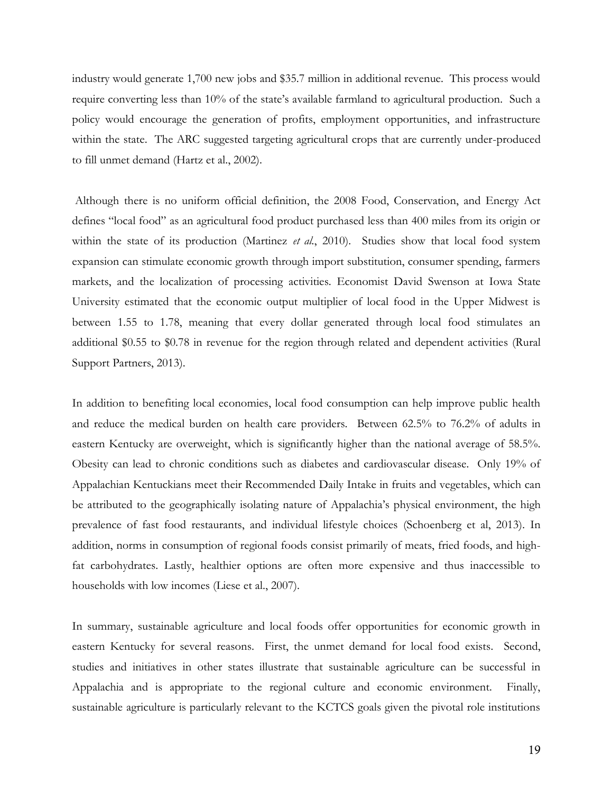industry would generate 1,700 new jobs and \$35.7 million in additional revenue. This process would require converting less than 10% of the state's available farmland to agricultural production. Such a policy would encourage the generation of profits, employment opportunities, and infrastructure within the state. The ARC suggested targeting agricultural crops that are currently under-produced to fill unmet demand (Hartz et al., 2002).

Although there is no uniform official definition, the 2008 Food, Conservation, and Energy Act defines "local food" as an agricultural food product purchased less than 400 miles from its origin or within the state of its production (Martinez *et al.*, 2010). Studies show that local food system expansion can stimulate economic growth through import substitution, consumer spending, farmers markets, and the localization of processing activities. Economist David Swenson at Iowa State University estimated that the economic output multiplier of local food in the Upper Midwest is between 1.55 to 1.78, meaning that every dollar generated through local food stimulates an additional \$0.55 to \$0.78 in revenue for the region through related and dependent activities (Rural Support Partners, 2013).

In addition to benefiting local economies, local food consumption can help improve public health and reduce the medical burden on health care providers. Between 62.5% to 76.2% of adults in eastern Kentucky are overweight, which is significantly higher than the national average of 58.5%. Obesity can lead to chronic conditions such as diabetes and cardiovascular disease. Only 19% of Appalachian Kentuckians meet their Recommended Daily Intake in fruits and vegetables, which can be attributed to the geographically isolating nature of Appalachia's physical environment, the high prevalence of fast food restaurants, and individual lifestyle choices (Schoenberg et al, 2013). In addition, norms in consumption of regional foods consist primarily of meats, fried foods, and highfat carbohydrates. Lastly, healthier options are often more expensive and thus inaccessible to households with low incomes (Liese et al., 2007).

In summary, sustainable agriculture and local foods offer opportunities for economic growth in eastern Kentucky for several reasons. First, the unmet demand for local food exists. Second, studies and initiatives in other states illustrate that sustainable agriculture can be successful in Appalachia and is appropriate to the regional culture and economic environment. Finally, sustainable agriculture is particularly relevant to the KCTCS goals given the pivotal role institutions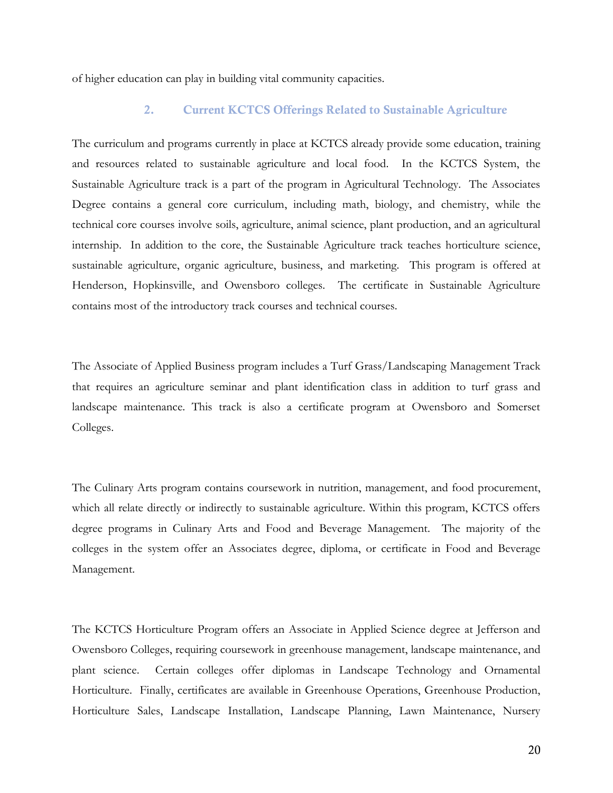of higher education can play in building vital community capacities.

### **2. Current KCTCS Offerings Related to Sustainable Agriculture**

The curriculum and programs currently in place at KCTCS already provide some education, training and resources related to sustainable agriculture and local food. In the KCTCS System, the Sustainable Agriculture track is a part of the program in Agricultural Technology. The Associates Degree contains a general core curriculum, including math, biology, and chemistry, while the technical core courses involve soils, agriculture, animal science, plant production, and an agricultural internship. In addition to the core, the Sustainable Agriculture track teaches horticulture science, sustainable agriculture, organic agriculture, business, and marketing. This program is offered at Henderson, Hopkinsville, and Owensboro colleges. The certificate in Sustainable Agriculture contains most of the introductory track courses and technical courses.

The Associate of Applied Business program includes a Turf Grass/Landscaping Management Track that requires an agriculture seminar and plant identification class in addition to turf grass and landscape maintenance. This track is also a certificate program at Owensboro and Somerset Colleges.

The Culinary Arts program contains coursework in nutrition, management, and food procurement, which all relate directly or indirectly to sustainable agriculture. Within this program, KCTCS offers degree programs in Culinary Arts and Food and Beverage Management. The majority of the colleges in the system offer an Associates degree, diploma, or certificate in Food and Beverage Management.

The KCTCS Horticulture Program offers an Associate in Applied Science degree at Jefferson and Owensboro Colleges, requiring coursework in greenhouse management, landscape maintenance, and plant science. Certain colleges offer diplomas in Landscape Technology and Ornamental Horticulture. Finally, certificates are available in Greenhouse Operations, Greenhouse Production, Horticulture Sales, Landscape Installation, Landscape Planning, Lawn Maintenance, Nursery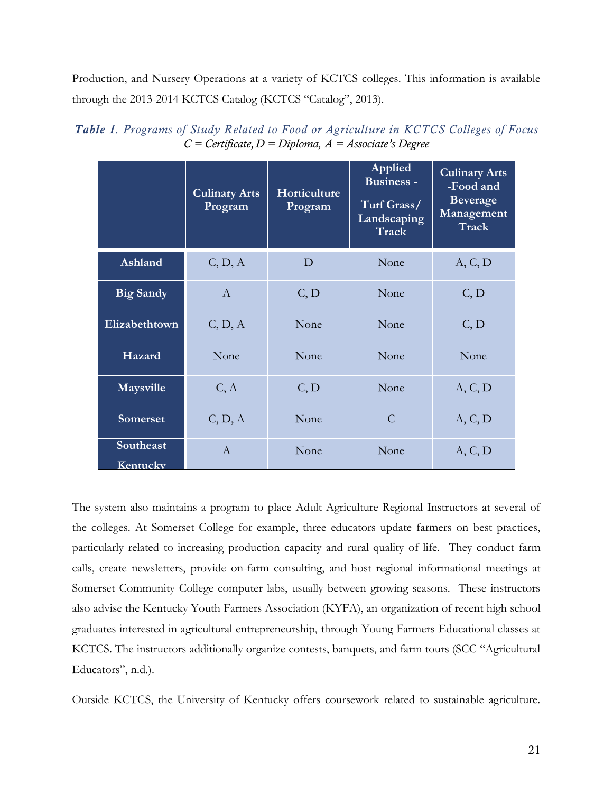Production, and Nursery Operations at a variety of KCTCS colleges. This information is available through the 2013-2014 KCTCS Catalog (KCTCS "Catalog", 2013).

|                       | <b>Culinary Arts</b><br>Program | <b>Horticulture</b><br>Program | Applied<br><b>Business -</b><br>Turf Grass/<br>Landscaping<br>Track | <b>Culinary Arts</b><br>-Food and<br><b>Beverage</b><br>Management<br><b>Track</b> |
|-----------------------|---------------------------------|--------------------------------|---------------------------------------------------------------------|------------------------------------------------------------------------------------|
| Ashland               | C, D, A                         | $\mathbf D$                    | None                                                                | A, C, D                                                                            |
| <b>Big Sandy</b>      | $\mathbf{A}$                    | C, D                           | None                                                                | C, D                                                                               |
| Elizabethtown         | C, D, A                         | None                           | None                                                                | C, D                                                                               |
| Hazard                | None                            | None                           | None                                                                | None                                                                               |
| Maysville             | C, A                            | C, D                           | None                                                                | A, C, D                                                                            |
| <b>Somerset</b>       | C, D, A                         | None                           | $\overline{C}$                                                      | A, C, D                                                                            |
| Southeast<br>Kentucky | $\mathbf{A}$                    | None                           | None                                                                | A, C, D                                                                            |

*Table 1. Programs of Study Related to Food or Agriculture in KCTCS Colleges of Focus C = Certificate, D = Diploma, A = Associate's Degree*

The system also maintains a program to place Adult Agriculture Regional Instructors at several of the colleges. At Somerset College for example, three educators update farmers on best practices, particularly related to increasing production capacity and rural quality of life. They conduct farm calls, create newsletters, provide on-farm consulting, and host regional informational meetings at Somerset Community College computer labs, usually between growing seasons. These instructors also advise the Kentucky Youth Farmers Association (KYFA), an organization of recent high school graduates interested in agricultural entrepreneurship, through Young Farmers Educational classes at KCTCS. The instructors additionally organize contests, banquets, and farm tours (SCC "Agricultural Educators", n.d.).

Outside KCTCS, the University of Kentucky offers coursework related to sustainable agriculture.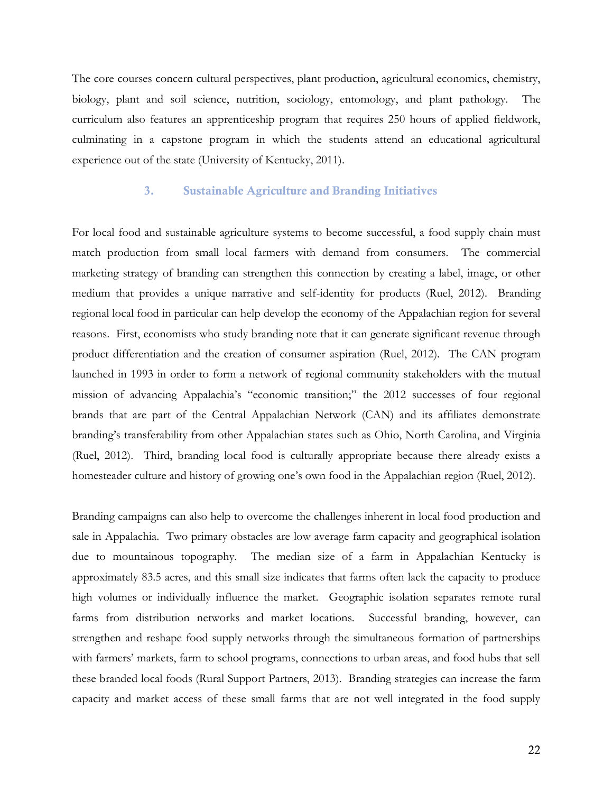The core courses concern cultural perspectives, plant production, agricultural economics, chemistry, biology, plant and soil science, nutrition, sociology, entomology, and plant pathology. The curriculum also features an apprenticeship program that requires 250 hours of applied fieldwork, culminating in a capstone program in which the students attend an educational agricultural experience out of the state (University of Kentucky, 2011).

#### **3. Sustainable Agriculture and Branding Initiatives**

For local food and sustainable agriculture systems to become successful, a food supply chain must match production from small local farmers with demand from consumers. The commercial marketing strategy of branding can strengthen this connection by creating a label, image, or other medium that provides a unique narrative and self-identity for products (Ruel, 2012). Branding regional local food in particular can help develop the economy of the Appalachian region for several reasons. First, economists who study branding note that it can generate significant revenue through product differentiation and the creation of consumer aspiration (Ruel, 2012). The CAN program launched in 1993 in order to form a network of regional community stakeholders with the mutual mission of advancing Appalachia's "economic transition;" the 2012 successes of four regional brands that are part of the Central Appalachian Network (CAN) and its affiliates demonstrate branding's transferability from other Appalachian states such as Ohio, North Carolina, and Virginia (Ruel, 2012). Third, branding local food is culturally appropriate because there already exists a homesteader culture and history of growing one's own food in the Appalachian region (Ruel, 2012).

Branding campaigns can also help to overcome the challenges inherent in local food production and sale in Appalachia. Two primary obstacles are low average farm capacity and geographical isolation due to mountainous topography. The median size of a farm in Appalachian Kentucky is approximately 83.5 acres, and this small size indicates that farms often lack the capacity to produce high volumes or individually influence the market. Geographic isolation separates remote rural farms from distribution networks and market locations. Successful branding, however, can strengthen and reshape food supply networks through the simultaneous formation of partnerships with farmers' markets, farm to school programs, connections to urban areas, and food hubs that sell these branded local foods (Rural Support Partners, 2013). Branding strategies can increase the farm capacity and market access of these small farms that are not well integrated in the food supply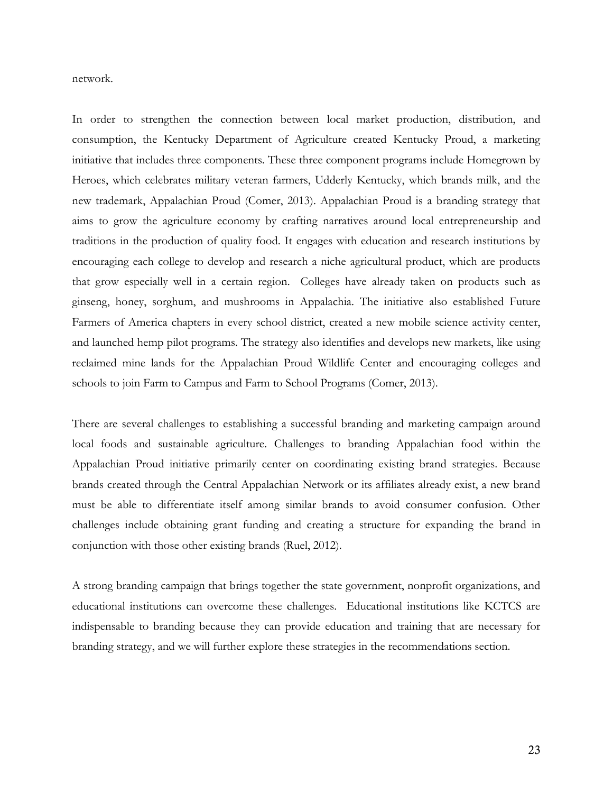network.

In order to strengthen the connection between local market production, distribution, and consumption, the Kentucky Department of Agriculture created Kentucky Proud, a marketing initiative that includes three components. These three component programs include Homegrown by Heroes, which celebrates military veteran farmers, Udderly Kentucky, which brands milk, and the new trademark, Appalachian Proud (Comer, 2013). Appalachian Proud is a branding strategy that aims to grow the agriculture economy by crafting narratives around local entrepreneurship and traditions in the production of quality food. It engages with education and research institutions by encouraging each college to develop and research a niche agricultural product, which are products that grow especially well in a certain region. Colleges have already taken on products such as ginseng, honey, sorghum, and mushrooms in Appalachia. The initiative also established Future Farmers of America chapters in every school district, created a new mobile science activity center, and launched hemp pilot programs. The strategy also identifies and develops new markets, like using reclaimed mine lands for the Appalachian Proud Wildlife Center and encouraging colleges and schools to join Farm to Campus and Farm to School Programs (Comer, 2013).

There are several challenges to establishing a successful branding and marketing campaign around local foods and sustainable agriculture. Challenges to branding Appalachian food within the Appalachian Proud initiative primarily center on coordinating existing brand strategies. Because brands created through the Central Appalachian Network or its affiliates already exist, a new brand must be able to differentiate itself among similar brands to avoid consumer confusion. Other challenges include obtaining grant funding and creating a structure for expanding the brand in conjunction with those other existing brands (Ruel, 2012).

A strong branding campaign that brings together the state government, nonprofit organizations, and educational institutions can overcome these challenges. Educational institutions like KCTCS are indispensable to branding because they can provide education and training that are necessary for branding strategy, and we will further explore these strategies in the recommendations section.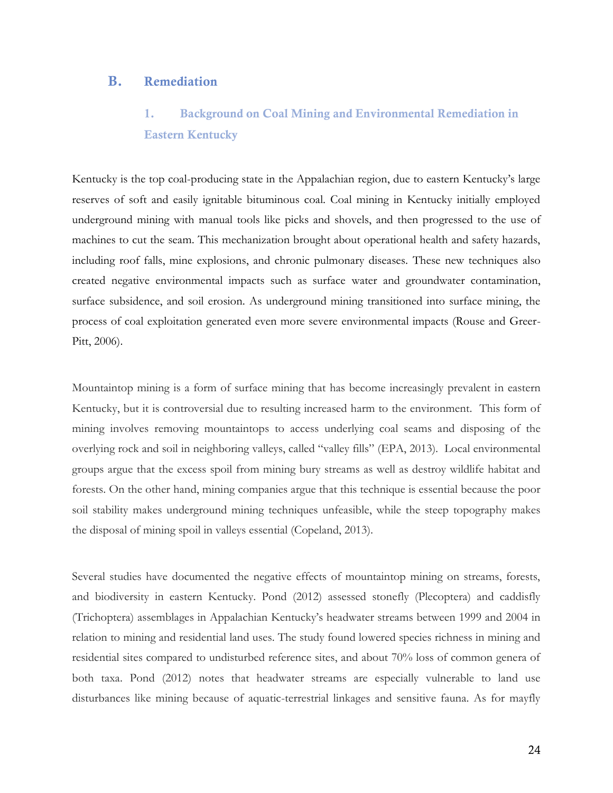## **B. Remediation**

# **1. Background on Coal Mining and Environmental Remediation in Eastern Kentucky**

Kentucky is the top coal-producing state in the Appalachian region, due to eastern Kentucky's large reserves of soft and easily ignitable bituminous coal. Coal mining in Kentucky initially employed underground mining with manual tools like picks and shovels, and then progressed to the use of machines to cut the seam. This mechanization brought about operational health and safety hazards, including roof falls, mine explosions, and chronic pulmonary diseases. These new techniques also created negative environmental impacts such as surface water and groundwater contamination, surface subsidence, and soil erosion. As underground mining transitioned into surface mining, the process of coal exploitation generated even more severe environmental impacts (Rouse and Greer-Pitt, 2006).

Mountaintop mining is a form of surface mining that has become increasingly prevalent in eastern Kentucky, but it is controversial due to resulting increased harm to the environment. This form of mining involves removing mountaintops to access underlying coal seams and disposing of the overlying rock and soil in neighboring valleys, called "valley fills" (EPA, 2013). Local environmental groups argue that the excess spoil from mining bury streams as well as destroy wildlife habitat and forests. On the other hand, mining companies argue that this technique is essential because the poor soil stability makes underground mining techniques unfeasible, while the steep topography makes the disposal of mining spoil in valleys essential (Copeland, 2013).

Several studies have documented the negative effects of mountaintop mining on streams, forests, and biodiversity in eastern Kentucky. Pond (2012) assessed stonefly (Plecoptera) and caddisfly (Trichoptera) assemblages in Appalachian Kentucky's headwater streams between 1999 and 2004 in relation to mining and residential land uses. The study found lowered species richness in mining and residential sites compared to undisturbed reference sites, and about 70% loss of common genera of both taxa. Pond (2012) notes that headwater streams are especially vulnerable to land use disturbances like mining because of aquatic-terrestrial linkages and sensitive fauna. As for mayfly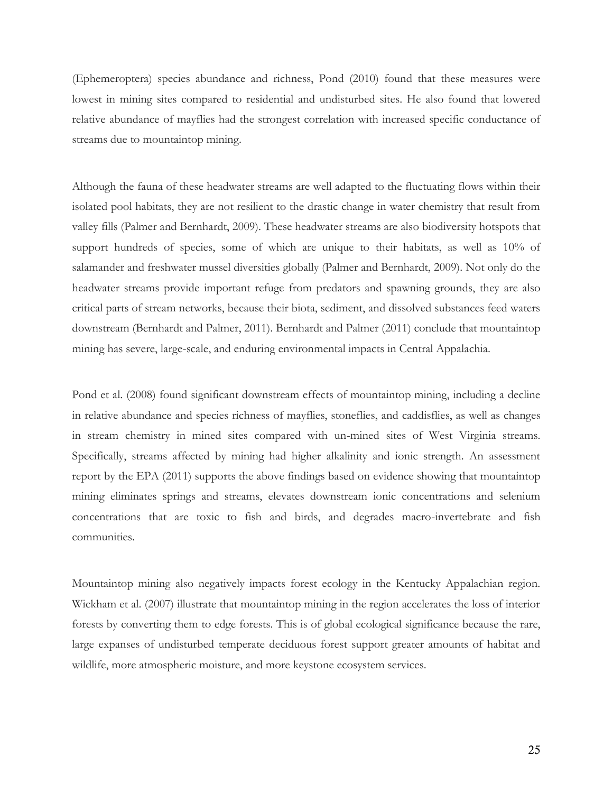(Ephemeroptera) species abundance and richness, Pond (2010) found that these measures were lowest in mining sites compared to residential and undisturbed sites. He also found that lowered relative abundance of mayflies had the strongest correlation with increased specific conductance of streams due to mountaintop mining.

Although the fauna of these headwater streams are well adapted to the fluctuating flows within their isolated pool habitats, they are not resilient to the drastic change in water chemistry that result from valley fills (Palmer and Bernhardt, 2009). These headwater streams are also biodiversity hotspots that support hundreds of species, some of which are unique to their habitats, as well as 10% of salamander and freshwater mussel diversities globally (Palmer and Bernhardt, 2009). Not only do the headwater streams provide important refuge from predators and spawning grounds, they are also critical parts of stream networks, because their biota, sediment, and dissolved substances feed waters downstream (Bernhardt and Palmer, 2011). Bernhardt and Palmer (2011) conclude that mountaintop mining has severe, large-scale, and enduring environmental impacts in Central Appalachia.

Pond et al. (2008) found significant downstream effects of mountaintop mining, including a decline in relative abundance and species richness of mayflies, stoneflies, and caddisflies, as well as changes in stream chemistry in mined sites compared with un-mined sites of West Virginia streams. Specifically, streams affected by mining had higher alkalinity and ionic strength. An assessment report by the EPA (2011) supports the above findings based on evidence showing that mountaintop mining eliminates springs and streams, elevates downstream ionic concentrations and selenium concentrations that are toxic to fish and birds, and degrades macro-invertebrate and fish communities.

Mountaintop mining also negatively impacts forest ecology in the Kentucky Appalachian region. Wickham et al. (2007) illustrate that mountaintop mining in the region accelerates the loss of interior forests by converting them to edge forests. This is of global ecological significance because the rare, large expanses of undisturbed temperate deciduous forest support greater amounts of habitat and wildlife, more atmospheric moisture, and more keystone ecosystem services.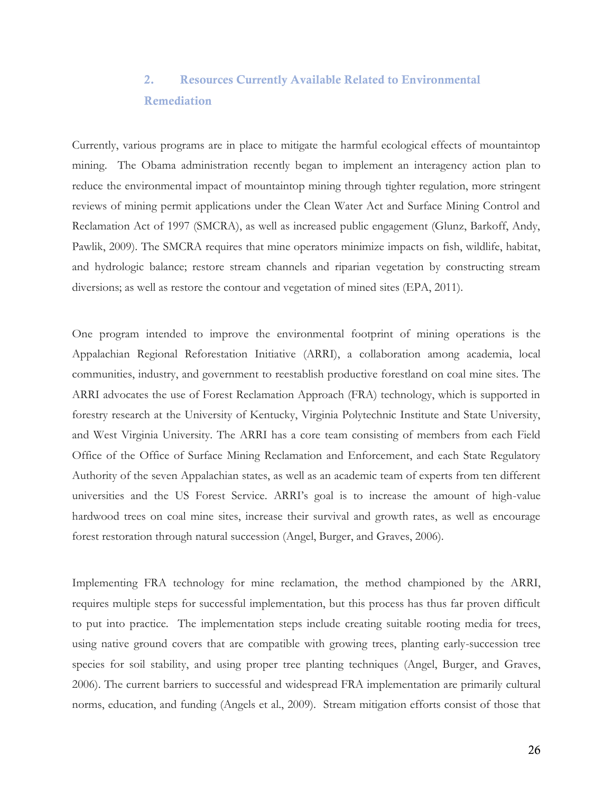# **2. Resources Currently Available Related to Environmental Remediation**

Currently, various programs are in place to mitigate the harmful ecological effects of mountaintop mining. The Obama administration recently began to implement an interagency action plan to reduce the environmental impact of mountaintop mining through tighter regulation, more stringent reviews of mining permit applications under the Clean Water Act and Surface Mining Control and Reclamation Act of 1997 (SMCRA), as well as increased public engagement (Glunz, Barkoff, Andy, Pawlik, 2009). The SMCRA requires that mine operators minimize impacts on fish, wildlife, habitat, and hydrologic balance; restore stream channels and riparian vegetation by constructing stream diversions; as well as restore the contour and vegetation of mined sites (EPA, 2011).

One program intended to improve the environmental footprint of mining operations is the Appalachian Regional Reforestation Initiative (ARRI), a collaboration among academia, local communities, industry, and government to reestablish productive forestland on coal mine sites. The ARRI advocates the use of Forest Reclamation Approach (FRA) technology, which is supported in forestry research at the University of Kentucky, Virginia Polytechnic Institute and State University, and West Virginia University. The ARRI has a core team consisting of members from each Field Office of the Office of Surface Mining Reclamation and Enforcement, and each State Regulatory Authority of the seven Appalachian states, as well as an academic team of experts from ten different universities and the US Forest Service. ARRI's goal is to increase the amount of high-value hardwood trees on coal mine sites, increase their survival and growth rates, as well as encourage forest restoration through natural succession (Angel, Burger, and Graves, 2006).

Implementing FRA technology for mine reclamation, the method championed by the ARRI, requires multiple steps for successful implementation, but this process has thus far proven difficult to put into practice. The implementation steps include creating suitable rooting media for trees, using native ground covers that are compatible with growing trees, planting early-succession tree species for soil stability, and using proper tree planting techniques (Angel, Burger, and Graves, 2006). The current barriers to successful and widespread FRA implementation are primarily cultural norms, education, and funding (Angels et al., 2009). Stream mitigation efforts consist of those that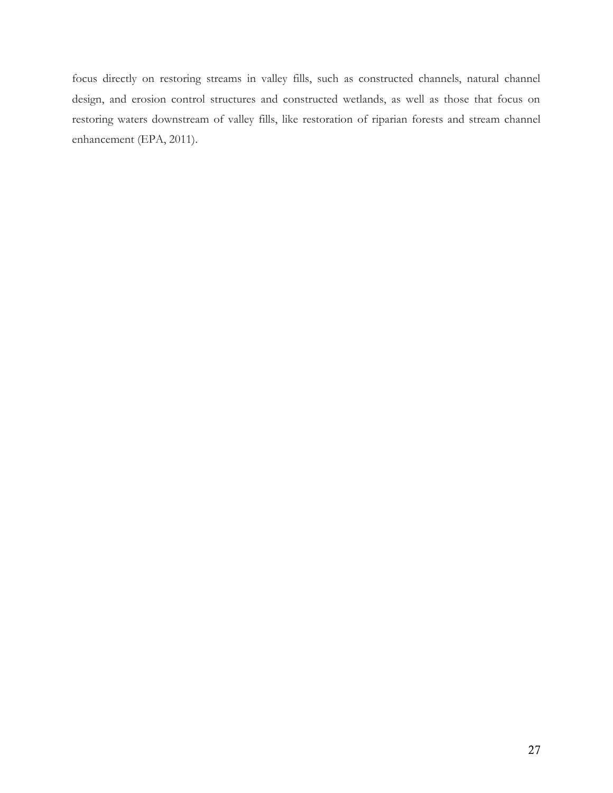focus directly on restoring streams in valley fills, such as constructed channels, natural channel design, and erosion control structures and constructed wetlands, as well as those that focus on restoring waters downstream of valley fills, like restoration of riparian forests and stream channel enhancement (EPA, 2011).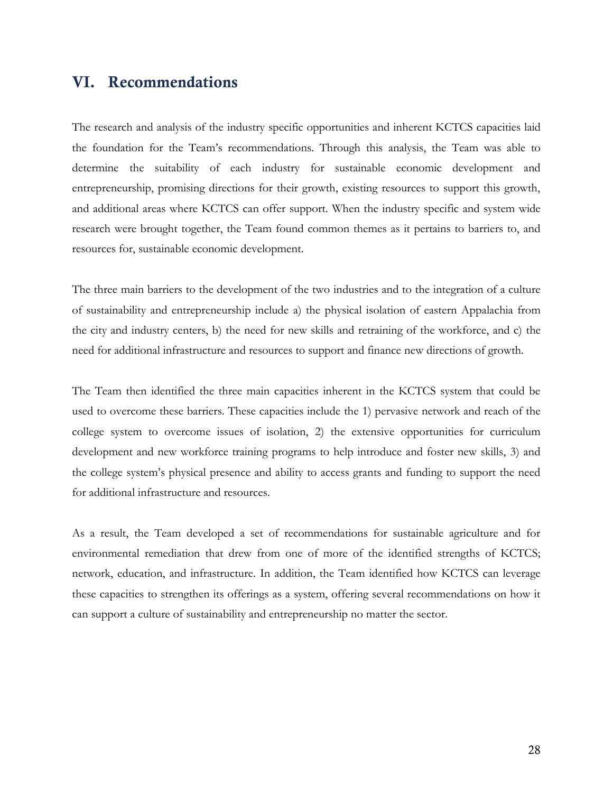# **VI. Recommendations**

The research and analysis of the industry specific opportunities and inherent KCTCS capacities laid the foundation for the Team's recommendations. Through this analysis, the Team was able to determine the suitability of each industry for sustainable economic development and entrepreneurship, promising directions for their growth, existing resources to support this growth, and additional areas where KCTCS can offer support. When the industry specific and system wide research were brought together, the Team found common themes as it pertains to barriers to, and resources for, sustainable economic development.

The three main barriers to the development of the two industries and to the integration of a culture of sustainability and entrepreneurship include a) the physical isolation of eastern Appalachia from the city and industry centers, b) the need for new skills and retraining of the workforce, and c) the need for additional infrastructure and resources to support and finance new directions of growth.

The Team then identified the three main capacities inherent in the KCTCS system that could be used to overcome these barriers. These capacities include the 1) pervasive network and reach of the college system to overcome issues of isolation, 2) the extensive opportunities for curriculum development and new workforce training programs to help introduce and foster new skills, 3) and the college system's physical presence and ability to access grants and funding to support the need for additional infrastructure and resources.

As a result, the Team developed a set of recommendations for sustainable agriculture and for environmental remediation that drew from one of more of the identified strengths of KCTCS; network, education, and infrastructure. In addition, the Team identified how KCTCS can leverage these capacities to strengthen its offerings as a system, offering several recommendations on how it can support a culture of sustainability and entrepreneurship no matter the sector.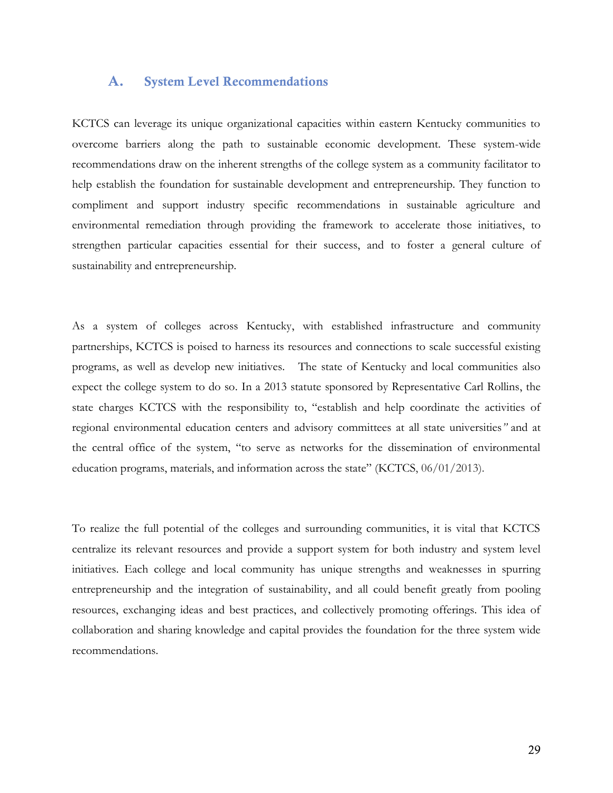### **A. System Level Recommendations**

KCTCS can leverage its unique organizational capacities within eastern Kentucky communities to overcome barriers along the path to sustainable economic development. These system-wide recommendations draw on the inherent strengths of the college system as a community facilitator to help establish the foundation for sustainable development and entrepreneurship. They function to compliment and support industry specific recommendations in sustainable agriculture and environmental remediation through providing the framework to accelerate those initiatives, to strengthen particular capacities essential for their success, and to foster a general culture of sustainability and entrepreneurship.

As a system of colleges across Kentucky, with established infrastructure and community partnerships, KCTCS is poised to harness its resources and connections to scale successful existing programs, as well as develop new initiatives. The state of Kentucky and local communities also expect the college system to do so. In a 2013 statute sponsored by Representative Carl Rollins, the state charges KCTCS with the responsibility to, "establish and help coordinate the activities of regional environmental education centers and advisory committees at all state universities*"* and at the central office of the system, "to serve as networks for the dissemination of environmental education programs, materials, and information across the state" (KCTCS, 06/01/2013).

To realize the full potential of the colleges and surrounding communities, it is vital that KCTCS centralize its relevant resources and provide a support system for both industry and system level initiatives. Each college and local community has unique strengths and weaknesses in spurring entrepreneurship and the integration of sustainability, and all could benefit greatly from pooling resources, exchanging ideas and best practices, and collectively promoting offerings. This idea of collaboration and sharing knowledge and capital provides the foundation for the three system wide recommendations.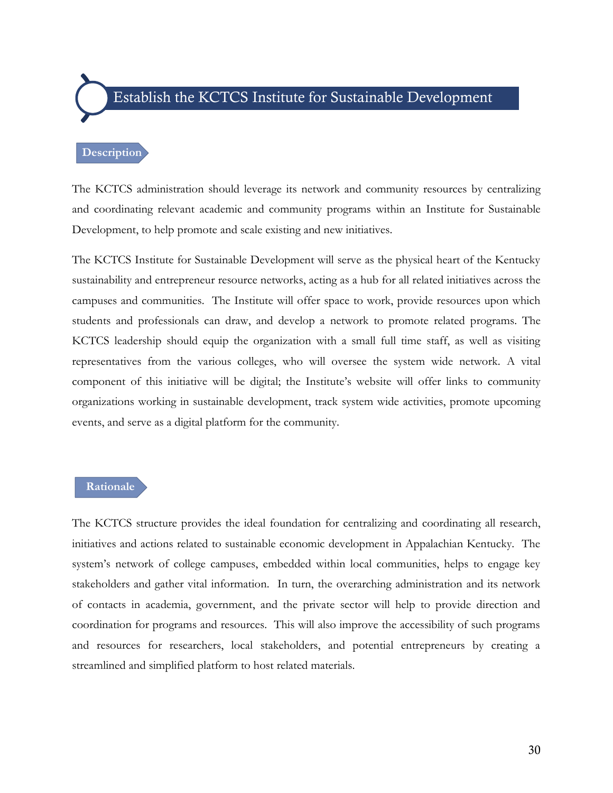# Establish the KCTCS Institute for Sustainable Development

#### **Description**

The KCTCS administration should leverage its network and community resources by centralizing and coordinating relevant academic and community programs within an Institute for Sustainable Development, to help promote and scale existing and new initiatives.

The KCTCS Institute for Sustainable Development will serve as the physical heart of the Kentucky sustainability and entrepreneur resource networks, acting as a hub for all related initiatives across the campuses and communities. The Institute will offer space to work, provide resources upon which students and professionals can draw, and develop a network to promote related programs. The KCTCS leadership should equip the organization with a small full time staff, as well as visiting representatives from the various colleges, who will oversee the system wide network. A vital component of this initiative will be digital; the Institute's website will offer links to community organizations working in sustainable development, track system wide activities, promote upcoming events, and serve as a digital platform for the community.

#### **Rationale**

The KCTCS structure provides the ideal foundation for centralizing and coordinating all research, initiatives and actions related to sustainable economic development in Appalachian Kentucky. The system's network of college campuses, embedded within local communities, helps to engage key stakeholders and gather vital information. In turn, the overarching administration and its network of contacts in academia, government, and the private sector will help to provide direction and coordination for programs and resources. This will also improve the accessibility of such programs and resources for researchers, local stakeholders, and potential entrepreneurs by creating a streamlined and simplified platform to host related materials.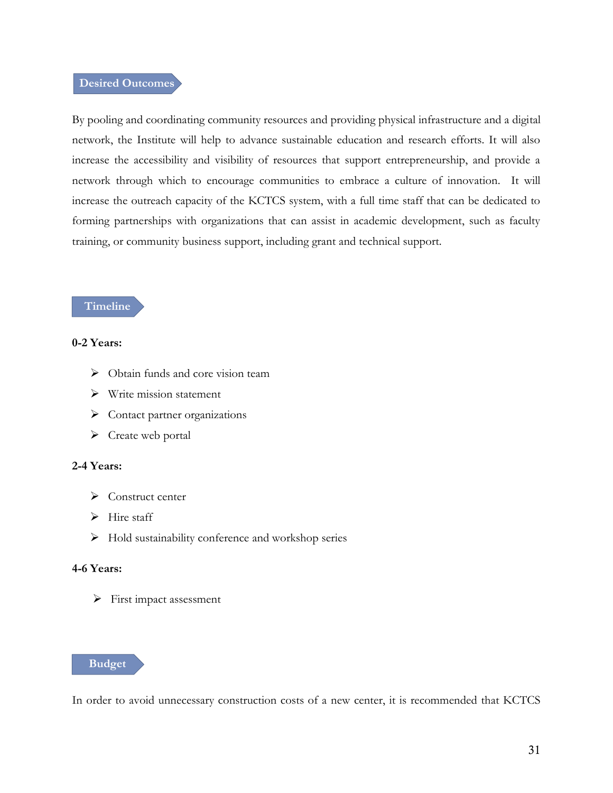### **Desired Outcomes**

By pooling and coordinating community resources and providing physical infrastructure and a digital network, the Institute will help to advance sustainable education and research efforts. It will also increase the accessibility and visibility of resources that support entrepreneurship, and provide a network through which to encourage communities to embrace a culture of innovation. It will increase the outreach capacity of the KCTCS system, with a full time staff that can be dedicated to forming partnerships with organizations that can assist in academic development, such as faculty training, or community business support, including grant and technical support.

#### **Timeline**

### **0-2 Years:**

- $\triangleright$  Obtain funds and core vision team
- $\triangleright$  Write mission statement
- > Contact partner organizations
- $\triangleright$  Create web portal

#### **2-4 Years:**

- $\triangleright$  Construct center
- $\triangleright$  Hire staff
- $\triangleright$  Hold sustainability conference and workshop series

#### **4-6 Years:**

 $\triangleright$  First impact assessment



In order to avoid unnecessary construction costs of a new center, it is recommended that KCTCS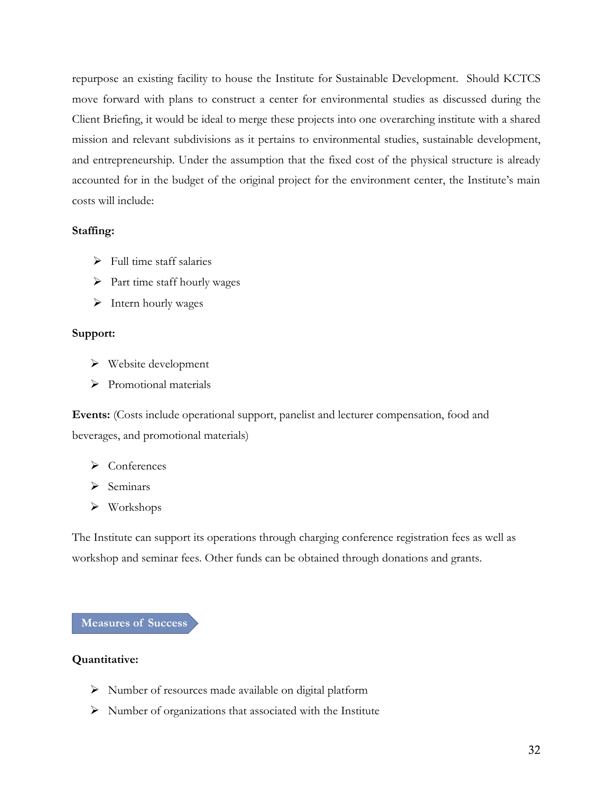repurpose an existing facility to house the Institute for Sustainable Development. Should KCTCS move forward with plans to construct a center for environmental studies as discussed during the Client Briefing, it would be ideal to merge these projects into one overarching institute with a shared mission and relevant subdivisions as it pertains to environmental studies, sustainable development, and entrepreneurship. Under the assumption that the fixed cost of the physical structure is already accounted for in the budget of the original project for the environment center, the Institute's main costs will include:

### **Staffing:**

- $\triangleright$  Full time staff salaries
- $\triangleright$  Part time staff hourly wages
- $\blacktriangleright$  Intern hourly wages

#### **Support:**

- $\triangleright$  Website development
- > Promotional materials

**Events:** (Costs include operational support, panelist and lecturer compensation, food and beverages, and promotional materials)

- $\triangleright$  Conferences
- $\triangleright$  Seminars
- Workshops

The Institute can support its operations through charging conference registration fees as well as workshop and seminar fees. Other funds can be obtained through donations and grants.

#### **Measures of Success**

#### **Quantitative:**

- Number of resources made available on digital platform
- $\triangleright$  Number of organizations that associated with the Institute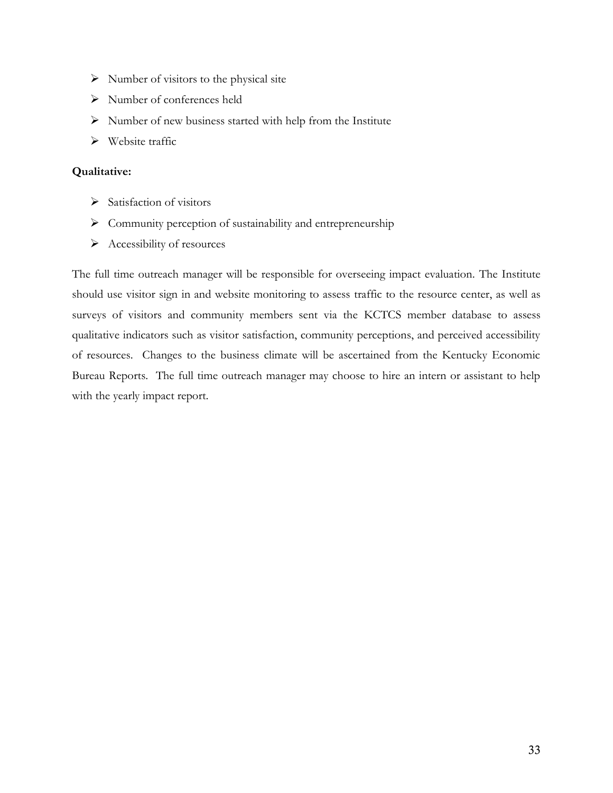- $\triangleright$  Number of visitors to the physical site
- Number of conferences held
- $\triangleright$  Number of new business started with help from the Institute
- $\triangleright$  Website traffic

### **Qualitative:**

- $\triangleright$  Satisfaction of visitors
- $\triangleright$  Community perception of sustainability and entrepreneurship
- $\triangleright$  Accessibility of resources

The full time outreach manager will be responsible for overseeing impact evaluation. The Institute should use visitor sign in and website monitoring to assess traffic to the resource center, as well as surveys of visitors and community members sent via the KCTCS member database to assess qualitative indicators such as visitor satisfaction, community perceptions, and perceived accessibility of resources. Changes to the business climate will be ascertained from the Kentucky Economic Bureau Reports. The full time outreach manager may choose to hire an intern or assistant to help with the yearly impact report.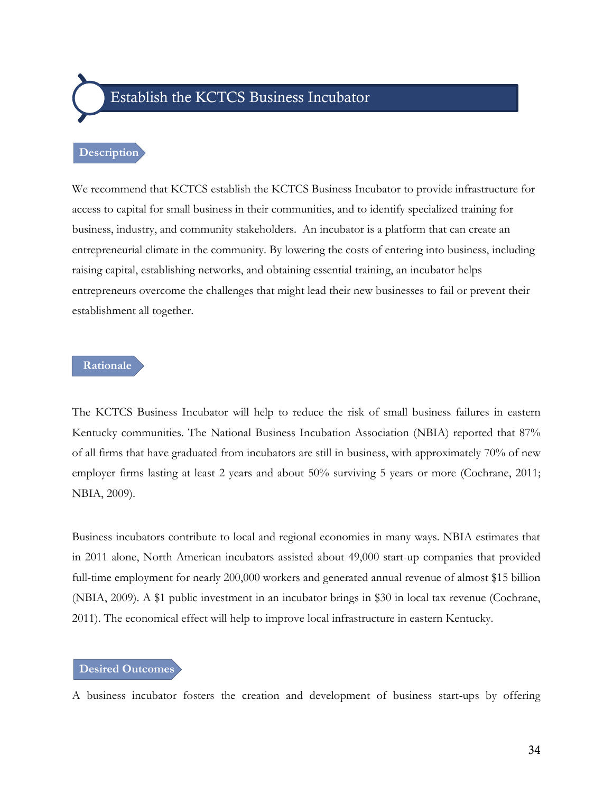# Establish the KCTCS Business Incubator

#### **Description**

We recommend that KCTCS establish the KCTCS Business Incubator to provide infrastructure for access to capital for small business in their communities, and to identify specialized training for business, industry, and community stakeholders. An incubator is a platform that can create an entrepreneurial climate in the community. By lowering the costs of entering into business, including raising capital, establishing networks, and obtaining essential training, an incubator helps entrepreneurs overcome the challenges that might lead their new businesses to fail or prevent their establishment all together.

### **Rationale**

The KCTCS Business Incubator will help to reduce the risk of small business failures in eastern Kentucky communities. The National Business Incubation Association (NBIA) reported that 87% of all firms that have graduated from incubators are still in business, with approximately 70% of new employer firms lasting at least 2 years and about 50% surviving 5 years or more (Cochrane, 2011; NBIA, 2009).

Business incubators contribute to local and regional economies in many ways. NBIA estimates that in 2011 alone, North American incubators assisted about 49,000 start-up companies that provided full-time employment for nearly 200,000 workers and generated annual revenue of almost \$15 billion (NBIA, 2009). A \$1 public investment in an incubator brings in \$30 in local tax revenue (Cochrane, 2011). The economical effect will help to improve local infrastructure in eastern Kentucky.

#### **Desired Outcomes**

A business incubator fosters the creation and development of business start-ups by offering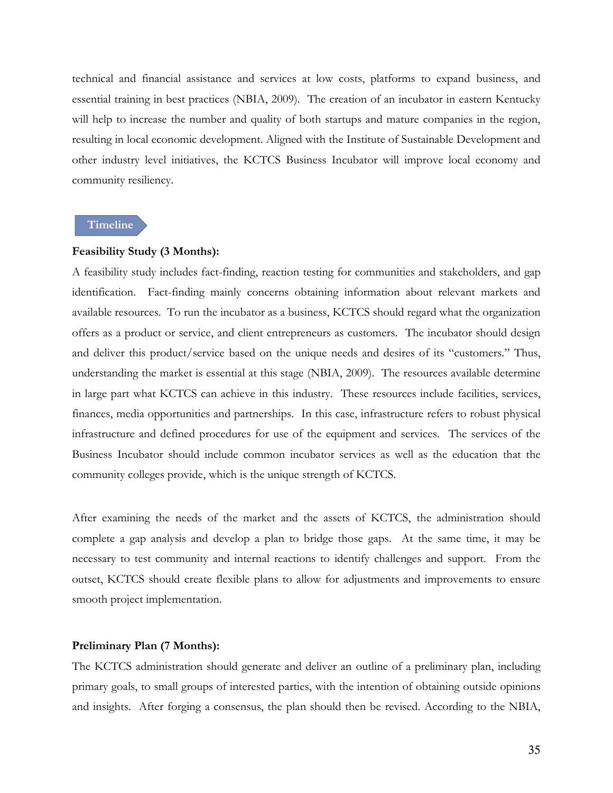technical and financial assistance and services at low costs, platforms to expand business, and essential training in best practices (NBIA, 2009). The creation of an incubator in eastern Kentucky will help to increase the number and quality of both startups and mature companies in the region, resulting in local economic development. Aligned with the Institute of Sustainable Development and other industry level initiatives, the KCTCS Business Incubator will improve local economy and community resiliency.

#### **Timeline**

#### **Feasibility Study (3 Months):**

A feasibility study includes fact-finding, reaction testing for communities and stakeholders, and gap identification. Fact-finding mainly concerns obtaining information about relevant markets and available resources. To run the incubator as a business, KCTCS should regard what the organization offers as a product or service, and client entrepreneurs as customers. The incubator should design and deliver this product/service based on the unique needs and desires of its "customers." Thus, understanding the market is essential at this stage (NBIA, 2009). The resources available determine in large part what KCTCS can achieve in this industry. These resources include facilities, services, finances, media opportunities and partnerships. In this case, infrastructure refers to robust physical infrastructure and defined procedures for use of the equipment and services. The services of the Business Incubator should include common incubator services as well as the education that the community colleges provide, which is the unique strength of KCTCS.

After examining the needs of the market and the assets of KCTCS, the administration should complete a gap analysis and develop a plan to bridge those gaps. At the same time, it may be necessary to test community and internal reactions to identify challenges and support. From the outset, KCTCS should create flexible plans to allow for adjustments and improvements to ensure smooth project implementation.

#### **Preliminary Plan (7 Months):**

The KCTCS administration should generate and deliver an outline of a preliminary plan, including primary goals, to small groups of interested parties, with the intention of obtaining outside opinions and insights. After forging a consensus, the plan should then be revised. According to the NBIA,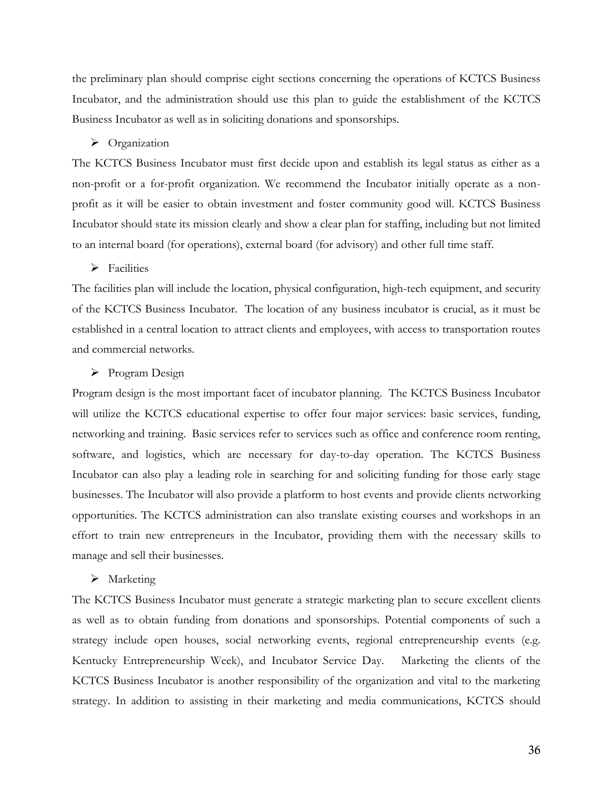the preliminary plan should comprise eight sections concerning the operations of KCTCS Business Incubator, and the administration should use this plan to guide the establishment of the KCTCS Business Incubator as well as in soliciting donations and sponsorships.

#### > Organization

The KCTCS Business Incubator must first decide upon and establish its legal status as either as a non-profit or a for-profit organization. We recommend the Incubator initially operate as a nonprofit as it will be easier to obtain investment and foster community good will. KCTCS Business Incubator should state its mission clearly and show a clear plan for staffing, including but not limited to an internal board (for operations), external board (for advisory) and other full time staff.

#### $\triangleright$  Facilities

The facilities plan will include the location, physical configuration, high-tech equipment, and security of the KCTCS Business Incubator. The location of any business incubator is crucial, as it must be established in a central location to attract clients and employees, with access to transportation routes and commercial networks.

#### $\triangleright$  Program Design

Program design is the most important facet of incubator planning. The KCTCS Business Incubator will utilize the KCTCS educational expertise to offer four major services: basic services, funding, networking and training. Basic services refer to services such as office and conference room renting, software, and logistics, which are necessary for day-to-day operation. The KCTCS Business Incubator can also play a leading role in searching for and soliciting funding for those early stage businesses. The Incubator will also provide a platform to host events and provide clients networking opportunities. The KCTCS administration can also translate existing courses and workshops in an effort to train new entrepreneurs in the Incubator, providing them with the necessary skills to manage and sell their businesses.

#### > Marketing

The KCTCS Business Incubator must generate a strategic marketing plan to secure excellent clients as well as to obtain funding from donations and sponsorships. Potential components of such a strategy include open houses, social networking events, regional entrepreneurship events (e.g. Kentucky Entrepreneurship Week), and Incubator Service Day. Marketing the clients of the KCTCS Business Incubator is another responsibility of the organization and vital to the marketing strategy. In addition to assisting in their marketing and media communications, KCTCS should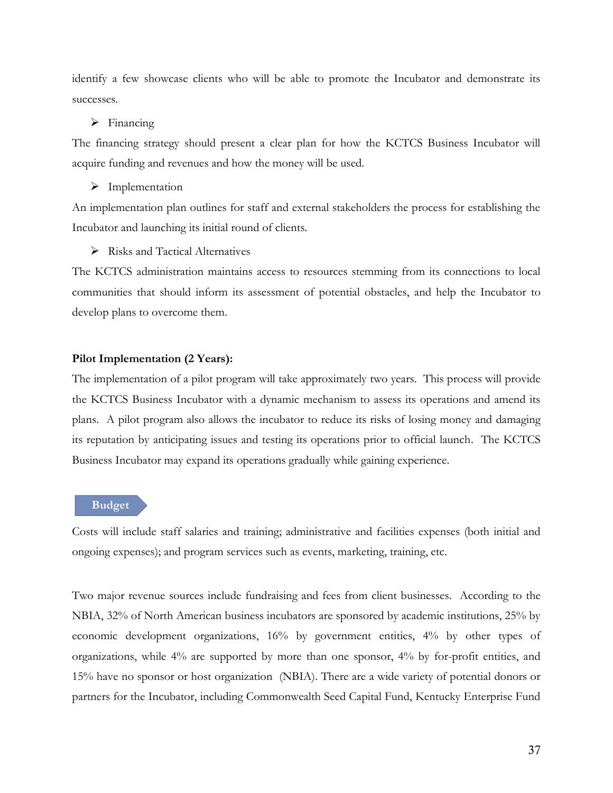identify a few showcase clients who will be able to promote the Incubator and demonstrate its successes.

#### $\triangleright$  Financing

The financing strategy should present a clear plan for how the KCTCS Business Incubator will acquire funding and revenues and how the money will be used.

> Implementation

An implementation plan outlines for staff and external stakeholders the process for establishing the Incubator and launching its initial round of clients.

 $\triangleright$  Risks and Tactical Alternatives

The KCTCS administration maintains access to resources stemming from its connections to local communities that should inform its assessment of potential obstacles, and help the Incubator to develop plans to overcome them.

#### **Pilot Implementation (2 Years):**

The implementation of a pilot program will take approximately two years. This process will provide the KCTCS Business Incubator with a dynamic mechanism to assess its operations and amend its plans. A pilot program also allows the incubator to reduce its risks of losing money and damaging its reputation by anticipating issues and testing its operations prior to official launch. The KCTCS Business Incubator may expand its operations gradually while gaining experience.

#### **Budget**

Costs will include staff salaries and training; administrative and facilities expenses (both initial and ongoing expenses); and program services such as events, marketing, training, etc.

Two major revenue sources include fundraising and fees from client businesses. According to the NBIA, 32% of North American business incubators are sponsored by academic institutions, 25% by economic development organizations, 16% by government entities, 4% by other types of organizations, while 4% are supported by more than one sponsor, 4% by for-profit entities, and 15% have no sponsor or host organization (NBIA). There are a wide variety of potential donors or partners for the Incubator, including Commonwealth Seed Capital Fund, Kentucky Enterprise Fund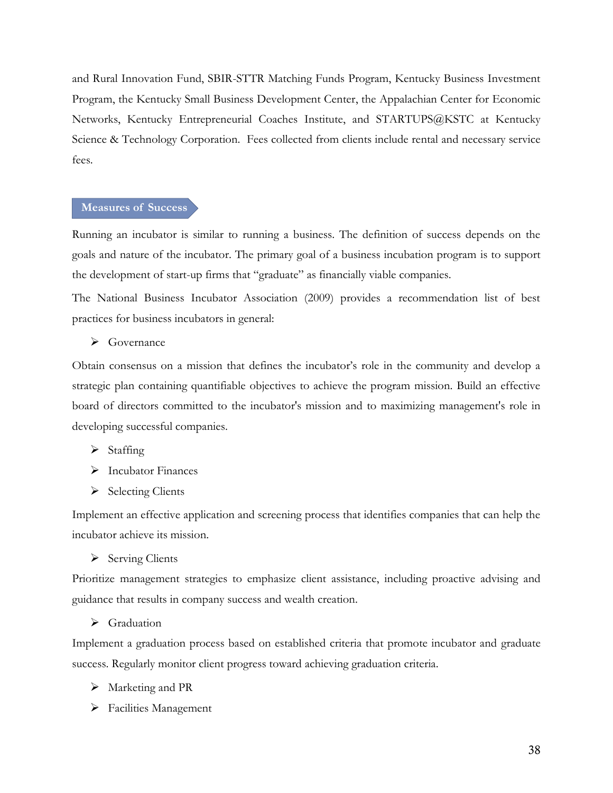and Rural Innovation Fund, SBIR-STTR Matching Funds Program, Kentucky Business Investment Program, the Kentucky Small Business Development Center, the Appalachian Center for Economic Networks, Kentucky Entrepreneurial Coaches Institute, and STARTUPS@KSTC at Kentucky Science & Technology Corporation. Fees collected from clients include rental and necessary service fees.

#### **Measures of Success**

Running an incubator is similar to running a business. The definition of success depends on the goals and nature of the incubator. The primary goal of a business incubation program is to support the development of start-up firms that "graduate" as financially viable companies.

The National Business Incubator Association (2009) provides a recommendation list of best practices for business incubators in general:

#### $\triangleright$  Governance

Obtain consensus on a mission that defines the incubator's role in the community and develop a strategic plan containing quantifiable objectives to achieve the program mission. Build an effective board of directors committed to the incubator's mission and to maximizing management's role in developing successful companies.

- $\triangleright$  Staffing
- > Incubator Finances
- $\triangleright$  Selecting Clients

Implement an effective application and screening process that identifies companies that can help the incubator achieve its mission.

 $\triangleright$  Serving Clients

Prioritize management strategies to emphasize client assistance, including proactive advising and guidance that results in company success and wealth creation.

#### Graduation

Implement a graduation process based on established criteria that promote incubator and graduate success. Regularly monitor client progress toward achieving graduation criteria.

- $\triangleright$  Marketing and PR
- $\triangleright$  Facilities Management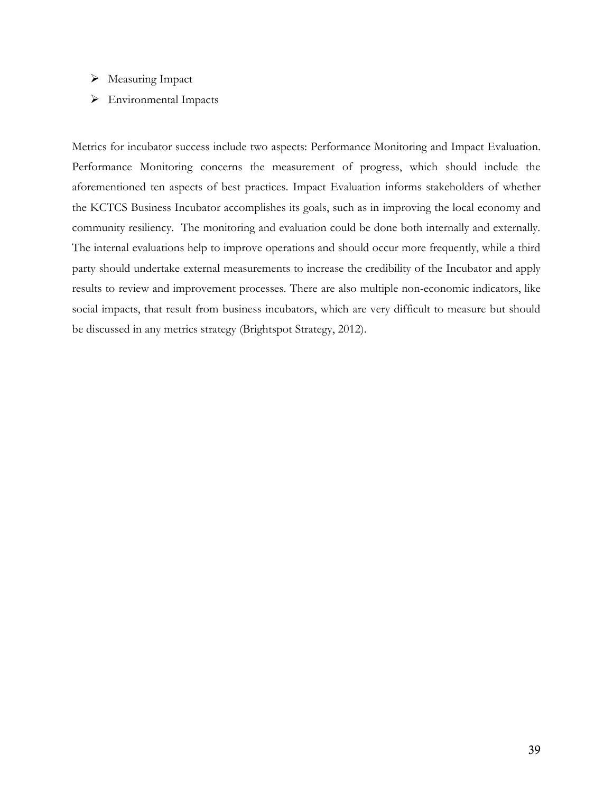- $\triangleright$  Measuring Impact
- Environmental Impacts

Metrics for incubator success include two aspects: Performance Monitoring and Impact Evaluation. Performance Monitoring concerns the measurement of progress, which should include the aforementioned ten aspects of best practices. Impact Evaluation informs stakeholders of whether the KCTCS Business Incubator accomplishes its goals, such as in improving the local economy and community resiliency. The monitoring and evaluation could be done both internally and externally. The internal evaluations help to improve operations and should occur more frequently, while a third party should undertake external measurements to increase the credibility of the Incubator and apply results to review and improvement processes. There are also multiple non-economic indicators, like social impacts, that result from business incubators, which are very difficult to measure but should be discussed in any metrics strategy (Brightspot Strategy, 2012).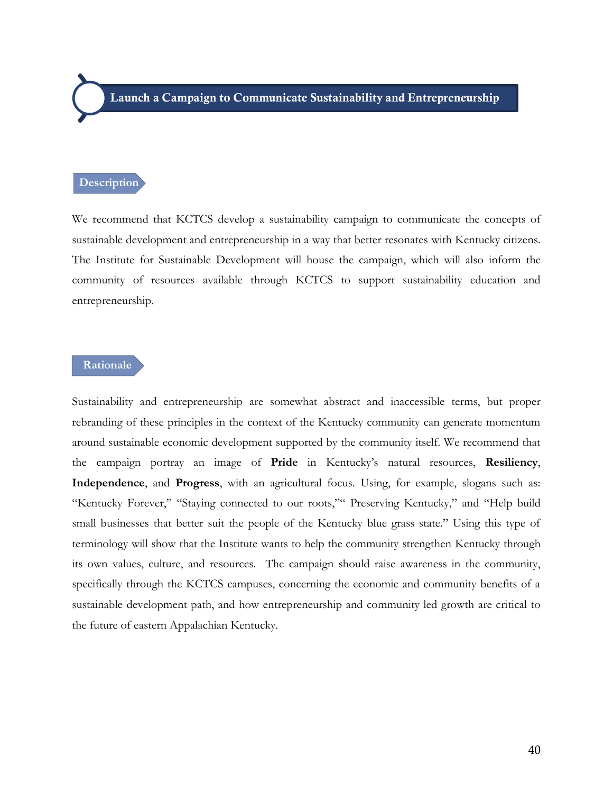# **Description**

We recommend that KCTCS develop a sustainability campaign to communicate the concepts of sustainable development and entrepreneurship in a way that better resonates with Kentucky citizens. The Institute for Sustainable Development will house the campaign, which will also inform the community of resources available through KCTCS to support sustainability education and entrepreneurship.

### **Rationale**

Sustainability and entrepreneurship are somewhat abstract and inaccessible terms, but proper rebranding of these principles in the context of the Kentucky community can generate momentum around sustainable economic development supported by the community itself. We recommend that the campaign portray an image of **Pride** in Kentucky's natural resources, **Resiliency**, **Independence**, and **Progress**, with an agricultural focus. Using, for example, slogans such as: "Kentucky Forever," "Staying connected to our roots,"" Preserving Kentucky," and "Help build small businesses that better suit the people of the Kentucky blue grass state." Using this type of terminology will show that the Institute wants to help the community strengthen Kentucky through its own values, culture, and resources. The campaign should raise awareness in the community, specifically through the KCTCS campuses, concerning the economic and community benefits of a sustainable development path, and how entrepreneurship and community led growth are critical to the future of eastern Appalachian Kentucky.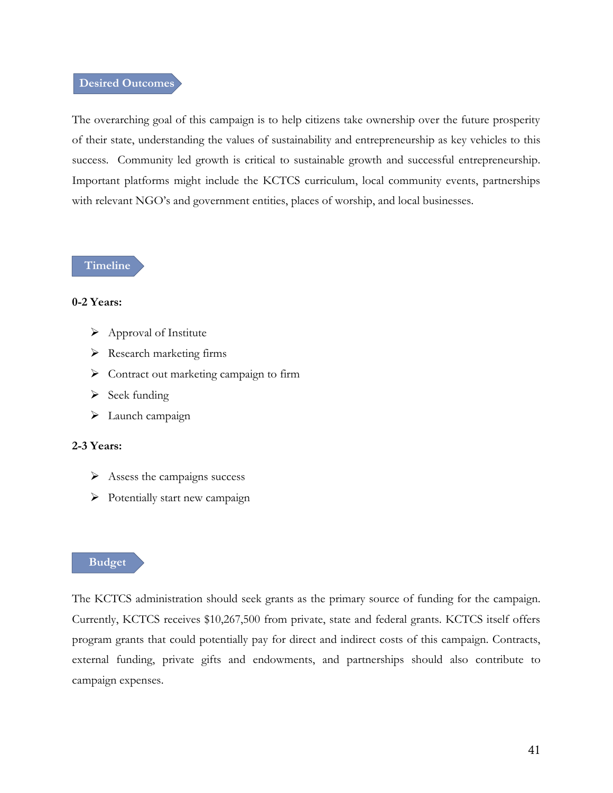### **Desired Outcomes**

The overarching goal of this campaign is to help citizens take ownership over the future prosperity of their state, understanding the values of sustainability and entrepreneurship as key vehicles to this success. Community led growth is critical to sustainable growth and successful entrepreneurship. Important platforms might include the KCTCS curriculum, local community events, partnerships with relevant NGO's and government entities, places of worship, and local businesses.

**Timeline**

#### **0-2 Years:**

- $\triangleright$  Approval of Institute
- $\triangleright$  Research marketing firms
- $\triangleright$  Contract out marketing campaign to firm
- $\triangleright$  Seek funding
- > Launch campaign

# **2-3 Years:**

- $\triangleright$  Assess the campaigns success
- $\triangleright$  Potentially start new campaign

#### **Budget**

The KCTCS administration should seek grants as the primary source of funding for the campaign. Currently, KCTCS receives \$10,267,500 from private, state and federal grants. KCTCS itself offers program grants that could potentially pay for direct and indirect costs of this campaign. Contracts, external funding, private gifts and endowments, and partnerships should also contribute to campaign expenses.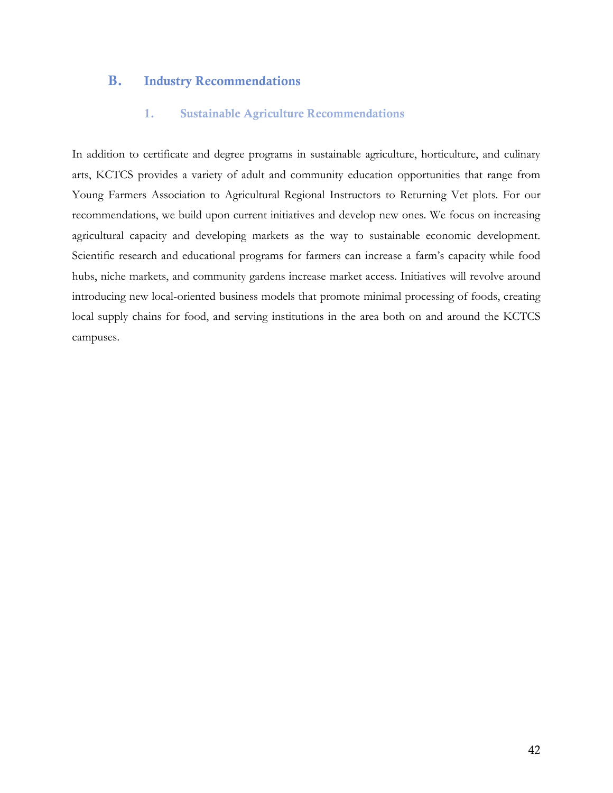# **B. Industry Recommendations**

# **1. Sustainable Agriculture Recommendations**

In addition to certificate and degree programs in sustainable agriculture, horticulture, and culinary arts, KCTCS provides a variety of adult and community education opportunities that range from Young Farmers Association to Agricultural Regional Instructors to Returning Vet plots. For our recommendations, we build upon current initiatives and develop new ones. We focus on increasing agricultural capacity and developing markets as the way to sustainable economic development. Scientific research and educational programs for farmers can increase a farm's capacity while food hubs, niche markets, and community gardens increase market access. Initiatives will revolve around introducing new local-oriented business models that promote minimal processing of foods, creating local supply chains for food, and serving institutions in the area both on and around the KCTCS campuses.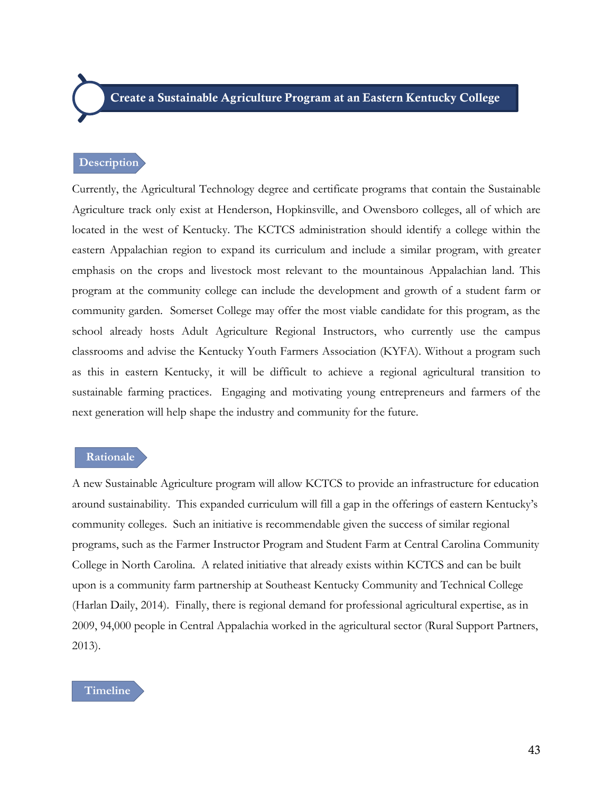**Create a Sustainable Agriculture Program at an Eastern Kentucky College**

#### **Description**

Currently, the Agricultural Technology degree and certificate programs that contain the Sustainable Agriculture track only exist at Henderson, Hopkinsville, and Owensboro colleges, all of which are located in the west of Kentucky. The KCTCS administration should identify a college within the eastern Appalachian region to expand its curriculum and include a similar program, with greater emphasis on the crops and livestock most relevant to the mountainous Appalachian land. This program at the community college can include the development and growth of a student farm or community garden. Somerset College may offer the most viable candidate for this program, as the school already hosts Adult Agriculture Regional Instructors, who currently use the campus classrooms and advise the Kentucky Youth Farmers Association (KYFA). Without a program such as this in eastern Kentucky, it will be difficult to achieve a regional agricultural transition to sustainable farming practices. Engaging and motivating young entrepreneurs and farmers of the next generation will help shape the industry and community for the future.

#### **Rationale**

A new Sustainable Agriculture program will allow KCTCS to provide an infrastructure for education around sustainability. This expanded curriculum will fill a gap in the offerings of eastern Kentucky's community colleges. Such an initiative is recommendable given the success of similar regional programs, such as the Farmer Instructor Program and Student Farm at Central Carolina Community College in North Carolina. A related initiative that already exists within KCTCS and can be built upon is a community farm partnership at Southeast Kentucky Community and Technical College (Harlan Daily, 2014). Finally, there is regional demand for professional agricultural expertise, as in 2009, 94,000 people in Central Appalachia worked in the agricultural sector (Rural Support Partners, 2013).

### **Timeline**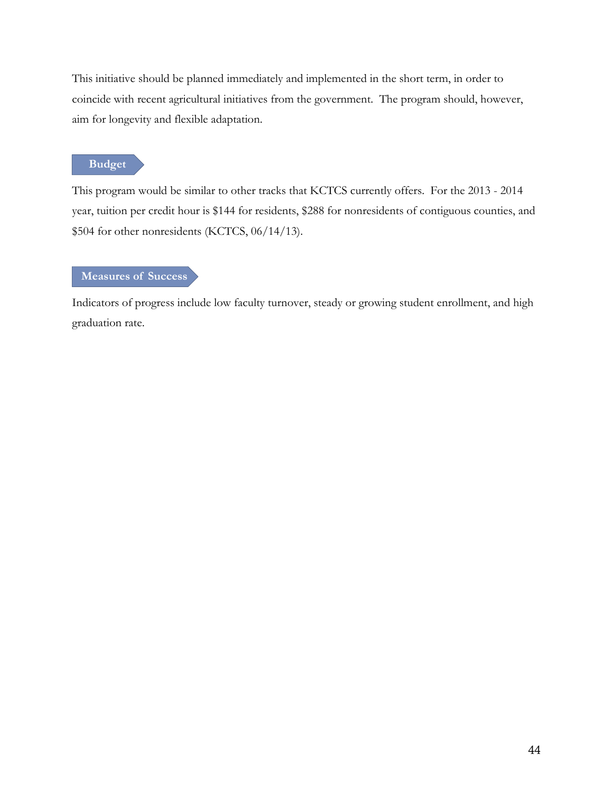This initiative should be planned immediately and implemented in the short term, in order to coincide with recent agricultural initiatives from the government. The program should, however, aim for longevity and flexible adaptation.

# **Budget**

This program would be similar to other tracks that KCTCS currently offers. For the 2013 - 2014 year, tuition per credit hour is \$144 for residents, \$288 for nonresidents of contiguous counties, and \$504 for other nonresidents (KCTCS, 06/14/13).

# **Measures of Success**

Indicators of progress include low faculty turnover, steady or growing student enrollment, and high graduation rate.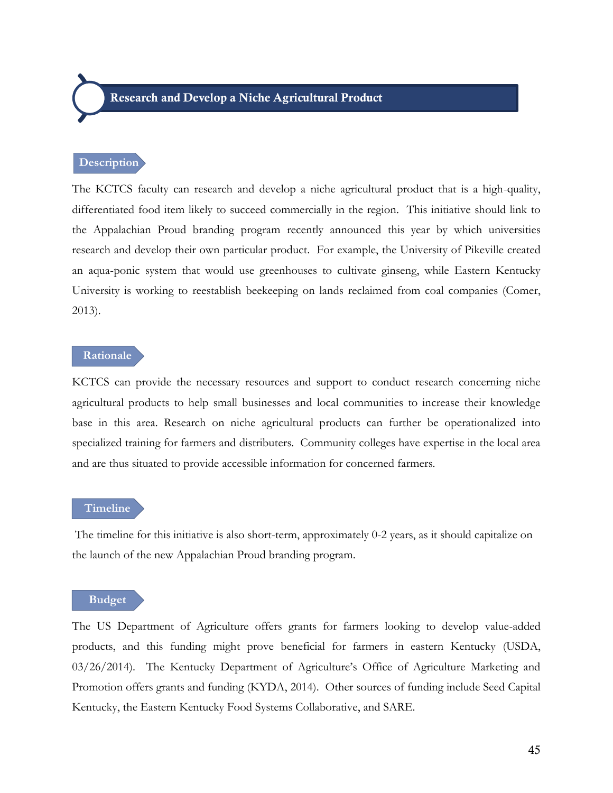#### **Description**

The KCTCS faculty can research and develop a niche agricultural product that is a high-quality, differentiated food item likely to succeed commercially in the region. This initiative should link to the Appalachian Proud branding program recently announced this year by which universities research and develop their own particular product. For example, the University of Pikeville created an aqua-ponic system that would use greenhouses to cultivate ginseng, while Eastern Kentucky University is working to reestablish beekeeping on lands reclaimed from coal companies (Comer, 2013).

#### **Rationale**

KCTCS can provide the necessary resources and support to conduct research concerning niche agricultural products to help small businesses and local communities to increase their knowledge base in this area. Research on niche agricultural products can further be operationalized into specialized training for farmers and distributers. Community colleges have expertise in the local area and are thus situated to provide accessible information for concerned farmers.

#### **Timeline**

The timeline for this initiative is also short-term, approximately 0-2 years, as it should capitalize on the launch of the new Appalachian Proud branding program.

#### **Budget**

The US Department of Agriculture offers grants for farmers looking to develop value-added products, and this funding might prove beneficial for farmers in eastern Kentucky (USDA, 03/26/2014). The Kentucky Department of Agriculture's Office of Agriculture Marketing and Promotion offers grants and funding (KYDA, 2014). Other sources of funding include Seed Capital Kentucky, the Eastern Kentucky Food Systems Collaborative, and SARE.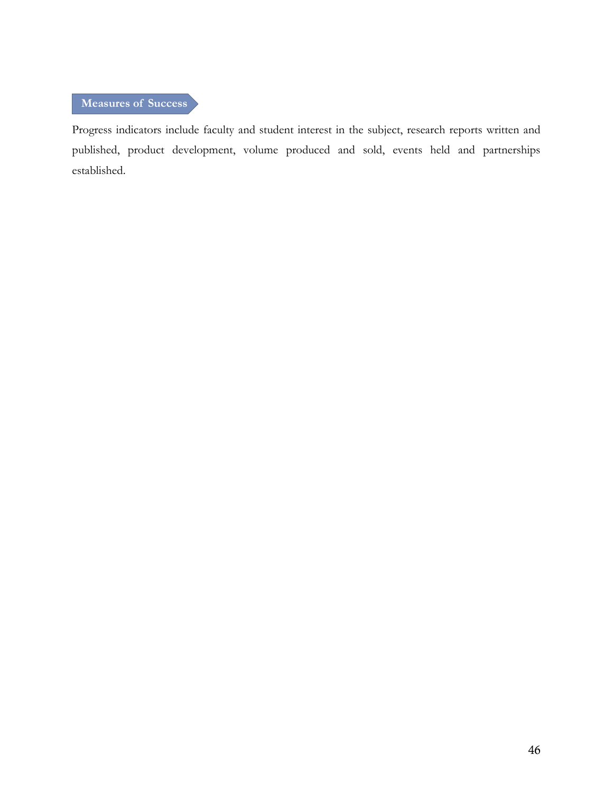# **Measures of Success**

Progress indicators include faculty and student interest in the subject, research reports written and published, product development, volume produced and sold, events held and partnerships established.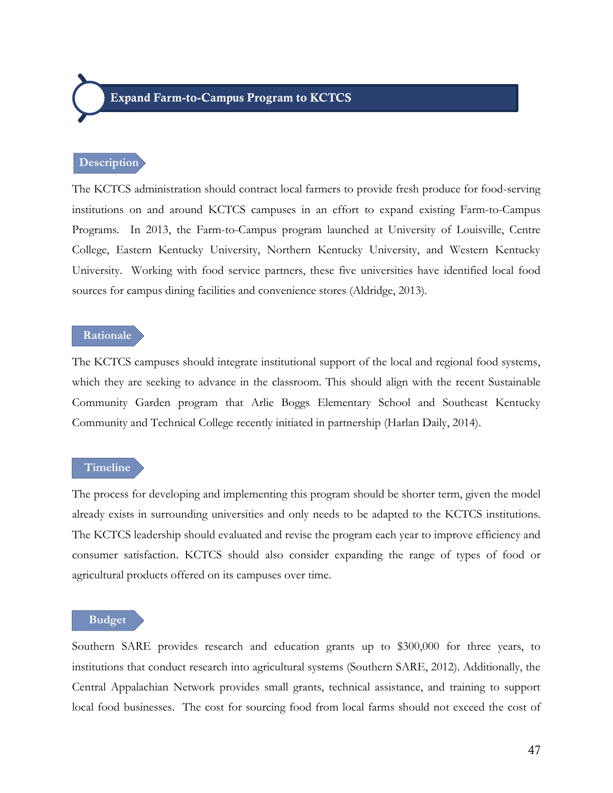**Expand Farm-to-Campus Program to KCTCS**

#### **Description**

The KCTCS administration should contract local farmers to provide fresh produce for food-serving institutions on and around KCTCS campuses in an effort to expand existing Farm-to-Campus Programs. In 2013, the Farm-to-Campus program launched at University of Louisville, Centre College, Eastern Kentucky University, Northern Kentucky University, and Western Kentucky University. Working with food service partners, these five universities have identified local food sources for campus dining facilities and convenience stores (Aldridge, 2013).

#### **Rationale**

The KCTCS campuses should integrate institutional support of the local and regional food systems, which they are seeking to advance in the classroom. This should align with the recent Sustainable Community Garden program that Arlie Boggs Elementary School and Southeast Kentucky Community and Technical College recently initiated in partnership (Harlan Daily, 2014).

#### **Timeline**

The process for developing and implementing this program should be shorter term, given the model already exists in surrounding universities and only needs to be adapted to the KCTCS institutions. The KCTCS leadership should evaluated and revise the program each year to improve efficiency and consumer satisfaction. KCTCS should also consider expanding the range of types of food or agricultural products offered on its campuses over time.

#### **Budget**

Southern SARE provides research and education grants up to \$300,000 for three years, to institutions that conduct research into agricultural systems (Southern SARE, 2012). Additionally, the Central Appalachian Network provides small grants, technical assistance, and training to support local food businesses. The cost for sourcing food from local farms should not exceed the cost of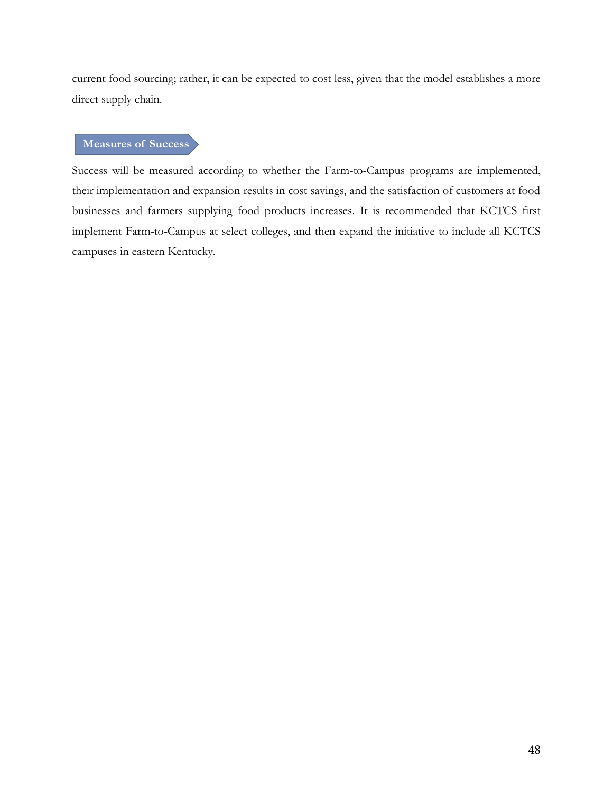current food sourcing; rather, it can be expected to cost less, given that the model establishes a more direct supply chain.

# **Measures of Success**

Success will be measured according to whether the Farm-to-Campus programs are implemented, their implementation and expansion results in cost savings, and the satisfaction of customers at food businesses and farmers supplying food products increases. It is recommended that KCTCS first implement Farm-to-Campus at select colleges, and then expand the initiative to include all KCTCS campuses in eastern Kentucky.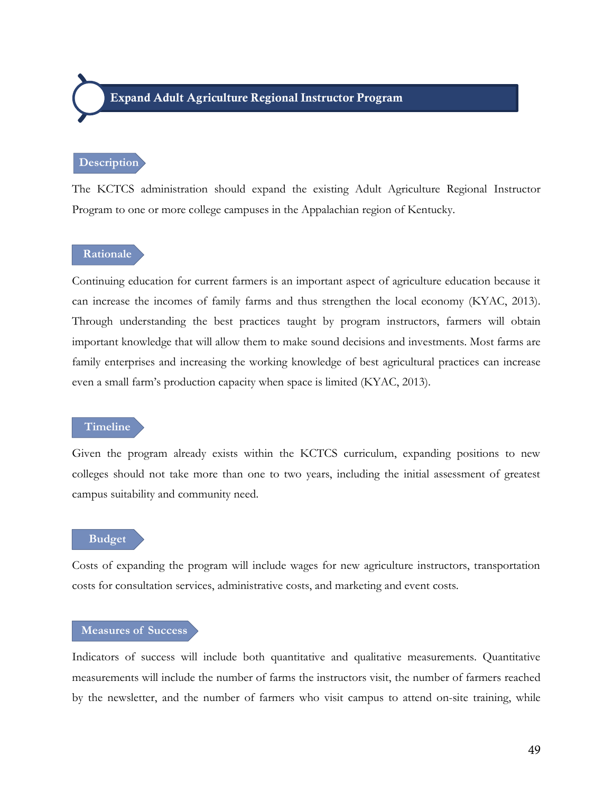# **Expand Adult Agriculture Regional Instructor Program**

#### **Description**

The KCTCS administration should expand the existing Adult Agriculture Regional Instructor Program to one or more college campuses in the Appalachian region of Kentucky.

### **Rationale**

Continuing education for current farmers is an important aspect of agriculture education because it can increase the incomes of family farms and thus strengthen the local economy (KYAC, 2013). Through understanding the best practices taught by program instructors, farmers will obtain important knowledge that will allow them to make sound decisions and investments. Most farms are family enterprises and increasing the working knowledge of best agricultural practices can increase even a small farm's production capacity when space is limited (KYAC, 2013).

#### **Timeline**

Given the program already exists within the KCTCS curriculum, expanding positions to new colleges should not take more than one to two years, including the initial assessment of greatest campus suitability and community need.

### **Budget**

Costs of expanding the program will include wages for new agriculture instructors, transportation costs for consultation services, administrative costs, and marketing and event costs.

# **Measures of Success**

Indicators of success will include both quantitative and qualitative measurements. Quantitative measurements will include the number of farms the instructors visit, the number of farmers reached by the newsletter, and the number of farmers who visit campus to attend on-site training, while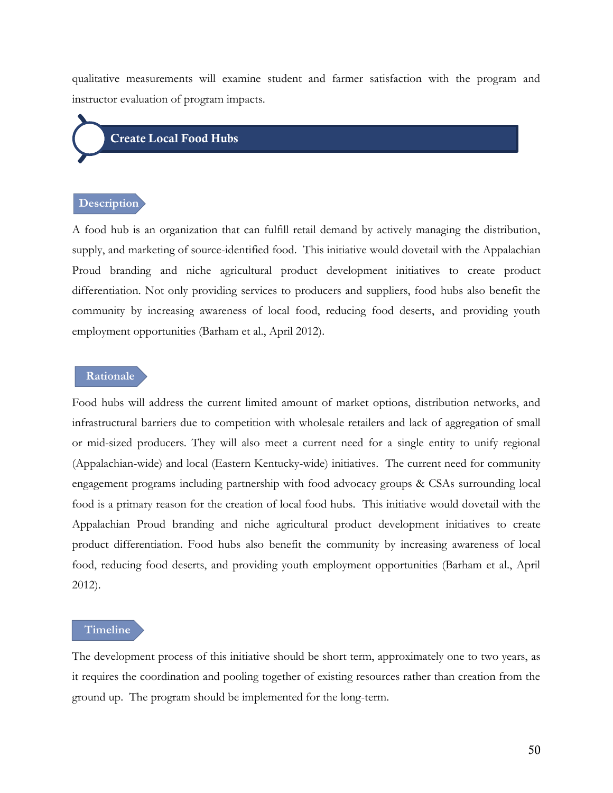qualitative measurements will examine student and farmer satisfaction with the program and instructor evaluation of program impacts.

# **Create Local Food Hubs**

# **Description**

A food hub is an organization that can fulfill retail demand by actively managing the distribution, supply, and marketing of source-identified food. This initiative would dovetail with the Appalachian Proud branding and niche agricultural product development initiatives to create product differentiation. Not only providing services to producers and suppliers, food hubs also benefit the community by increasing awareness of local food, reducing food deserts, and providing youth employment opportunities (Barham et al., April 2012).

#### **Rationale**

Food hubs will address the current limited amount of market options, distribution networks, and infrastructural barriers due to competition with wholesale retailers and lack of aggregation of small or mid-sized producers. They will also meet a current need for a single entity to unify regional (Appalachian-wide) and local (Eastern Kentucky-wide) initiatives. The current need for community engagement programs including partnership with food advocacy groups & CSAs surrounding local food is a primary reason for the creation of local food hubs. This initiative would dovetail with the Appalachian Proud branding and niche agricultural product development initiatives to create product differentiation. Food hubs also benefit the community by increasing awareness of local food, reducing food deserts, and providing youth employment opportunities (Barham et al., April 2012).

#### **Timeline**

The development process of this initiative should be short term, approximately one to two years, as it requires the coordination and pooling together of existing resources rather than creation from the ground up. The program should be implemented for the long-term.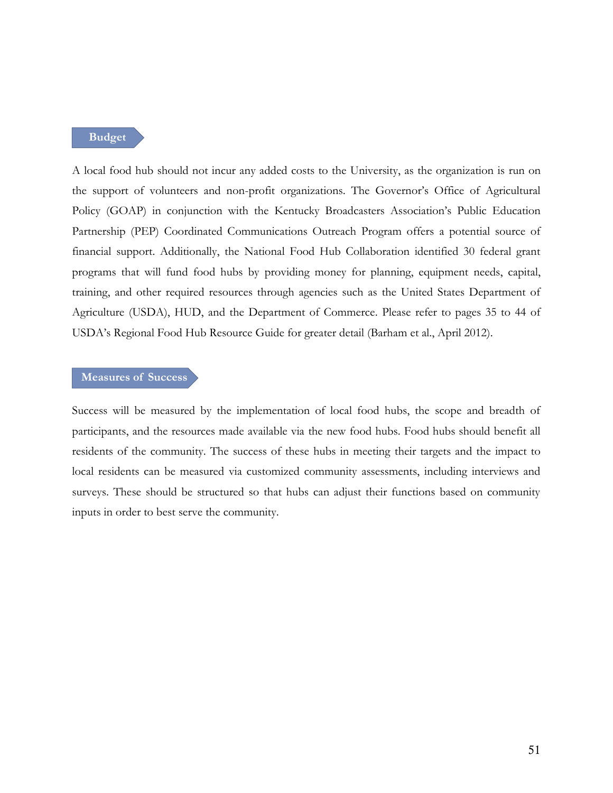**Budget**

A local food hub should not incur any added costs to the University, as the organization is run on the support of volunteers and non-profit organizations. The Governor's Office of Agricultural Policy (GOAP) in conjunction with the Kentucky Broadcasters Association's Public Education Partnership (PEP) Coordinated Communications Outreach Program offers a potential source of financial support. Additionally, the National Food Hub Collaboration identified 30 federal grant programs that will fund food hubs by providing money for planning, equipment needs, capital, training, and other required resources through agencies such as the United States Department of Agriculture (USDA), HUD, and the Department of Commerce. Please refer to pages 35 to 44 of USDA's Regional Food Hub Resource Guide for greater detail (Barham et al., April 2012).

### **Measures of Success**

Success will be measured by the implementation of local food hubs, the scope and breadth of participants, and the resources made available via the new food hubs. Food hubs should benefit all residents of the community. The success of these hubs in meeting their targets and the impact to local residents can be measured via customized community assessments, including interviews and surveys. These should be structured so that hubs can adjust their functions based on community inputs in order to best serve the community.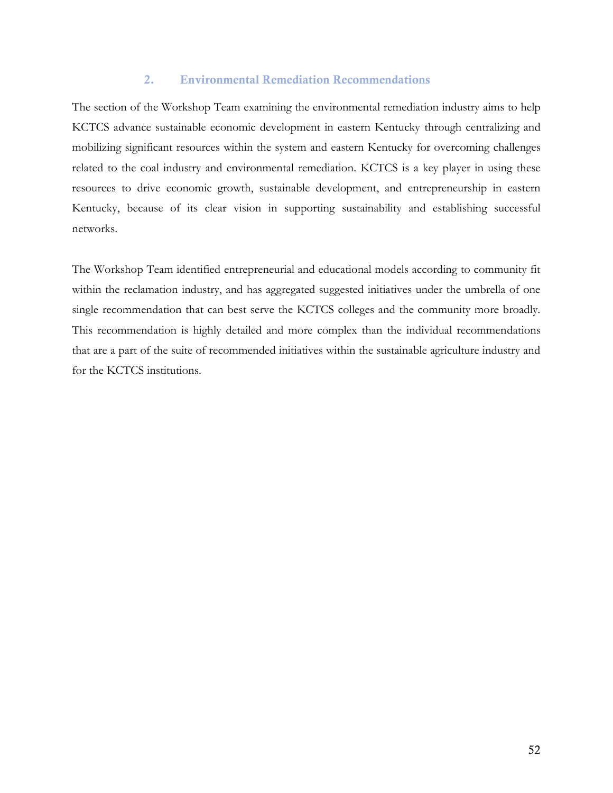#### **2. Environmental Remediation Recommendations**

The section of the Workshop Team examining the environmental remediation industry aims to help KCTCS advance sustainable economic development in eastern Kentucky through centralizing and mobilizing significant resources within the system and eastern Kentucky for overcoming challenges related to the coal industry and environmental remediation. KCTCS is a key player in using these resources to drive economic growth, sustainable development, and entrepreneurship in eastern Kentucky, because of its clear vision in supporting sustainability and establishing successful networks.

The Workshop Team identified entrepreneurial and educational models according to community fit within the reclamation industry, and has aggregated suggested initiatives under the umbrella of one single recommendation that can best serve the KCTCS colleges and the community more broadly. This recommendation is highly detailed and more complex than the individual recommendations that are a part of the suite of recommended initiatives within the sustainable agriculture industry and for the KCTCS institutions.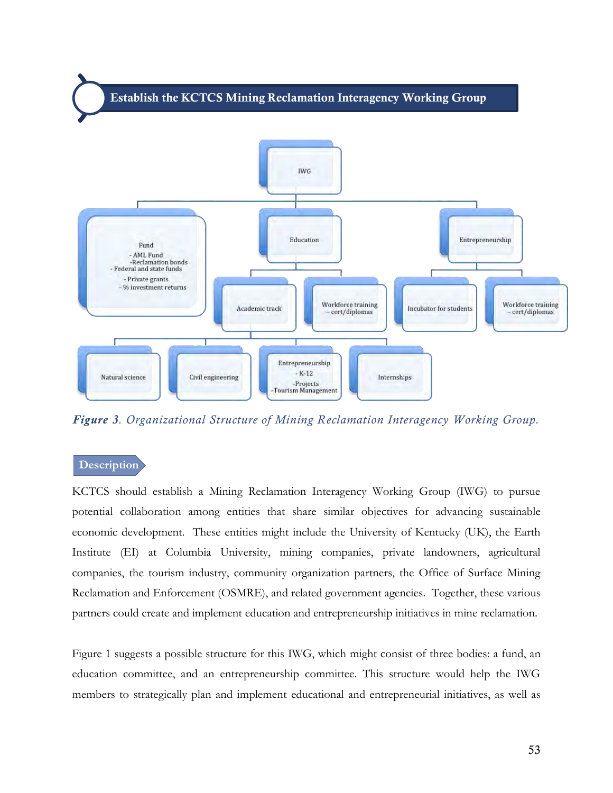

*Figure 3. Organizational Structure of Mining Reclamation Interagency Working Group.* 

### **Description**

KCTCS should establish a Mining Reclamation Interagency Working Group (IWG) to pursue potential collaboration among entities that share similar objectives for advancing sustainable economic development. These entities might include the University of Kentucky (UK), the Earth Institute (EI) at Columbia University, mining companies, private landowners, agricultural companies, the tourism industry, community organization partners, the Office of Surface Mining Reclamation and Enforcement (OSMRE), and related government agencies. Together, these various partners could create and implement education and entrepreneurship initiatives in mine reclamation.

Figure 1 suggests a possible structure for this IWG, which might consist of three bodies: a fund, an education committee, and an entrepreneurship committee. This structure would help the IWG members to strategically plan and implement educational and entrepreneurial initiatives, as well as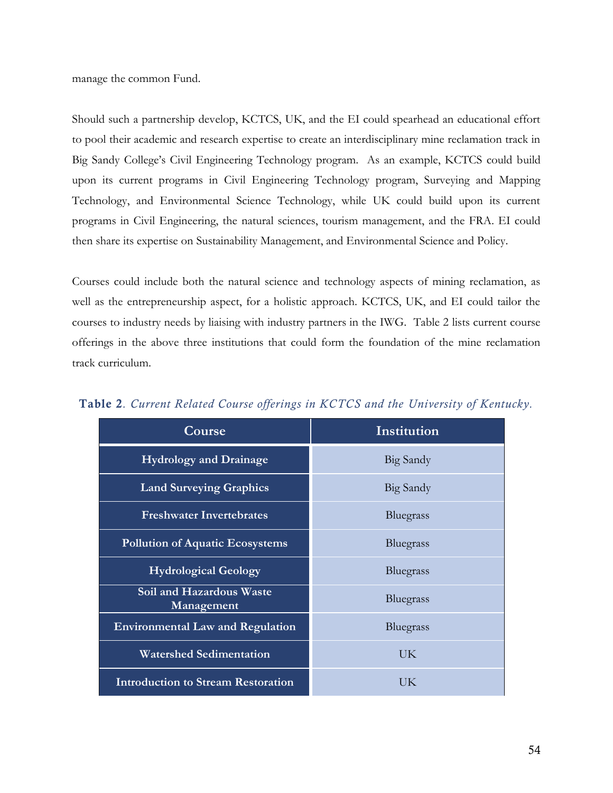manage the common Fund.

Should such a partnership develop, KCTCS, UK, and the EI could spearhead an educational effort to pool their academic and research expertise to create an interdisciplinary mine reclamation track in Big Sandy College's Civil Engineering Technology program. As an example, KCTCS could build upon its current programs in Civil Engineering Technology program, Surveying and Mapping Technology, and Environmental Science Technology, while UK could build upon its current programs in Civil Engineering, the natural sciences, tourism management, and the FRA. EI could then share its expertise on Sustainability Management, and Environmental Science and Policy.

Courses could include both the natural science and technology aspects of mining reclamation, as well as the entrepreneurship aspect, for a holistic approach. KCTCS, UK, and EI could tailor the courses to industry needs by liaising with industry partners in the IWG. Table 2 lists current course offerings in the above three institutions that could form the foundation of the mine reclamation track curriculum.

| Course                                    | Institution |
|-------------------------------------------|-------------|
| <b>Hydrology and Drainage</b>             | Big Sandy   |
| <b>Land Surveying Graphics</b>            | Big Sandy   |
| <b>Freshwater Invertebrates</b>           | Bluegrass   |
| <b>Pollution of Aquatic Ecosystems</b>    | Bluegrass   |
| <b>Hydrological Geology</b>               | Bluegrass   |
| Soil and Hazardous Waste<br>Management    | Bluegrass   |
| <b>Environmental Law and Regulation</b>   | Bluegrass   |
| <b>Watershed Sedimentation</b>            | UK          |
| <b>Introduction to Stream Restoration</b> | UK          |

**Table 2***. Current Related Course offerings in KCTCS and the University of Kentucky.*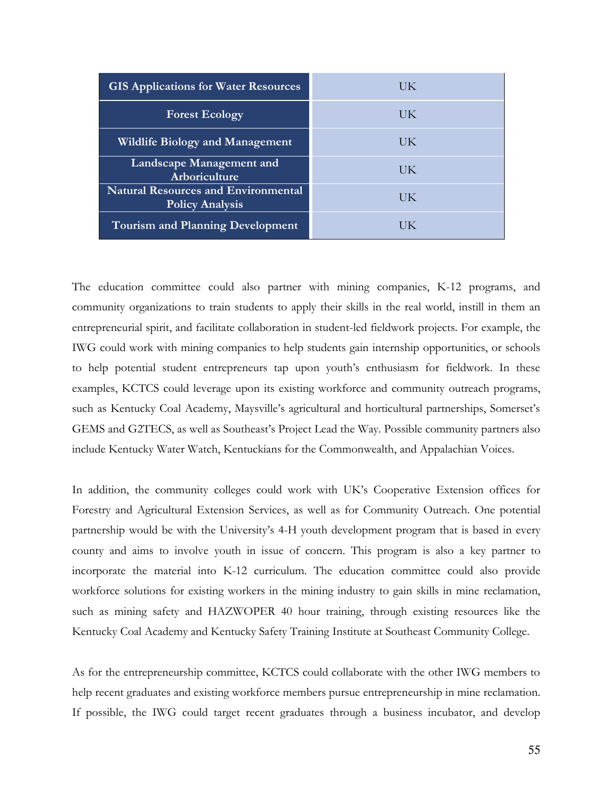| <b>GIS Applications for Water Resources</b>                          | UK |
|----------------------------------------------------------------------|----|
| <b>Forest Ecology</b>                                                | UK |
| <b>Wildlife Biology and Management</b>                               | UK |
| Landscape Management and<br>Arboriculture                            | UK |
| <b>Natural Resources and Environmental</b><br><b>Policy Analysis</b> | UK |
| <b>Tourism and Planning Development</b>                              |    |

The education committee could also partner with mining companies, K-12 programs, and community organizations to train students to apply their skills in the real world, instill in them an entrepreneurial spirit, and facilitate collaboration in student-led fieldwork projects. For example, the IWG could work with mining companies to help students gain internship opportunities, or schools to help potential student entrepreneurs tap upon youth's enthusiasm for fieldwork. In these examples, KCTCS could leverage upon its existing workforce and community outreach programs, such as Kentucky Coal Academy, Maysville's agricultural and horticultural partnerships, Somerset's GEMS and G2TECS, as well as Southeast's Project Lead the Way. Possible community partners also include Kentucky Water Watch, Kentuckians for the Commonwealth, and Appalachian Voices.

In addition, the community colleges could work with UK's Cooperative Extension offices for Forestry and Agricultural Extension Services, as well as for Community Outreach. One potential partnership would be with the University's 4-H youth development program that is based in every county and aims to involve youth in issue of concern. This program is also a key partner to incorporate the material into K-12 curriculum. The education committee could also provide workforce solutions for existing workers in the mining industry to gain skills in mine reclamation, such as mining safety and HAZWOPER 40 hour training, through existing resources like the Kentucky Coal Academy and Kentucky Safety Training Institute at Southeast Community College.

As for the entrepreneurship committee, KCTCS could collaborate with the other IWG members to help recent graduates and existing workforce members pursue entrepreneurship in mine reclamation. If possible, the IWG could target recent graduates through a business incubator, and develop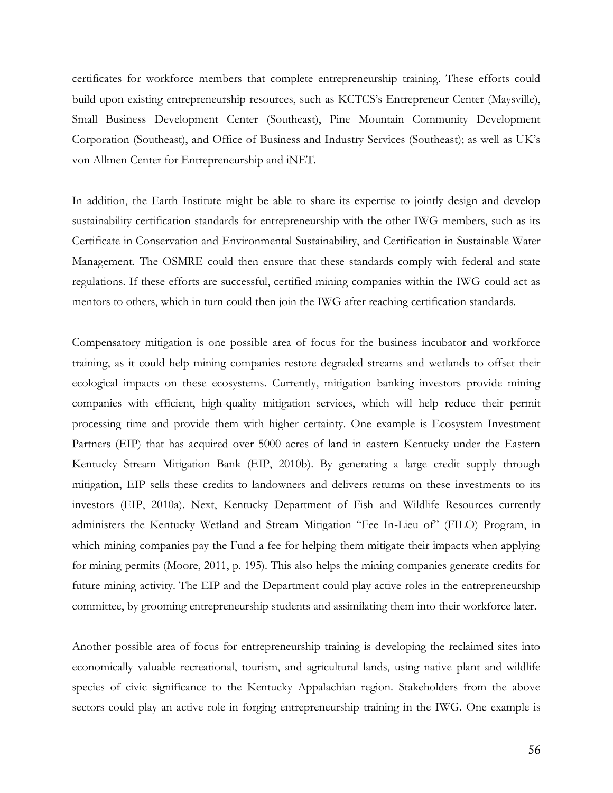certificates for workforce members that complete entrepreneurship training. These efforts could build upon existing entrepreneurship resources, such as KCTCS's Entrepreneur Center (Maysville), Small Business Development Center (Southeast), Pine Mountain Community Development Corporation (Southeast), and Office of Business and Industry Services (Southeast); as well as UK's von Allmen Center for Entrepreneurship and iNET.

In addition, the Earth Institute might be able to share its expertise to jointly design and develop sustainability certification standards for entrepreneurship with the other IWG members, such as its Certificate in Conservation and Environmental Sustainability, and Certification in Sustainable Water Management. The OSMRE could then ensure that these standards comply with federal and state regulations. If these efforts are successful, certified mining companies within the IWG could act as mentors to others, which in turn could then join the IWG after reaching certification standards.

Compensatory mitigation is one possible area of focus for the business incubator and workforce training, as it could help mining companies restore degraded streams and wetlands to offset their ecological impacts on these ecosystems. Currently, mitigation banking investors provide mining companies with efficient, high-quality mitigation services, which will help reduce their permit processing time and provide them with higher certainty. One example is Ecosystem Investment Partners (EIP) that has acquired over 5000 acres of land in eastern Kentucky under the Eastern Kentucky Stream Mitigation Bank (EIP, 2010b). By generating a large credit supply through mitigation, EIP sells these credits to landowners and delivers returns on these investments to its investors (EIP, 2010a). Next, Kentucky Department of Fish and Wildlife Resources currently administers the Kentucky Wetland and Stream Mitigation "Fee In-Lieu of" (FILO) Program, in which mining companies pay the Fund a fee for helping them mitigate their impacts when applying for mining permits (Moore, 2011, p. 195). This also helps the mining companies generate credits for future mining activity. The EIP and the Department could play active roles in the entrepreneurship committee, by grooming entrepreneurship students and assimilating them into their workforce later.

Another possible area of focus for entrepreneurship training is developing the reclaimed sites into economically valuable recreational, tourism, and agricultural lands, using native plant and wildlife species of civic significance to the Kentucky Appalachian region. Stakeholders from the above sectors could play an active role in forging entrepreneurship training in the IWG. One example is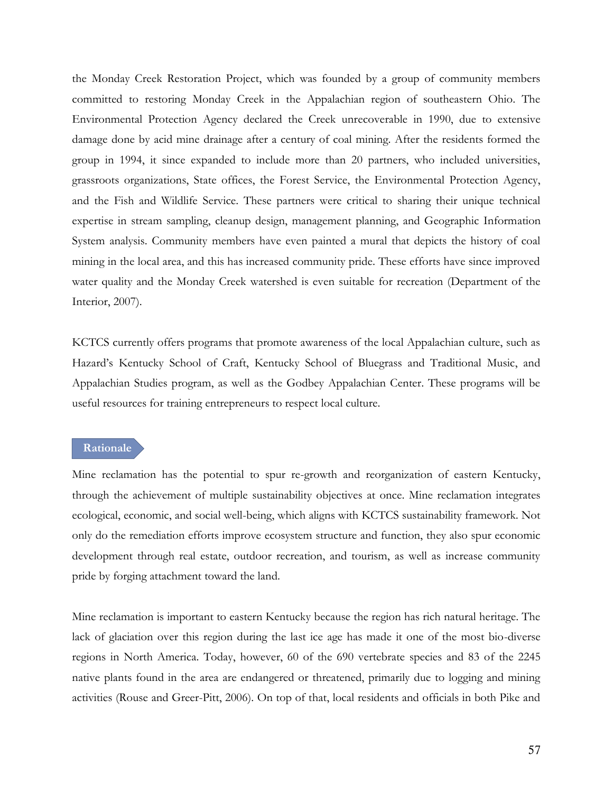the Monday Creek Restoration Project, which was founded by a group of community members committed to restoring Monday Creek in the Appalachian region of southeastern Ohio. The Environmental Protection Agency declared the Creek unrecoverable in 1990, due to extensive damage done by acid mine drainage after a century of coal mining. After the residents formed the group in 1994, it since expanded to include more than 20 partners, who included universities, grassroots organizations, State offices, the Forest Service, the Environmental Protection Agency, and the Fish and Wildlife Service. These partners were critical to sharing their unique technical expertise in stream sampling, cleanup design, management planning, and Geographic Information System analysis. Community members have even painted a mural that depicts the history of coal mining in the local area, and this has increased community pride. These efforts have since improved water quality and the Monday Creek watershed is even suitable for recreation (Department of the Interior, 2007).

KCTCS currently offers programs that promote awareness of the local Appalachian culture, such as Hazard's Kentucky School of Craft, Kentucky School of Bluegrass and Traditional Music, and Appalachian Studies program, as well as the Godbey Appalachian Center. These programs will be useful resources for training entrepreneurs to respect local culture.

# **Rationale**

Mine reclamation has the potential to spur re-growth and reorganization of eastern Kentucky, through the achievement of multiple sustainability objectives at once. Mine reclamation integrates ecological, economic, and social well-being, which aligns with KCTCS sustainability framework. Not only do the remediation efforts improve ecosystem structure and function, they also spur economic development through real estate, outdoor recreation, and tourism, as well as increase community pride by forging attachment toward the land.

Mine reclamation is important to eastern Kentucky because the region has rich natural heritage. The lack of glaciation over this region during the last ice age has made it one of the most bio-diverse regions in North America. Today, however, 60 of the 690 vertebrate species and 83 of the 2245 native plants found in the area are endangered or threatened, primarily due to logging and mining activities (Rouse and Greer-Pitt, 2006). On top of that, local residents and officials in both Pike and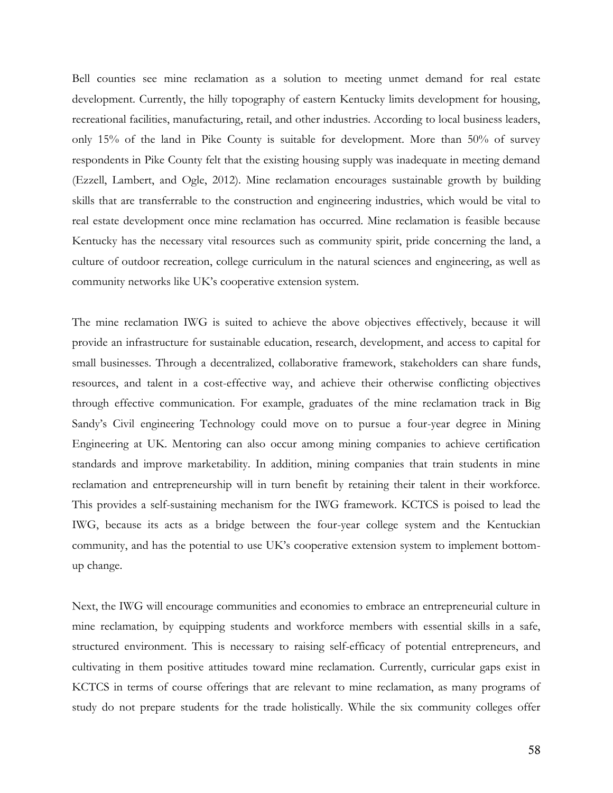Bell counties see mine reclamation as a solution to meeting unmet demand for real estate development. Currently, the hilly topography of eastern Kentucky limits development for housing, recreational facilities, manufacturing, retail, and other industries. According to local business leaders, only 15% of the land in Pike County is suitable for development. More than 50% of survey respondents in Pike County felt that the existing housing supply was inadequate in meeting demand (Ezzell, Lambert, and Ogle, 2012). Mine reclamation encourages sustainable growth by building skills that are transferrable to the construction and engineering industries, which would be vital to real estate development once mine reclamation has occurred. Mine reclamation is feasible because Kentucky has the necessary vital resources such as community spirit, pride concerning the land, a culture of outdoor recreation, college curriculum in the natural sciences and engineering, as well as community networks like UK's cooperative extension system.

The mine reclamation IWG is suited to achieve the above objectives effectively, because it will provide an infrastructure for sustainable education, research, development, and access to capital for small businesses. Through a decentralized, collaborative framework, stakeholders can share funds, resources, and talent in a cost-effective way, and achieve their otherwise conflicting objectives through effective communication. For example, graduates of the mine reclamation track in Big Sandy's Civil engineering Technology could move on to pursue a four-year degree in Mining Engineering at UK. Mentoring can also occur among mining companies to achieve certification standards and improve marketability. In addition, mining companies that train students in mine reclamation and entrepreneurship will in turn benefit by retaining their talent in their workforce. This provides a self-sustaining mechanism for the IWG framework. KCTCS is poised to lead the IWG, because its acts as a bridge between the four-year college system and the Kentuckian community, and has the potential to use UK's cooperative extension system to implement bottomup change.

Next, the IWG will encourage communities and economies to embrace an entrepreneurial culture in mine reclamation, by equipping students and workforce members with essential skills in a safe, structured environment. This is necessary to raising self-efficacy of potential entrepreneurs, and cultivating in them positive attitudes toward mine reclamation. Currently, curricular gaps exist in KCTCS in terms of course offerings that are relevant to mine reclamation, as many programs of study do not prepare students for the trade holistically. While the six community colleges offer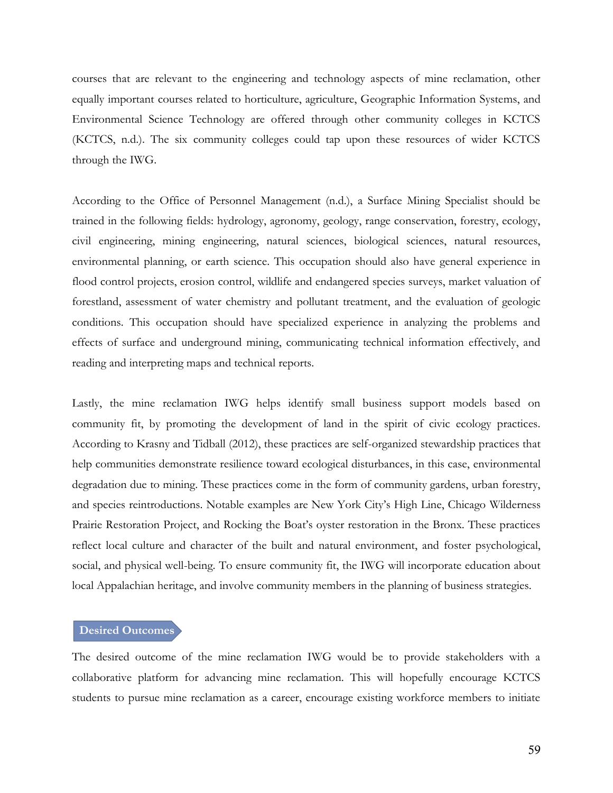courses that are relevant to the engineering and technology aspects of mine reclamation, other equally important courses related to horticulture, agriculture, Geographic Information Systems, and Environmental Science Technology are offered through other community colleges in KCTCS (KCTCS, n.d.). The six community colleges could tap upon these resources of wider KCTCS through the IWG.

According to the Office of Personnel Management (n.d.), a Surface Mining Specialist should be trained in the following fields: hydrology, agronomy, geology, range conservation, forestry, ecology, civil engineering, mining engineering, natural sciences, biological sciences, natural resources, environmental planning, or earth science. This occupation should also have general experience in flood control projects, erosion control, wildlife and endangered species surveys, market valuation of forestland, assessment of water chemistry and pollutant treatment, and the evaluation of geologic conditions. This occupation should have specialized experience in analyzing the problems and effects of surface and underground mining, communicating technical information effectively, and reading and interpreting maps and technical reports.

Lastly, the mine reclamation IWG helps identify small business support models based on community fit, by promoting the development of land in the spirit of civic ecology practices. According to Krasny and Tidball (2012), these practices are self-organized stewardship practices that help communities demonstrate resilience toward ecological disturbances, in this case, environmental degradation due to mining. These practices come in the form of community gardens, urban forestry, and species reintroductions. Notable examples are New York City's High Line, Chicago Wilderness Prairie Restoration Project, and Rocking the Boat's oyster restoration in the Bronx. These practices reflect local culture and character of the built and natural environment, and foster psychological, social, and physical well-being. To ensure community fit, the IWG will incorporate education about local Appalachian heritage, and involve community members in the planning of business strategies.

#### **Desired Outcomes**

The desired outcome of the mine reclamation IWG would be to provide stakeholders with a collaborative platform for advancing mine reclamation. This will hopefully encourage KCTCS students to pursue mine reclamation as a career, encourage existing workforce members to initiate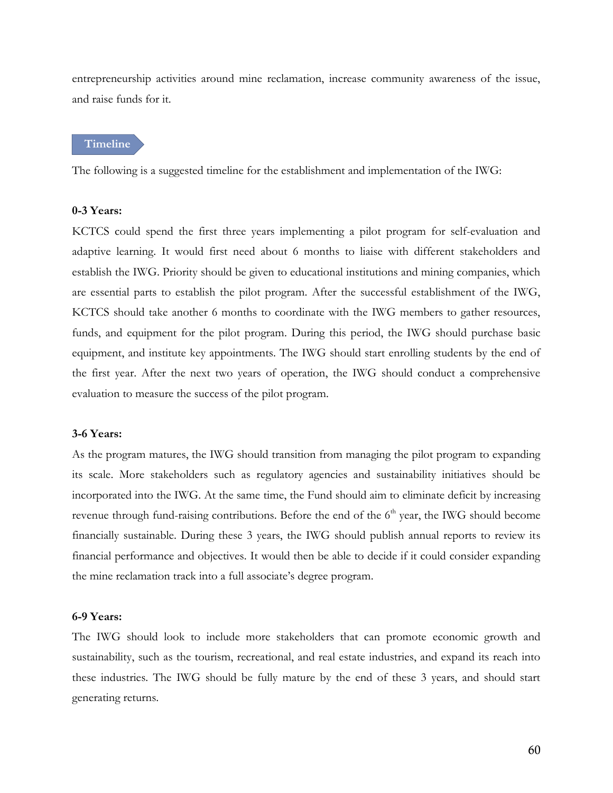entrepreneurship activities around mine reclamation, increase community awareness of the issue, and raise funds for it.

**Timeline**

The following is a suggested timeline for the establishment and implementation of the IWG:

#### **0-3 Years:**

KCTCS could spend the first three years implementing a pilot program for self-evaluation and adaptive learning. It would first need about 6 months to liaise with different stakeholders and establish the IWG. Priority should be given to educational institutions and mining companies, which are essential parts to establish the pilot program. After the successful establishment of the IWG, KCTCS should take another 6 months to coordinate with the IWG members to gather resources, funds, and equipment for the pilot program. During this period, the IWG should purchase basic equipment, and institute key appointments. The IWG should start enrolling students by the end of the first year. After the next two years of operation, the IWG should conduct a comprehensive evaluation to measure the success of the pilot program.

#### **3-6 Years:**

As the program matures, the IWG should transition from managing the pilot program to expanding its scale. More stakeholders such as regulatory agencies and sustainability initiatives should be incorporated into the IWG. At the same time, the Fund should aim to eliminate deficit by increasing revenue through fund-raising contributions. Before the end of the  $6<sup>th</sup>$  year, the IWG should become financially sustainable. During these 3 years, the IWG should publish annual reports to review its financial performance and objectives. It would then be able to decide if it could consider expanding the mine reclamation track into a full associate's degree program.

#### **6-9 Years:**

The IWG should look to include more stakeholders that can promote economic growth and sustainability, such as the tourism, recreational, and real estate industries, and expand its reach into these industries. The IWG should be fully mature by the end of these 3 years, and should start generating returns.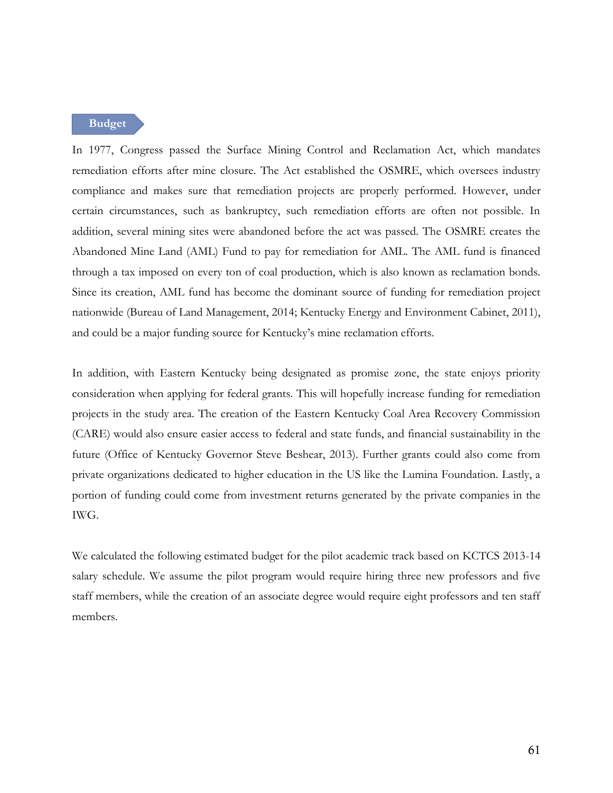**Budget**

In 1977, Congress passed the Surface Mining Control and Reclamation Act, which mandates remediation efforts after mine closure. The Act established the OSMRE, which oversees industry compliance and makes sure that remediation projects are properly performed. However, under certain circumstances, such as bankruptcy, such remediation efforts are often not possible. In addition, several mining sites were abandoned before the act was passed. The OSMRE creates the Abandoned Mine Land (AML) Fund to pay for remediation for AML. The AML fund is financed through a tax imposed on every ton of coal production, which is also known as reclamation bonds. Since its creation, AML fund has become the dominant source of funding for remediation project nationwide (Bureau of Land Management, 2014; Kentucky Energy and Environment Cabinet, 2011), and could be a major funding source for Kentucky's mine reclamation efforts.

In addition, with Eastern Kentucky being designated as promise zone, the state enjoys priority consideration when applying for federal grants. This will hopefully increase funding for remediation projects in the study area. The creation of the Eastern Kentucky Coal Area Recovery Commission (CARE) would also ensure easier access to federal and state funds, and financial sustainability in the future (Office of Kentucky Governor Steve Beshear, 2013). Further grants could also come from private organizations dedicated to higher education in the US like the Lumina Foundation. Lastly, a portion of funding could come from investment returns generated by the private companies in the IWG.

We calculated the following estimated budget for the pilot academic track based on KCTCS 2013-14 salary schedule. We assume the pilot program would require hiring three new professors and five staff members, while the creation of an associate degree would require eight professors and ten staff members.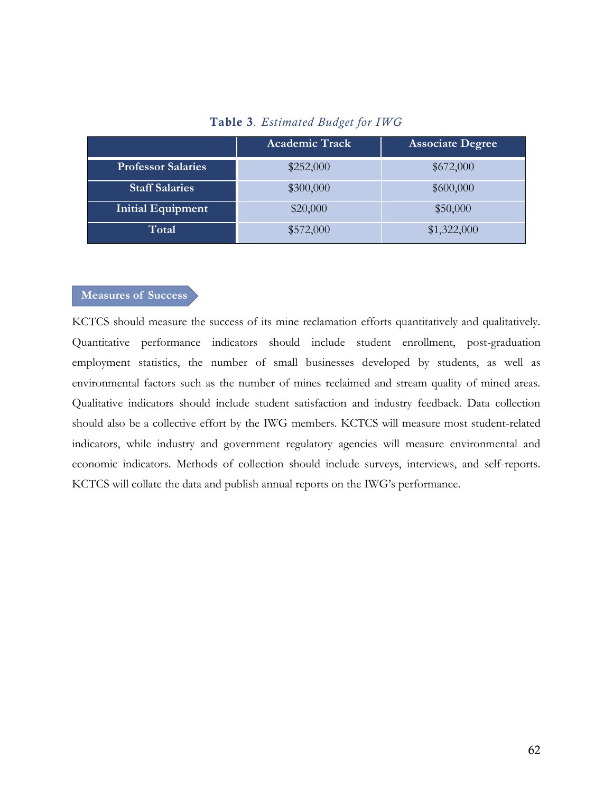# **Table 3***. Estimated Budget for IWG*

|                           | <b>Academic Track</b> | <b>Associate Degree</b> |
|---------------------------|-----------------------|-------------------------|
| <b>Professor Salaries</b> | \$252,000             | \$672,000               |
| <b>Staff Salaries</b>     | \$300,000             | \$600,000               |
| <b>Initial Equipment</b>  | \$20,000              | \$50,000                |
| Total                     | \$572,000             | \$1,322,000             |

### **Measures of Success**

KCTCS should measure the success of its mine reclamation efforts quantitatively and qualitatively. Quantitative performance indicators should include student enrollment, post-graduation employment statistics, the number of small businesses developed by students, as well as environmental factors such as the number of mines reclaimed and stream quality of mined areas. Qualitative indicators should include student satisfaction and industry feedback. Data collection should also be a collective effort by the IWG members. KCTCS will measure most student-related indicators, while industry and government regulatory agencies will measure environmental and economic indicators. Methods of collection should include surveys, interviews, and self-reports. KCTCS will collate the data and publish annual reports on the IWG's performance.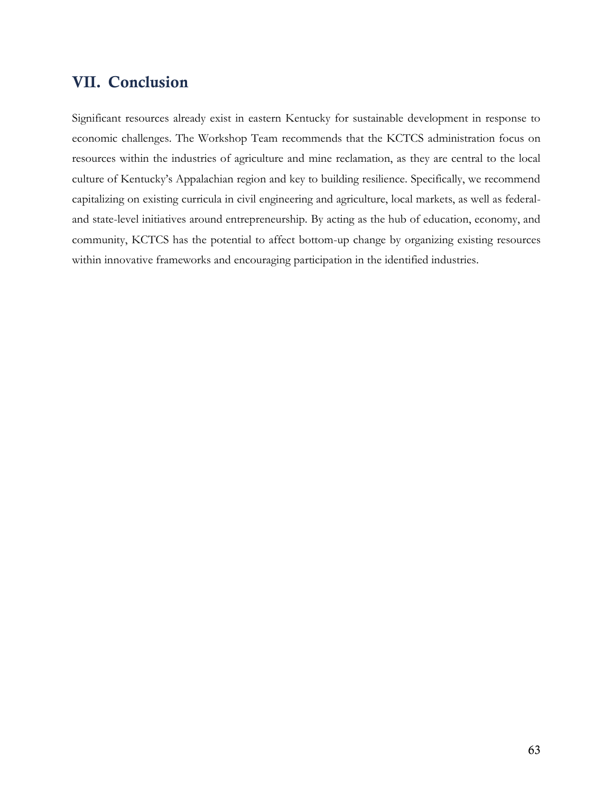# **VII. Conclusion**

Significant resources already exist in eastern Kentucky for sustainable development in response to economic challenges. The Workshop Team recommends that the KCTCS administration focus on resources within the industries of agriculture and mine reclamation, as they are central to the local culture of Kentucky's Appalachian region and key to building resilience. Specifically, we recommend capitalizing on existing curricula in civil engineering and agriculture, local markets, as well as federaland state-level initiatives around entrepreneurship. By acting as the hub of education, economy, and community, KCTCS has the potential to affect bottom-up change by organizing existing resources within innovative frameworks and encouraging participation in the identified industries.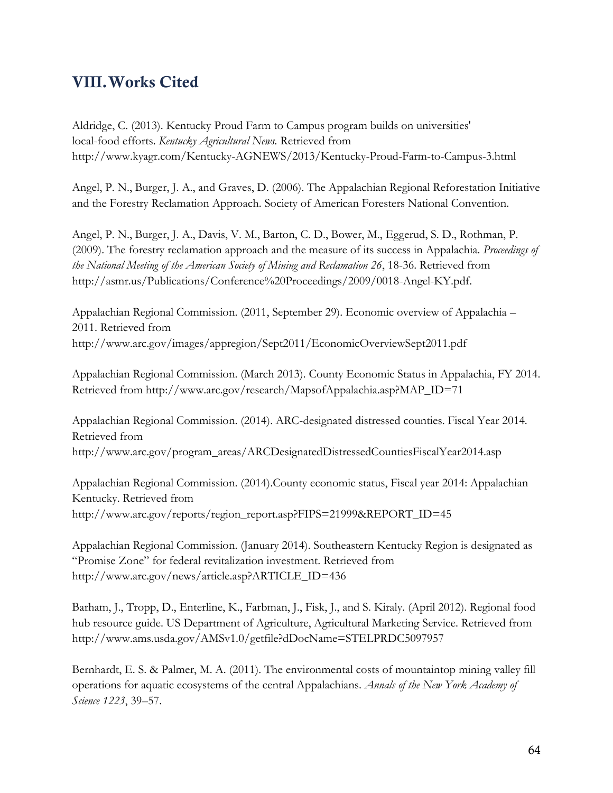# **VIII.Works Cited**

Aldridge, C. (2013). Kentucky Proud Farm to Campus program builds on universities' local-food efforts. *Kentucky Agricultural News.* Retrieved from <http://www.kyagr.com/Kentucky-AGNEWS/2013/Kentucky-Proud-Farm-to-Campus-3.html>

Angel, P. N., Burger, J. A., and Graves, D. (2006). The Appalachian Regional Reforestation Initiative and the Forestry Reclamation Approach. Society of American Foresters National Convention.

Angel, P. N., Burger, J. A., Davis, V. M., Barton, C. D., Bower, M., Eggerud, S. D., Rothman, P. (2009). The forestry reclamation approach and the measure of its success in Appalachia. *Proceedings of the National Meeting of the American Society of Mining and Reclamation 26*, 18-36. Retrieved fro[m](http://asmr.us/Publications/Conference%20Proceedings/2009/0018-Angel-KY.pdf) [http://asmr.us/Publications/Conference%20Proceedings/2009/0018-Angel-KY.pdf.](http://asmr.us/Publications/Conference%20Proceedings/2009/0018-Angel-KY.pdf)

Appalachian Regional Commission. (2011, September 29). Economic overview of Appalachia – 2011. Retrieved fro[m](http://www.arc.gov/images/appregion/Sept2011/EconomicOverviewSept2011.pdf) <http://www.arc.gov/images/appregion/Sept2011/EconomicOverviewSept2011.pdf>

Appalachian Regional Commission. (March 2013). County Economic Status in Appalachia, FY 2014. Retrieved from http://www.arc.gov/research/MapsofAppalachia.asp?MAP\_ID=71

Appalachian Regional Commission. (2014). ARC-designated distressed counties. Fiscal Year 2014. Retrieved fro[m](http://www.arc.gov/program_areas/ARCDesignatedDistressedCountiesFiscalYear2014.asp) [http://www.arc.gov/program\\_areas/ARCDesignatedDistressedCountiesFiscalYear2014.asp](http://www.arc.gov/program_areas/ARCDesignatedDistressedCountiesFiscalYear2014.asp)

Appalachian Regional Commission. (2014).County economic status, Fiscal year 2014: Appalachian Kentucky. Retrieved fro[m](http://www.arc.gov/reports/region_report.asp?FIPS=21999&REPORT_ID=45) [http://www.arc.gov/reports/region\\_report.asp?FIPS=21999&REPORT\\_ID=45](http://www.arc.gov/reports/region_report.asp?FIPS=21999&REPORT_ID=45)

Appalachian Regional Commission. (January 2014). Southeastern Kentucky Region is designated as "Promise Zone" for federal revitalization investment. Retrieved from http://www.arc.gov/news/article.asp?ARTICLE\_ID=436

Barham, J., Tropp, D., Enterline, K., Farbman, J., Fisk, J., and S. Kiraly. (April 2012). Regional food hub resource guide. US Department of Agriculture, Agricultural Marketing Service. Retrieved fro[m](http://www.ams.usda.gov/AMSv1.0/getfile?dDocName=STELPRDC5097957) <http://www.ams.usda.gov/AMSv1.0/getfile?dDocName=STELPRDC5097957>

Bernhardt, E. S. & Palmer, M. A. (2011). The environmental costs of mountaintop mining valley fill operations for aquatic ecosystems of the central Appalachians. *Annals of the New York Academy of Science 1223*, 39–57.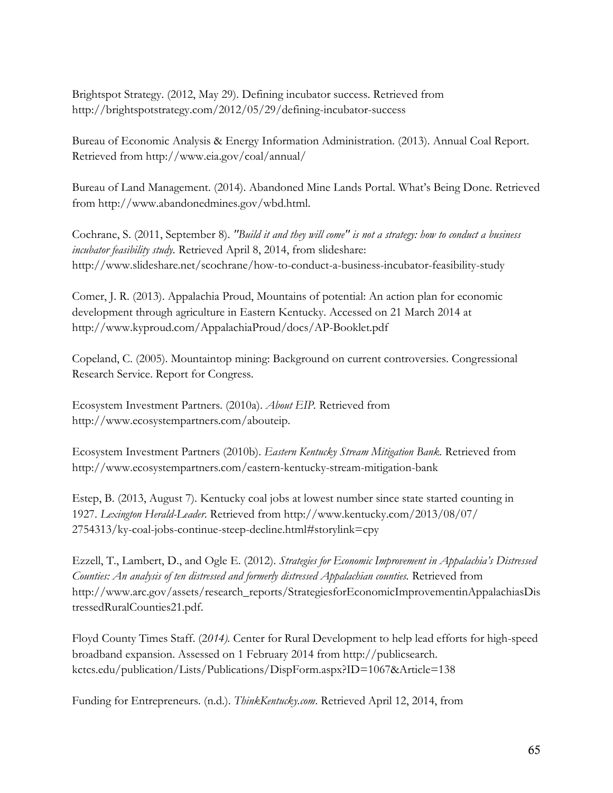Brightspot Strategy. (2012, May 29). Defining incubator success. Retrieved from http://brightspotstrategy.com/2012/05/29/defining-incubator-success

Bureau of Economic Analysis & Energy Information Administration. (2013). Annual Coal Report. Retrieved from <http://www.eia.gov/coal/annual/>

Bureau of Land Management. (2014). Abandoned Mine Lands Portal. What's Being Done. Retrieved from http://www.abandonedmines.gov/wbd.html.

Cochrane, S. (2011, September 8). *"Build it and they will come" is not a strategy: how to conduct a business incubator feasibility study.* Retrieved April 8, 2014, from slideshare: http://www.slideshare.net/scochrane/how-to-conduct-a-business-incubator-feasibility-study

Comer, J. R. (2013). Appalachia Proud, Mountains of potential: An action plan for economic development through agriculture in Eastern Kentucky. Accessed on 21 March 2014 a[t](http://www.kyproud.com/AppalachiaProud/docs/AP-Booklet.pdf) <http://www.kyproud.com/AppalachiaProud/docs/AP-Booklet.pdf>

Copeland, C. (2005). Mountaintop mining: Background on current controversies. Congressional Research Service. Report for Congress.

Ecosystem Investment Partners. (2010a). *About EIP.* Retrieved from http://www.ecosystempartners.com/abouteip.

Ecosystem Investment Partners (2010b). *Eastern Kentucky Stream Mitigation Bank.* Retrieved fro[m](http://www.ecosystempartners.com/eastern-kentucky-stream-mitigation-bank) <http://www.ecosystempartners.com/eastern-kentucky-stream-mitigation-bank>

Estep, B. (2013, August 7). Kentucky coal jobs at lowest number since state started counting in 1927. *Lexington Herald-Leader*. Retrieved from http://www.kentucky.com/2013/08/07/ 2754313/ky-coal-jobs-continue-steep-decline.html#storylink=cpy

Ezzell, T., Lambert, D., and Ogle E. (2012). *Strategies for Economic Improvement in Appalachia's Distressed Counties: An analysis of ten distressed and formerly distressed Appalachian counties.* Retrieved fro[m](http://www.arc.gov/assets/research_reports/StrategiesforEconomicImprovementinAppalachiasDistressedRuralCounties21.pdf) [http://www.arc.gov/assets/research\\_reports/StrategiesforEconomicImprovementinAppalachiasDis](http://www.arc.gov/assets/research_reports/StrategiesforEconomicImprovementinAppalachiasDistressedRuralCounties21.pdf) [tressedRuralCounties21.pdf.](http://www.arc.gov/assets/research_reports/StrategiesforEconomicImprovementinAppalachiasDistressedRuralCounties21.pdf)

Floyd County Times Staff. (2*014).* Center for Rural Development to help lead efforts for high-speed broadband expansion. Assessed on 1 February 2014 from http://publicsearch. kctcs.edu/publication/Lists/Publications/DispForm.aspx?ID=1067&Article=138

Funding for Entrepreneurs. (n.d.). *ThinkKentucky.com*. Retrieved April 12, 2014, fro[m](http://www.thinkkentucky.com/Entrepreneurship/funding.aspx)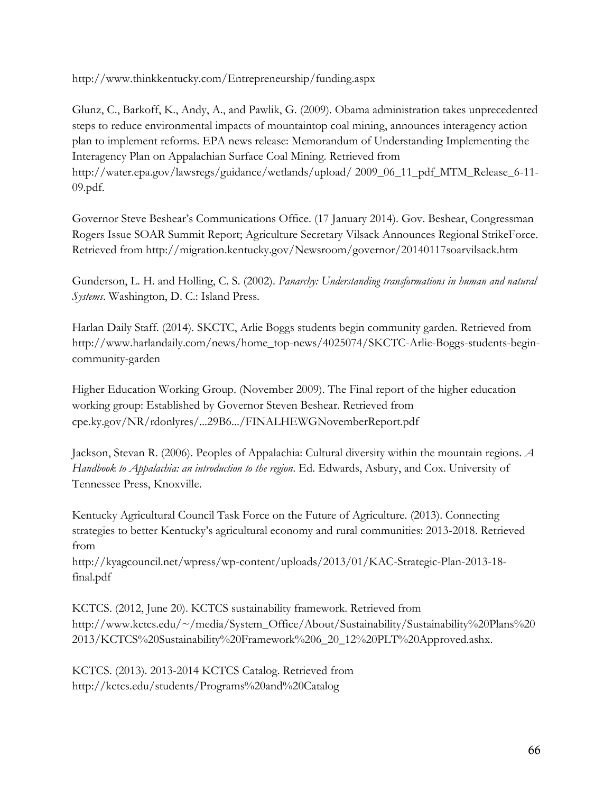<http://www.thinkkentucky.com/Entrepreneurship/funding.aspx>

Glunz, C., Barkoff, K., Andy, A., and Pawlik, G. (2009). Obama administration takes unprecedented steps to reduce environmental impacts of mountaintop coal mining, announces interagency action plan to implement reforms. EPA news release: Memorandum of Understanding Implementing the Interagency Plan on Appalachian Surface Coal Mining. Retrieved from http://water.epa.gov/lawsregs/guidance/wetlands/upload/ 2009\_06\_11\_pdf\_MTM\_Release\_6-11- 09.pdf.

Governor Steve Beshear's Communications Office. (17 January 2014). Gov. Beshear, Congressman Rogers Issue SOAR Summit Report; Agriculture Secretary Vilsack Announces Regional StrikeForce. Retrieved from <http://migration.kentucky.gov/Newsroom/governor/20140117soarvilsack.htm>

Gunderson, L. H. and Holling, C. S. (2002). *Panarchy: Understanding transformations in human and natural Systems*. Washington, D. C.: Island Press.

Harlan Daily Staff. (2014). SKCTC, Arlie Boggs students begin community garden. Retrieved from http://www.harlandaily.com/news/home\_top-news/4025074/SKCTC-Arlie-Boggs-students-begincommunity-garden

Higher Education Working Group. (November 2009). The Final report of the higher education working group: Established by Governor Steven Beshear. Retrieved from cpe.ky.gov/NR/rdonlyres/...29B6.../FINALHEWGNovemberReport.pdf

Jackson, Stevan R. (2006). Peoples of Appalachia: Cultural diversity within the mountain regions. *A Handbook to Appalachia: an introduction to the region*. Ed. Edwards, Asbury, and Cox. University of Tennessee Press, Knoxville.

Kentucky Agricultural Council Task Force on the Future of Agriculture. (2013). Connecting strategies to better Kentucky's agricultural economy and rural communities: 2013-2018. Retrieved from

[http://kyagcouncil.net/wpress/wp-content/uploads/2013/01/KAC-Strategic-Plan-2013-18](http://kyagcouncil.net/wpress/wp-content/uploads/2013/01/KAC-Strategic-Plan-2013-18-final.pdf) [final.pdf](http://kyagcouncil.net/wpress/wp-content/uploads/2013/01/KAC-Strategic-Plan-2013-18-final.pdf)

KCTCS. (2012, June 20). KCTCS sustainability framework. Retrieved fro[m](http://www.kctcs.edu/~/media/System_Office/About/Sustainability/Sustainability%20Plans%202013/KCTCS%20Sustainability%20Framework%206_20_12%20PLT%20Approved.ashx) [http://www.kctcs.edu/~/media/System\\_Office/About/Sustainability/Sustainability%20Plans%20](http://www.kctcs.edu/~/media/System_Office/About/Sustainability/Sustainability%20Plans%202013/KCTCS%20Sustainability%20Framework%206_20_12%20PLT%20Approved.ashx) [2013/KCTCS%20Sustainability%20Framework%206\\_20\\_12%20PLT%20Approved.ashx.](http://www.kctcs.edu/~/media/System_Office/About/Sustainability/Sustainability%20Plans%202013/KCTCS%20Sustainability%20Framework%206_20_12%20PLT%20Approved.ashx)

KCTCS. (2013). 2013-2014 KCTCS Catalog. Retrieved fro[m](http://kctcs.edu/students/Programs%20and%20Catalog) <http://kctcs.edu/students/Programs%20and%20Catalog>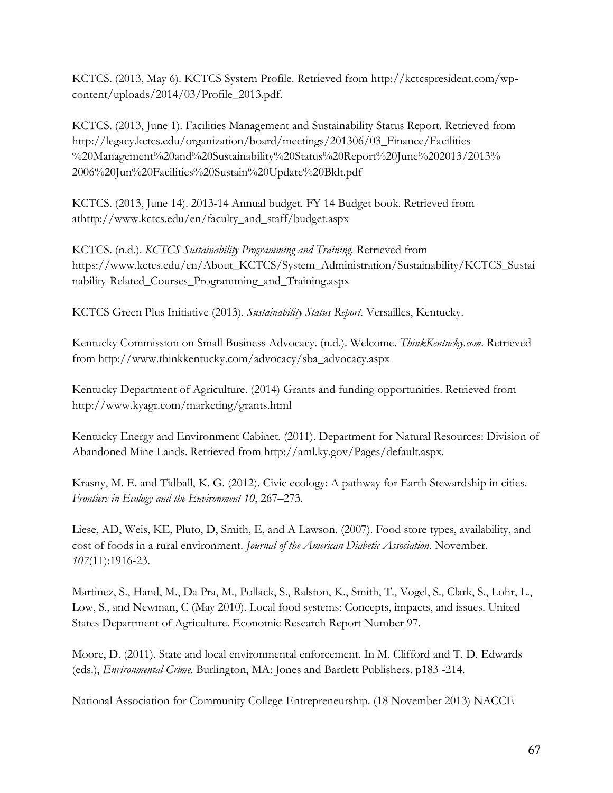KCTCS. (2013, May 6). KCTCS System Profile. Retrieved from [http://kctcspresident.com/wp](http://kctcspresident.com/wp-content/uploads/2014/03/Profile_2013.pdf)[content/uploads/2014/03/Profile\\_2013.pdf.](http://kctcspresident.com/wp-content/uploads/2014/03/Profile_2013.pdf)

KCTCS. (2013, June 1). Facilities Management and Sustainability Status Report. Retrieved from http://legacy.kctcs.edu/organization/board/meetings/201306/03\_Finance/Facilities %20Management%20and%20Sustainability%20Status%20Report%20June%202013/2013% 2006%20Jun%20Facilities%20Sustain%20Update%20Bklt.pdf

KCTCS. (2013, June 14). 2013-14 Annual budget. FY 14 Budget book. Retrieved from a[thttp://www.kctcs.edu/en/faculty\\_and\\_staff/budget.aspx](http://www.kctcs.edu/en/faculty_and_staff/budget.aspx)

KCTCS. (n.d.). *KCTCS Sustainability Programming and Training.* Retrieved fro[m](https://www.kctcs.edu/en/About_KCTCS/System_Administration/Sustainability/KCTCS_Sustainability-Related_Courses_Programming_and_Training.aspx) [https://www.kctcs.edu/en/About\\_KCTCS/System\\_Administration/Sustainability/KCTCS\\_Sustai](https://www.kctcs.edu/en/About_KCTCS/System_Administration/Sustainability/KCTCS_Sustainability-Related_Courses_Programming_and_Training.aspx) [nability-Related\\_Courses\\_Programming\\_and\\_Training.aspx](https://www.kctcs.edu/en/About_KCTCS/System_Administration/Sustainability/KCTCS_Sustainability-Related_Courses_Programming_and_Training.aspx)

KCTCS Green Plus Initiative (2013). *Sustainability Status Report.* Versailles, Kentucky.

Kentucky Commission on Small Business Advocacy. (n.d.). Welcome. *ThinkKentucky.com*. Retrieved from http://www.thinkkentucky.com/advocacy/sba\_advocacy.aspx

Kentucky Department of Agriculture. (2014) Grants and funding opportunities. Retrieved fro[m](http://www.kyagr.com/marketing/grants.html)  <http://www.kyagr.com/marketing/grants.html>

Kentucky Energy and Environment Cabinet. (2011). Department for Natural Resources: Division of Abandoned Mine Lands. Retrieved from http://aml.ky.gov/Pages/default.aspx.

Krasny, M. E. and Tidball, K. G. (2012). Civic ecology: A pathway for Earth Stewardship in cities. *Frontiers in Ecology and the Environment 10*, 267–273.

Liese, AD, Weis, KE, Pluto, D, Smith, E, and A Lawson. (2007). Food store types, availability, and cost of foods in a rural environment. *Journal of the American Diabetic Association*. November. *107*(11):1916-23.

Martinez, S., Hand, M., Da Pra, M., Pollack, S., Ralston, K., Smith, T., Vogel, S., Clark, S., Lohr, L., Low, S., and Newman, C (May 2010). Local food systems: Concepts, impacts, and issues. United States Department of Agriculture. Economic Research Report Number 97.

Moore, D. (2011). State and local environmental enforcement. In M. Clifford and T. D. Edwards (eds.), *Environmental Crime*. Burlington, MA: Jones and Bartlett Publishers. p183 -214.

National Association for Community College Entrepreneurship. (18 November 2013) NACCE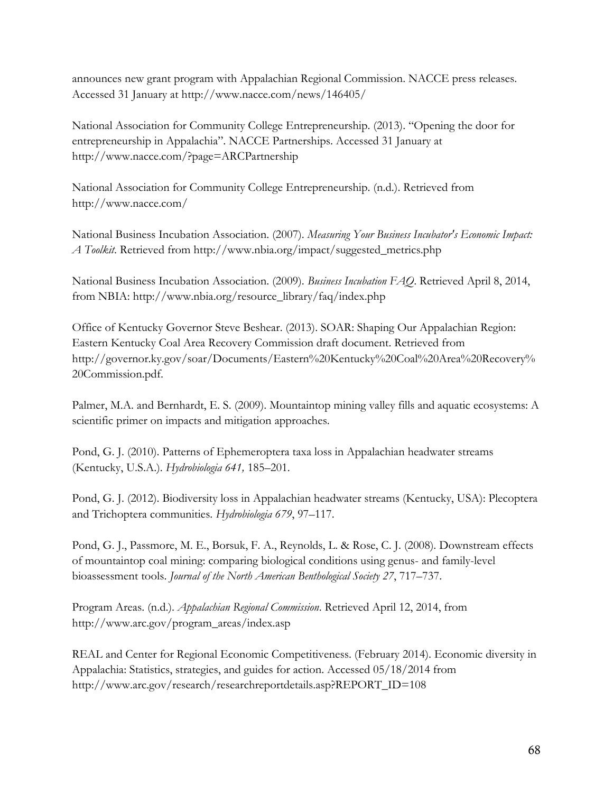announces new grant program with Appalachian Regional Commission. NACCE press releases. Accessed 31 January at <http://www.nacce.com/news/146405/>

National Association for Community College Entrepreneurship. (2013). "Opening the door for entrepreneurship in Appalachia". NACCE Partnerships. Accessed 31 January a[t](http://www.nacce.com/?page=ARCPartnership) <http://www.nacce.com/?page=ARCPartnership>

National Association for Community College Entrepreneurship. (n.d.). Retrieved fro[m](http://www.nacce.com/) <http://www.nacce.com/>

National Business Incubation Association. (2007). *Measuring Your Business Incubator's Economic Impact: A Toolkit*. Retrieved from [http://www.nbia.org/impact/suggested\\_metrics.php](http://www.nbia.org/impact/suggested_metrics.php)

National Business Incubation Association. (2009). *Business Incubation FAQ*. Retrieved April 8, 2014, from NBIA: [http://www.nbia.org/resource\\_library/faq/index.php](http://www.nbia.org/resource_library/faq/index.php)

Office of Kentucky Governor Steve Beshear. (2013). SOAR: Shaping Our Appalachian Region: Eastern Kentucky Coal Area Recovery Commission draft document. Retrieved fro[m](http://governor.ky.gov/soar/Documents/Eastern%20Kentucky%20Coal%20Area%20Recovery%20Commission.pdf) [http://governor.ky.gov/soar/Documents/Eastern%20Kentucky%20Coal%20Area%20Recovery%](http://governor.ky.gov/soar/Documents/Eastern%20Kentucky%20Coal%20Area%20Recovery%20Commission.pdf) [20Commission.pdf.](http://governor.ky.gov/soar/Documents/Eastern%20Kentucky%20Coal%20Area%20Recovery%20Commission.pdf)

Palmer, M.A. and Bernhardt, E. S. (2009). Mountaintop mining valley fills and aquatic ecosystems: A scientific primer on impacts and mitigation approaches.

Pond, G. J. (2010). Patterns of Ephemeroptera taxa loss in Appalachian headwater streams (Kentucky, U.S.A.). *Hydrobiologia 641,* 185–201.

Pond, G. J. (2012). Biodiversity loss in Appalachian headwater streams (Kentucky, USA): Plecoptera and Trichoptera communities. *Hydrobiologia 679*, 97–117.

Pond, G. J., Passmore, M. E., Borsuk, F. A., Reynolds, L. & Rose, C. J. (2008). Downstream effects of mountaintop coal mining: comparing biological conditions using genus- and family-level bioassessment tools. *Journal of the North American Benthological Society 27*, 717–737.

Program Areas. (n.d.). *Appalachian Regional Commission*. Retrieved April 12, 2014, fro[m](http://www.arc.gov/program_areas/index.asp) [http://www.arc.gov/program\\_areas/index.asp](http://www.arc.gov/program_areas/index.asp)

REAL and Center for Regional Economic Competitiveness. (February 2014). Economic diversity in Appalachia: Statistics, strategies, and guides for action. Accessed 05/18/2014 fro[m](http://www.arc.gov/research/researchreportdetails.asp?REPORT_ID=108) [http://www.arc.gov/research/researchreportdetails.asp?REPORT\\_ID=108](http://www.arc.gov/research/researchreportdetails.asp?REPORT_ID=108)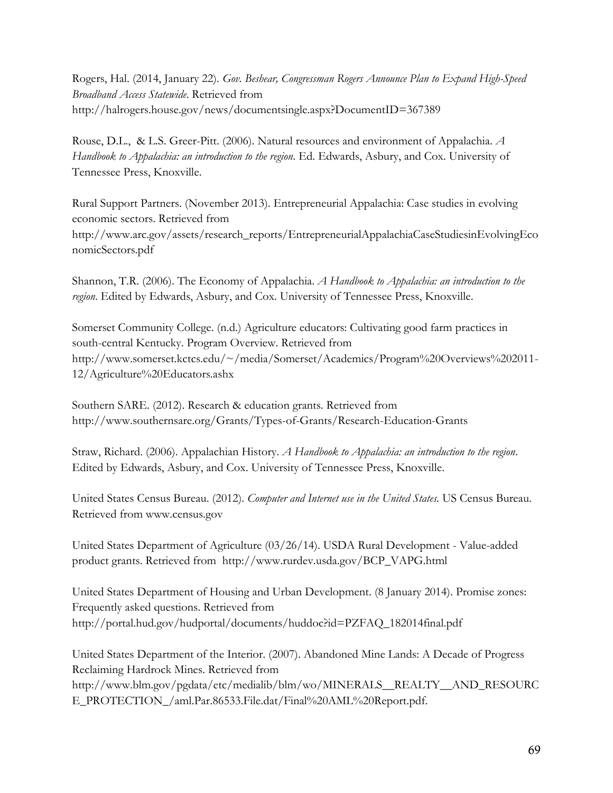Rogers, Hal. (2014, January 22). *Gov. Beshear, Congressman Rogers Announce Plan to Expand High-Speed Broadband Access Statewide*. Retrieved fro[m](http://halrogers.house.gov/news/documentsingle.aspx?DocumentID=367389) <http://halrogers.house.gov/news/documentsingle.aspx?DocumentID=367389>

Rouse, D.L., & L.S. Greer-Pitt. (2006). Natural resources and environment of Appalachia. *A Handbook to Appalachia: an introduction to the region*. Ed. Edwards, Asbury, and Cox. University of Tennessee Press, Knoxville.

Rural Support Partners. (November 2013). Entrepreneurial Appalachia: Case studies in evolving economic sectors. Retrieved fro[m](http://www.arc.gov/assets/research_reports/EntrepreneurialAppalachiaCaseStudiesinEvolvingEconomicSectors.pdf) [http://www.arc.gov/assets/research\\_reports/EntrepreneurialAppalachiaCaseStudiesinEvolvingEco](http://www.arc.gov/assets/research_reports/EntrepreneurialAppalachiaCaseStudiesinEvolvingEconomicSectors.pdf) [nomicSectors.pdf](http://www.arc.gov/assets/research_reports/EntrepreneurialAppalachiaCaseStudiesinEvolvingEconomicSectors.pdf)

Shannon, T.R. (2006). The Economy of Appalachia. *A Handbook to Appalachia: an introduction to the region*. Edited by Edwards, Asbury, and Cox. University of Tennessee Press, Knoxville.

Somerset Community College. (n.d.) Agriculture educators: Cultivating good farm practices in south-central Kentucky. Program Overview. Retrieved fro[m](http://www.somerset.kctcs.edu/~/media/Somerset/Academics/Program%20Overviews%202011-12/Agriculture%20Educators.ashx) [http://www.somerset.kctcs.edu/~/media/Somerset/Academics/Program%20Overviews%202011-](http://www.somerset.kctcs.edu/~/media/Somerset/Academics/Program%20Overviews%202011-12/Agriculture%20Educators.ashx) [12/Agriculture%20Educators.ashx](http://www.somerset.kctcs.edu/~/media/Somerset/Academics/Program%20Overviews%202011-12/Agriculture%20Educators.ashx)

Southern SARE. (2012). Research & education grants. Retrieved from <http://www.southernsare.org/Grants/Types-of-Grants/Research-Education-Grants>

Straw, Richard. (2006). Appalachian History. *A Handbook to Appalachia: an introduction to the region*. Edited by Edwards, Asbury, and Cox. University of Tennessee Press, Knoxville.

United States Census Bureau. (2012). *Computer and Internet use in the United States.* US Census Bureau. Retrieved from www.census.gov

United States Department of Agriculture (03/26/14). USDA Rural Development - Value-added product grants. Retrieved fro[m http://www.rurdev.usda.gov/BCP\\_VAPG.html](http://www.rurdev.usda.gov/BCP_VAPG.html)

United States Department of Housing and Urban Development. (8 January 2014). Promise zones: Frequently asked questions. Retrieved from [http://portal.hud.gov/hudportal/documents/huddoc?id=PZFAQ\\_182014final.pdf](http://portal.hud.gov/hudportal/documents/huddoc?id=PZFAQ_182014final.pdf)

United States Department of the Interior. (2007). Abandoned Mine Lands: A Decade of Progress Reclaiming Hardrock Mines. Retrieved fro[m](http://www.blm.gov/pgdata/etc/medialib/blm/wo/MINERALS__REALTY__AND_RESOURCE_PROTECTION_/aml.Par.86533.File.dat/Final%20AML%20Report.pdf) [http://www.blm.gov/pgdata/etc/medialib/blm/wo/MINERALS\\_\\_REALTY\\_\\_AND\\_RESOURC](http://www.blm.gov/pgdata/etc/medialib/blm/wo/MINERALS__REALTY__AND_RESOURCE_PROTECTION_/aml.Par.86533.File.dat/Final%20AML%20Report.pdf) [E\\_PROTECTION\\_/aml.Par.86533.File.dat/Final%20AML%20Report.pdf.](http://www.blm.gov/pgdata/etc/medialib/blm/wo/MINERALS__REALTY__AND_RESOURCE_PROTECTION_/aml.Par.86533.File.dat/Final%20AML%20Report.pdf)